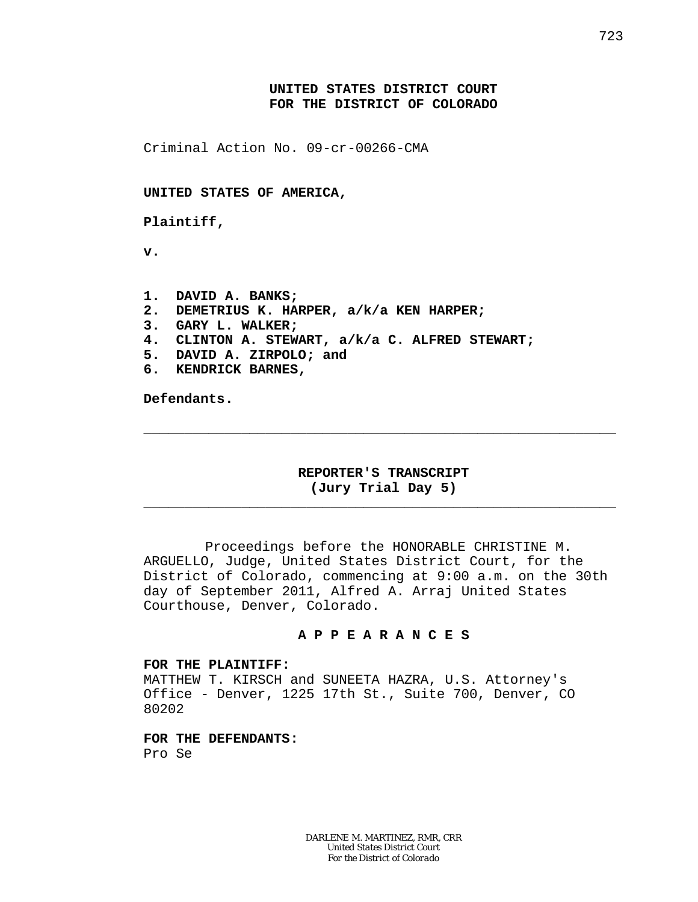## **UNITED STATES DISTRICT COURT FOR THE DISTRICT OF COLORADO**

Criminal Action No. 09-cr-00266-CMA

**UNITED STATES OF AMERICA,**

**Plaintiff,**

**v.**

**1. DAVID A. BANKS; 2. DEMETRIUS K. HARPER, a/k/a KEN HARPER; 3. GARY L. WALKER; 4. CLINTON A. STEWART, a/k/a C. ALFRED STEWART; 5. DAVID A. ZIRPOLO; and 6. KENDRICK BARNES,**

**Defendants.**

## **REPORTER'S TRANSCRIPT (Jury Trial Day 5)**

\_\_\_\_\_\_\_\_\_\_\_\_\_\_\_\_\_\_\_\_\_\_\_\_\_\_\_\_\_\_\_\_\_\_\_\_\_\_\_\_\_\_\_\_\_\_\_\_\_\_\_\_\_\_\_\_\_\_

\_\_\_\_\_\_\_\_\_\_\_\_\_\_\_\_\_\_\_\_\_\_\_\_\_\_\_\_\_\_\_\_\_\_\_\_\_\_\_\_\_\_\_\_\_\_\_\_\_\_\_\_\_\_\_\_\_\_

Proceedings before the HONORABLE CHRISTINE M. ARGUELLO, Judge, United States District Court, for the District of Colorado, commencing at 9:00 a.m. on the 30th day of September 2011, Alfred A. Arraj United States Courthouse, Denver, Colorado.

### **A P P E A R A N C E S**

### **FOR THE PLAINTIFF:**

MATTHEW T. KIRSCH and SUNEETA HAZRA, U.S. Attorney's Office - Denver, 1225 17th St., Suite 700, Denver, CO 80202

**FOR THE DEFENDANTS:** Pro Se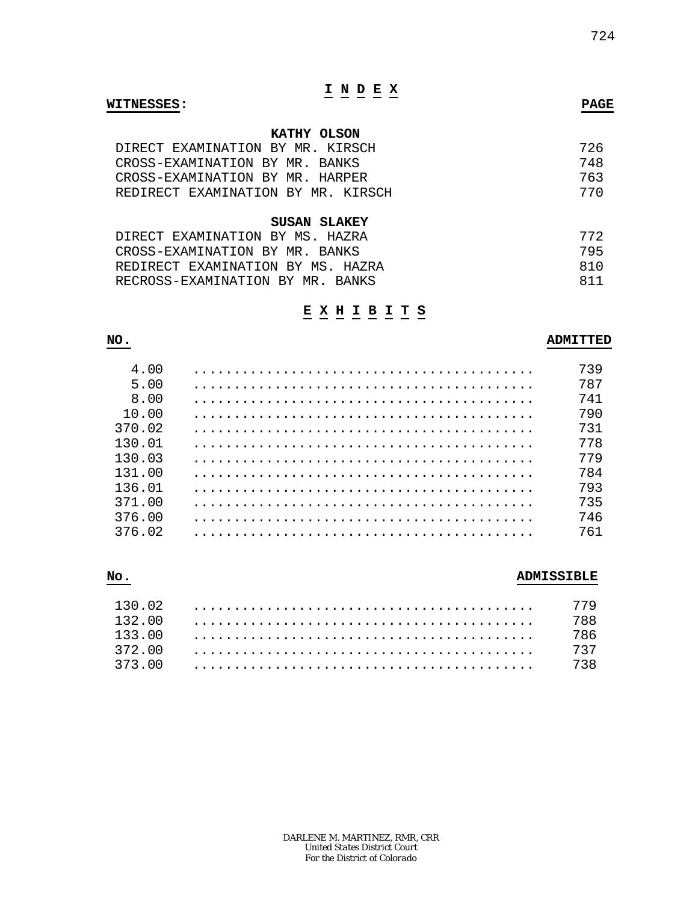# **I N D E X**

#### **WITNESSES: PAGE**

### **KATHY OLSON**

| DIRECT EXAMINATION BY MR. KIRSCH   | 726 |
|------------------------------------|-----|
| CROSS-EXAMINATION BY MR. BANKS     | 748 |
| CROSS-EXAMINATION BY MR. HARPER    | 763 |
| REDIRECT EXAMINATION BY MR. KIRSCH | 770 |

#### **SUSAN SLAKEY**

| DIRECT EXAMINATION BY MS. HAZRA   | 772 |
|-----------------------------------|-----|
| CROSS-EXAMINATION BY MR. BANKS    | 795 |
| REDIRECT EXAMINATION BY MS. HAZRA | 810 |
| RECROSS-EXAMINATION BY MR. BANKS  | 811 |

## **E X H I B I T S**

# **NO. ADMITTED** 4.00 .......................................... 739 5.00 .......................................... 787 8.00 .......................................... 741 10.00 .......................................... 790 370.02 .......................................... 731 130.01 .......................................... 778 130.03 .......................................... 779 131.00 .......................................... 784 136.01 .......................................... 793 371.00 .......................................... 735 376.00 .......................................... 746 376.02 .......................................... 761

# **No. ADMISSIBLE** 130.02 .......................................... 779 132.00 .......................................... 788 133.00 .......................................... 786 372.00 .......................................... 737 373.00 .......................................... 738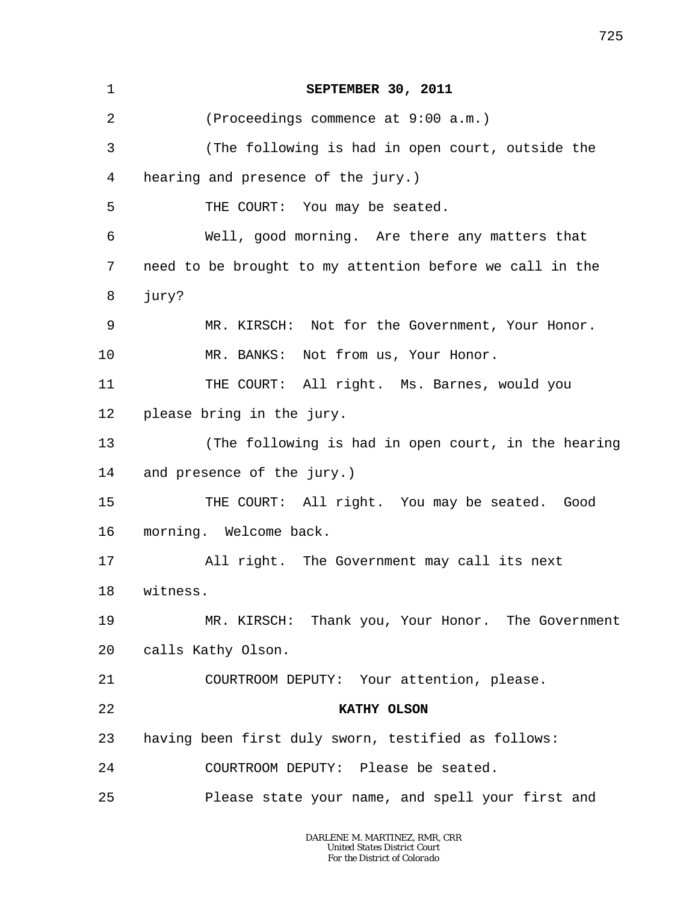| 1  | SEPTEMBER 30, 2011                                       |
|----|----------------------------------------------------------|
| 2  | (Proceedings commence at 9:00 a.m.)                      |
| 3  | (The following is had in open court, outside the         |
| 4  | hearing and presence of the jury.)                       |
| 5  | THE COURT: You may be seated.                            |
| 6  | Well, good morning. Are there any matters that           |
| 7  | need to be brought to my attention before we call in the |
| 8  | jury?                                                    |
| 9  | MR. KIRSCH: Not for the Government, Your Honor.          |
| 10 | MR. BANKS: Not from us, Your Honor.                      |
| 11 | THE COURT: All right. Ms. Barnes, would you              |
| 12 | please bring in the jury.                                |
| 13 | (The following is had in open court, in the hearing      |
| 14 | and presence of the jury.)                               |
| 15 | THE COURT: All right. You may be seated. Good            |
| 16 | morning. Welcome back.                                   |
| 17 | All right. The Government may call its next              |
| 18 | witness.                                                 |
| 19 | MR. KIRSCH: Thank you, Your Honor. The Government        |
| 20 | calls Kathy Olson.                                       |
| 21 | COURTROOM DEPUTY: Your attention, please.                |
| 22 | KATHY OLSON                                              |
| 23 | having been first duly sworn, testified as follows:      |
| 24 | COURTROOM DEPUTY: Please be seated.                      |
| 25 | Please state your name, and spell your first and         |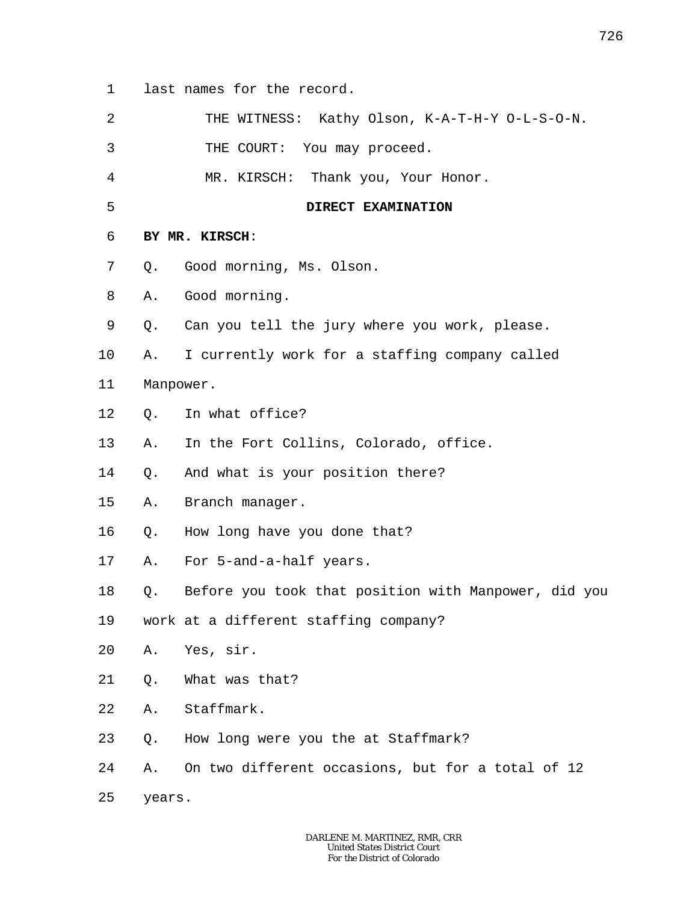1 last names for the record.

2 THE WITNESS: Kathy Olson, K-A-T-H-Y O-L-S-O-N.

3 THE COURT: You may proceed.

4 MR. KIRSCH: Thank you, Your Honor.

5 **DIRECT EXAMINATION**

- 7 Q. Good morning, Ms. Olson.
- 8 A. Good morning.

**BY MR. KIRSCH**:

- 9 Q. Can you tell the jury where you work, please.
- 10 A. I currently work for a staffing company called
- 11 Manpower.

6

- 12 Q. In what office?
- 13 A. In the Fort Collins, Colorado, office.

14 Q. And what is your position there?

- 15 A. Branch manager.
- 16 Q. How long have you done that?
- 17 A. For 5-and-a-half years.
- 18 Q. Before you took that position with Manpower, did you
- 19 work at a different staffing company?
- 20 A. Yes, sir.
- 21 Q. What was that?

22 A. Staffmark.

- 23 Q. How long were you the at Staffmark?
- 24 A. On two different occasions, but for a total of 12
- 25 years.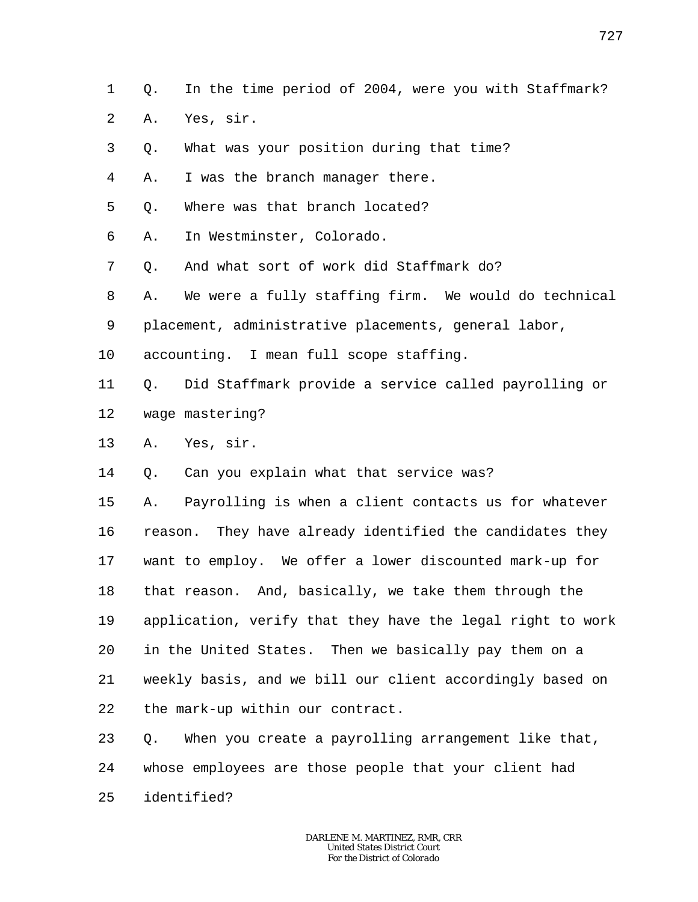1 Q. In the time period of 2004, were you with Staffmark?

- $\overline{a}$ A. Yes, sir.
- 3 Q. What was your position during that time?

4 A. I was the branch manager there.

5 Q. Where was that branch located?

6 A. In Westminster, Colorado.

7 Q. And what sort of work did Staffmark do?

8 9 A. We were a fully staffing firm. We would do technical placement, administrative placements, general labor,

10 accounting. I mean full scope staffing.

11 12 Q. Did Staffmark provide a service called payrolling or wage mastering?

13 A. Yes, sir.

14 Q. Can you explain what that service was?

15 16 17 18 19 20 21 22 A. Payrolling is when a client contacts us for whatever reason. They have already identified the candidates they want to employ. We offer a lower discounted mark-up for that reason. And, basically, we take them through the application, verify that they have the legal right to work in the United States. Then we basically pay them on a weekly basis, and we bill our client accordingly based on the mark-up within our contract.

23 24 25 Q. When you create a payrolling arrangement like that, whose employees are those people that your client had identified?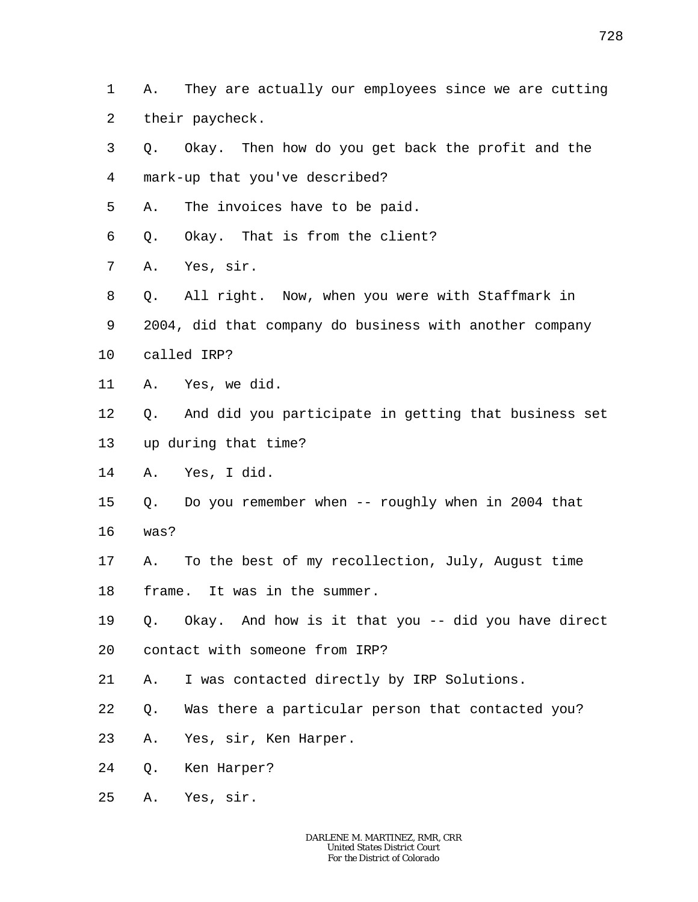1 2 A. They are actually our employees since we are cutting their paycheck.

- 3 4 5 Q. Okay. Then how do you get back the profit and the mark-up that you've described? A. The invoices have to be paid.
- 6 Q. Okay. That is from the client?
- 7 A. Yes, sir.
- 8 Q. All right. Now, when you were with Staffmark in
- 9 2004, did that company do business with another company
- 10 called IRP?
- 11 A. Yes, we did.
- 12 Q. And did you participate in getting that business set
- 13 up during that time?
- 14 A. Yes, I did.
- 15 Q. Do you remember when -- roughly when in 2004 that
- 16 was?
- 17 A. To the best of my recollection, July, August time
- 18 frame. It was in the summer.
- 19 Q. Okay. And how is it that you -- did you have direct
- 20 contact with someone from IRP?
- 21 A. I was contacted directly by IRP Solutions.
- 22 Q. Was there a particular person that contacted you?
- 23 A. Yes, sir, Ken Harper.
- 24 Q. Ken Harper?
- 25 A. Yes, sir.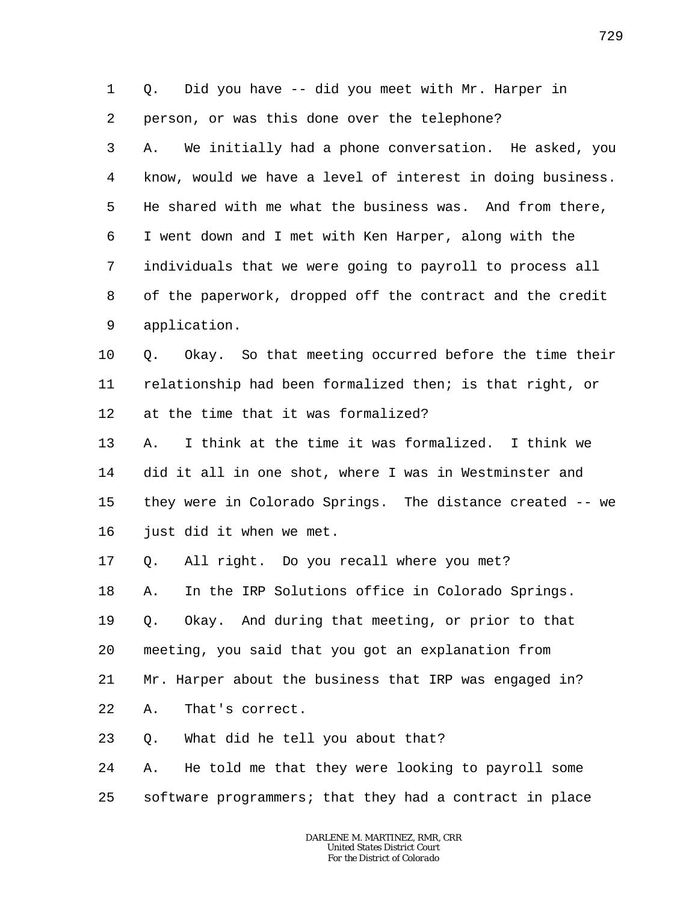1 2 Q. Did you have -- did you meet with Mr. Harper in person, or was this done over the telephone?

3 4 5 6 7 8 9 A. We initially had a phone conversation. He asked, you know, would we have a level of interest in doing business. He shared with me what the business was. And from there, I went down and I met with Ken Harper, along with the individuals that we were going to payroll to process all of the paperwork, dropped off the contract and the credit application.

10 11 12 Q. Okay. So that meeting occurred before the time their relationship had been formalized then; is that right, or at the time that it was formalized?

13 14 15 16 A. I think at the time it was formalized. I think we did it all in one shot, where I was in Westminster and they were in Colorado Springs. The distance created -- we just did it when we met.

17 Q. All right. Do you recall where you met?

18 A. In the IRP Solutions office in Colorado Springs.

19 Q. Okay. And during that meeting, or prior to that

20 meeting, you said that you got an explanation from

21 Mr. Harper about the business that IRP was engaged in?

22 A. That's correct.

23 Q. What did he tell you about that?

24 25 A. He told me that they were looking to payroll some software programmers; that they had a contract in place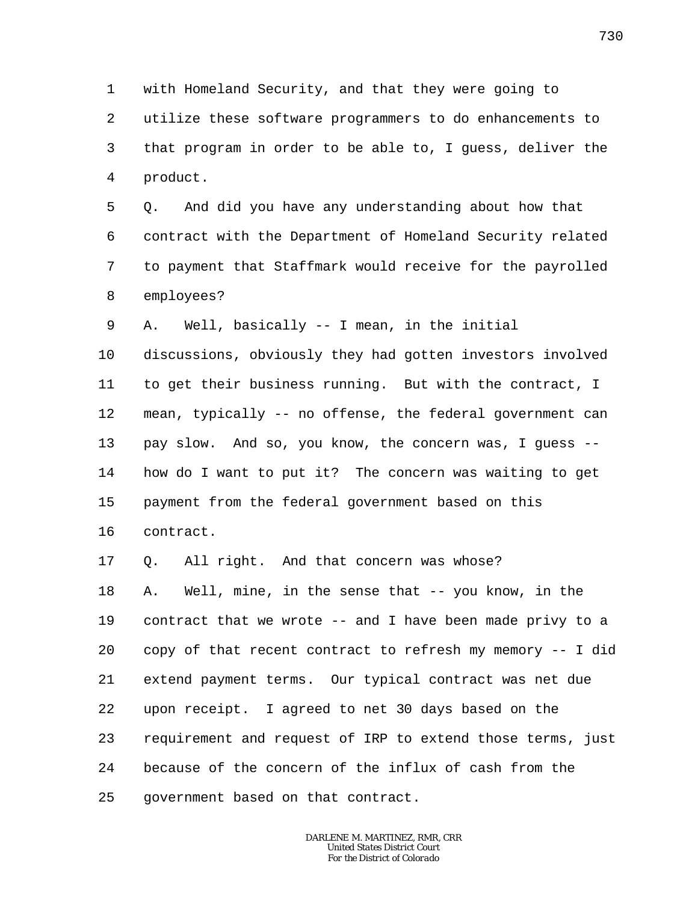1 2 3 4 with Homeland Security, and that they were going to utilize these software programmers to do enhancements to that program in order to be able to, I guess, deliver the product.

5 6 7 8 Q. And did you have any understanding about how that contract with the Department of Homeland Security related to payment that Staffmark would receive for the payrolled employees?

9 A. Well, basically -- I mean, in the initial

10 11 12 13 14 15 16 discussions, obviously they had gotten investors involved to get their business running. But with the contract, I mean, typically -- no offense, the federal government can pay slow. And so, you know, the concern was, I guess - how do I want to put it? The concern was waiting to get payment from the federal government based on this contract.

17 Q. All right. And that concern was whose?

18 19 20 21 22 23 24 25 A. Well, mine, in the sense that -- you know, in the contract that we wrote -- and I have been made privy to a copy of that recent contract to refresh my memory -- I did extend payment terms. Our typical contract was net due upon receipt. I agreed to net 30 days based on the requirement and request of IRP to extend those terms, just because of the concern of the influx of cash from the government based on that contract.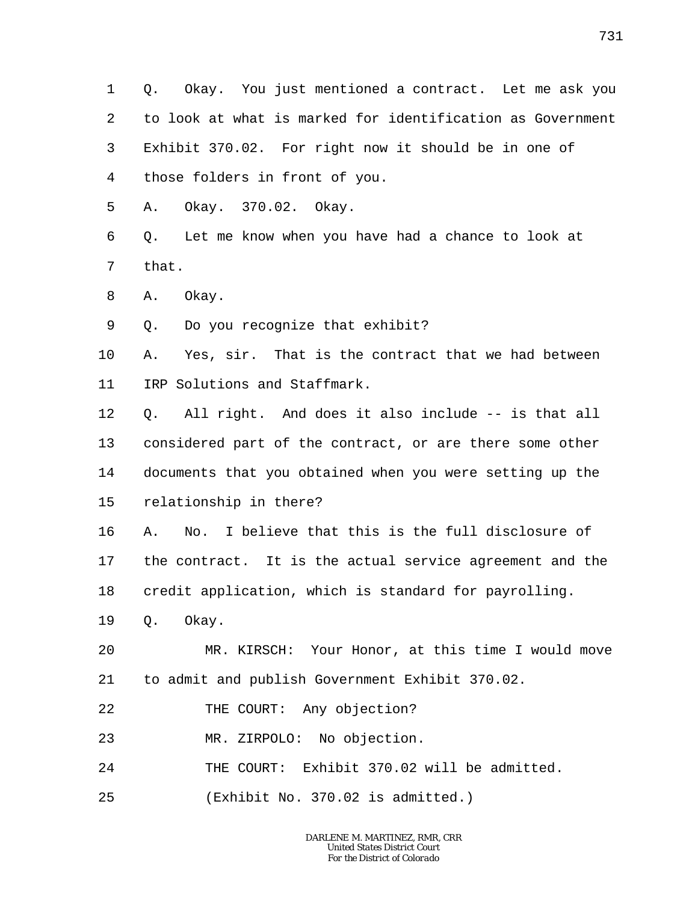1 2 3 4 Q. Okay. You just mentioned a contract. Let me ask you to look at what is marked for identification as Government Exhibit 370.02. For right now it should be in one of those folders in front of you.

5 A. Okay. 370.02. Okay.

6 7 Q. Let me know when you have had a chance to look at that.

8 A. Okay.

9 Q. Do you recognize that exhibit?

10 11 A. Yes, sir. That is the contract that we had between IRP Solutions and Staffmark.

12 13 14 15 Q. All right. And does it also include -- is that all considered part of the contract, or are there some other documents that you obtained when you were setting up the relationship in there?

16 17 18 A. No. I believe that this is the full disclosure of the contract. It is the actual service agreement and the credit application, which is standard for payrolling.

19 Q. Okay.

 $20^{\circ}$ 21 MR. KIRSCH: Your Honor, at this time I would move to admit and publish Government Exhibit 370.02.

22 THE COURT: Any objection?

23 MR. ZIRPOLO: No objection.

24 THE COURT: Exhibit 370.02 will be admitted.

25 (Exhibit No. 370.02 is admitted.)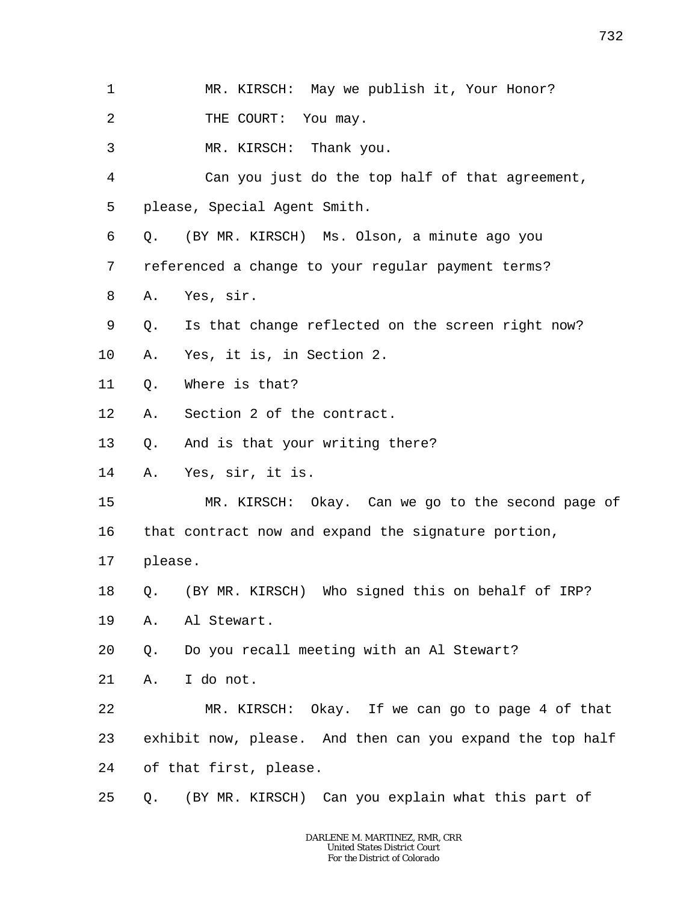2 THE COURT: You may.

3 MR. KIRSCH: Thank you.

4 5 Can you just do the top half of that agreement, please, Special Agent Smith.

6 Q. (BY MR. KIRSCH) Ms. Olson, a minute ago you

7 referenced a change to your regular payment terms?

8 A. Yes, sir.

9 Q. Is that change reflected on the screen right now?

10 A. Yes, it is, in Section 2.

11 Q. Where is that?

12 A. Section 2 of the contract.

13 Q. And is that your writing there?

14 A. Yes, sir, it is.

15 MR. KIRSCH: Okay. Can we go to the second page of

16 that contract now and expand the signature portion,

17 please.

18 Q. (BY MR. KIRSCH) Who signed this on behalf of IRP?

19 A. Al Stewart.

20 Q. Do you recall meeting with an Al Stewart?

21 A. I do not.

22 23 24 MR. KIRSCH: Okay. If we can go to page 4 of that exhibit now, please. And then can you expand the top half of that first, please.

25 Q. (BY MR. KIRSCH) Can you explain what this part of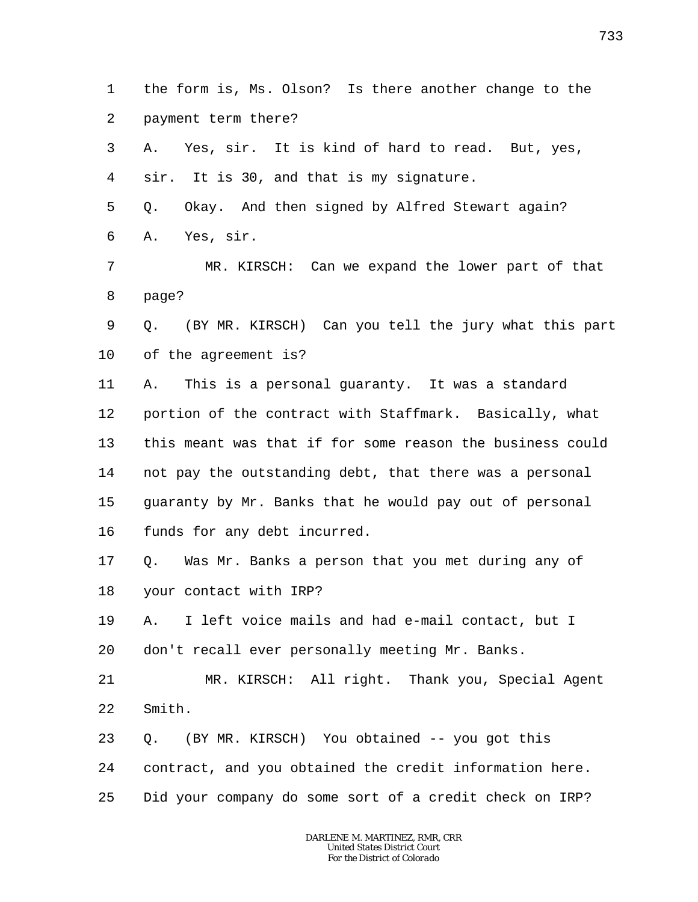1 2 the form is, Ms. Olson? Is there another change to the payment term there?

3 4 5 6 7 8 9 10 11 12 13 14 15 16 17 18 19 20 21 22 23 A. Yes, sir. It is kind of hard to read. But, yes, sir. It is 30, and that is my signature. Q. Okay. And then signed by Alfred Stewart again? A. Yes, sir. MR. KIRSCH: Can we expand the lower part of that page? Q. (BY MR. KIRSCH) Can you tell the jury what this part of the agreement is? A. This is a personal guaranty. It was a standard portion of the contract with Staffmark. Basically, what this meant was that if for some reason the business could not pay the outstanding debt, that there was a personal guaranty by Mr. Banks that he would pay out of personal funds for any debt incurred. Q. Was Mr. Banks a person that you met during any of your contact with IRP? A. I left voice mails and had e-mail contact, but I don't recall ever personally meeting Mr. Banks. MR. KIRSCH: All right. Thank you, Special Agent Smith. Q. (BY MR. KIRSCH) You obtained -- you got this

24 contract, and you obtained the credit information here.

25 Did your company do some sort of a credit check on IRP?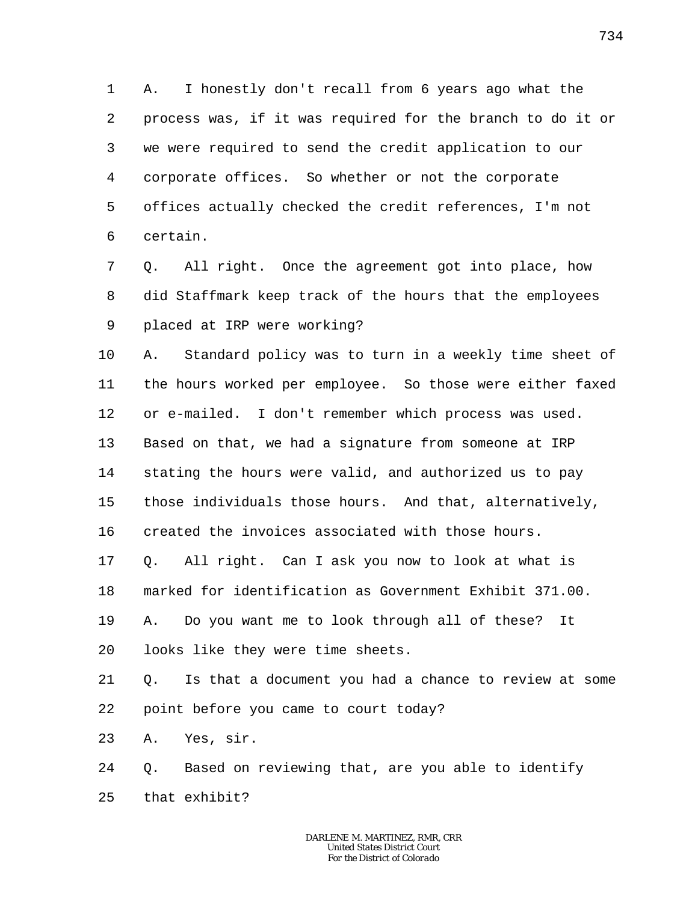1 2 3 4 5 6 A. I honestly don't recall from 6 years ago what the process was, if it was required for the branch to do it or we were required to send the credit application to our corporate offices. So whether or not the corporate offices actually checked the credit references, I'm not certain.

7 8 9 Q. All right. Once the agreement got into place, how did Staffmark keep track of the hours that the employees placed at IRP were working?

10 11 12 13 14 15 16 17 18 A. Standard policy was to turn in a weekly time sheet of the hours worked per employee. So those were either faxed or e-mailed. I don't remember which process was used. Based on that, we had a signature from someone at IRP stating the hours were valid, and authorized us to pay those individuals those hours. And that, alternatively, created the invoices associated with those hours. Q. All right. Can I ask you now to look at what is marked for identification as Government Exhibit 371.00.

19 A. Do you want me to look through all of these? It

20 looks like they were time sheets.

21 22 Q. Is that a document you had a chance to review at some point before you came to court today?

23 A. Yes, sir.

24 25 Q. Based on reviewing that, are you able to identify that exhibit?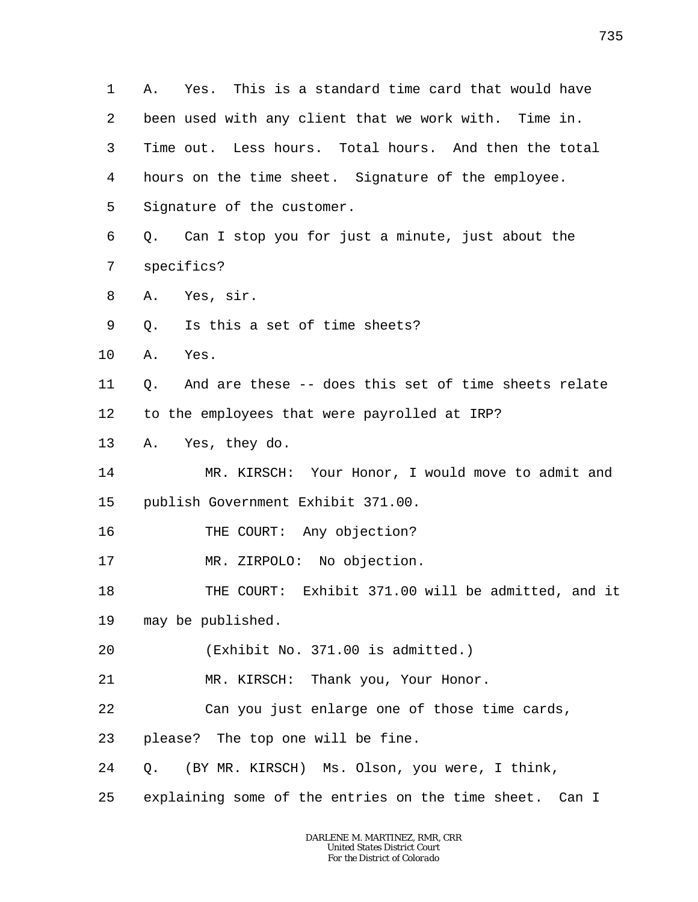1 2 3 4 5 6 7 8 9 10 11 12 13 14 15 16 17 18 19 20 21 22 23 24 25 A. Yes. This is a standard time card that would have been used with any client that we work with. Time in. Time out. Less hours. Total hours. And then the total hours on the time sheet. Signature of the employee. Signature of the customer. Q. Can I stop you for just a minute, just about the specifics? A. Yes, sir. Q. Is this a set of time sheets? A. Yes. Q. And are these -- does this set of time sheets relate to the employees that were payrolled at IRP? A. Yes, they do. MR. KIRSCH: Your Honor, I would move to admit and publish Government Exhibit 371.00. THE COURT: Any objection? MR. ZIRPOLO: No objection. THE COURT: Exhibit 371.00 will be admitted, and it may be published. (Exhibit No. 371.00 is admitted.) MR. KIRSCH: Thank you, Your Honor. Can you just enlarge one of those time cards, please? The top one will be fine. Q. (BY MR. KIRSCH) Ms. Olson, you were, I think, explaining some of the entries on the time sheet. Can I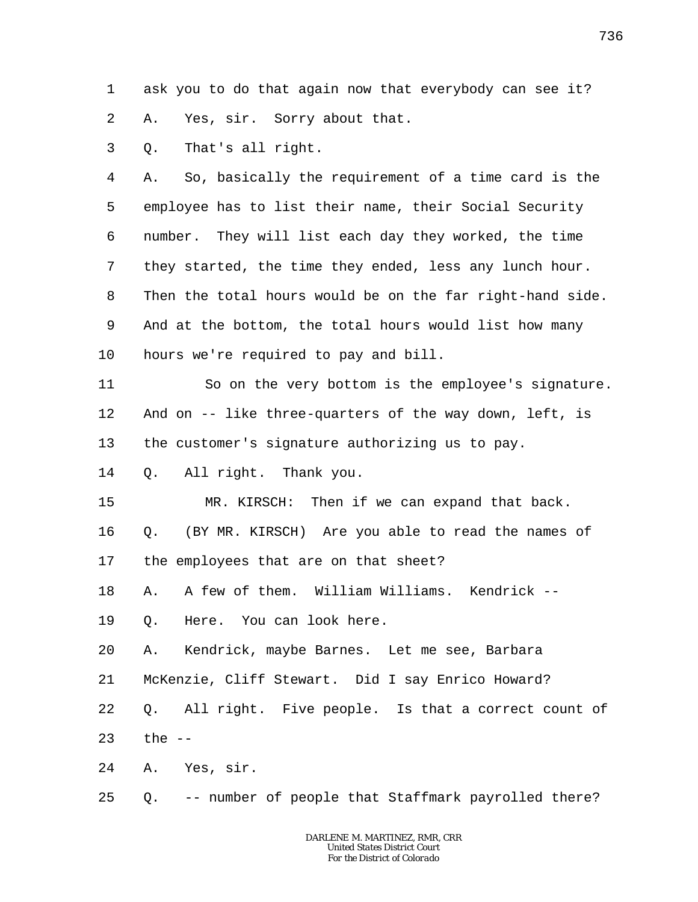1 2 ask you to do that again now that everybody can see it? A. Yes, sir. Sorry about that.

3 Q. That's all right.

4 5 6 7 8 9 10 A. So, basically the requirement of a time card is the employee has to list their name, their Social Security number. They will list each day they worked, the time they started, the time they ended, less any lunch hour. Then the total hours would be on the far right-hand side. And at the bottom, the total hours would list how many hours we're required to pay and bill.

11 12 13 So on the very bottom is the employee's signature. And on -- like three-quarters of the way down, left, is the customer's signature authorizing us to pay.

14 Q. All right. Thank you.

15 MR. KIRSCH: Then if we can expand that back.

16 17 Q. (BY MR. KIRSCH) Are you able to read the names of the employees that are on that sheet?

18 A. A few of them. William Williams. Kendrick --

19 Q. Here. You can look here.

20 A. Kendrick, maybe Barnes. Let me see, Barbara

21 McKenzie, Cliff Stewart. Did I say Enrico Howard?

22 Q. All right. Five people. Is that a correct count of

23 the  $--$ 

24 A. Yes, sir.

25 Q. -- number of people that Staffmark payrolled there?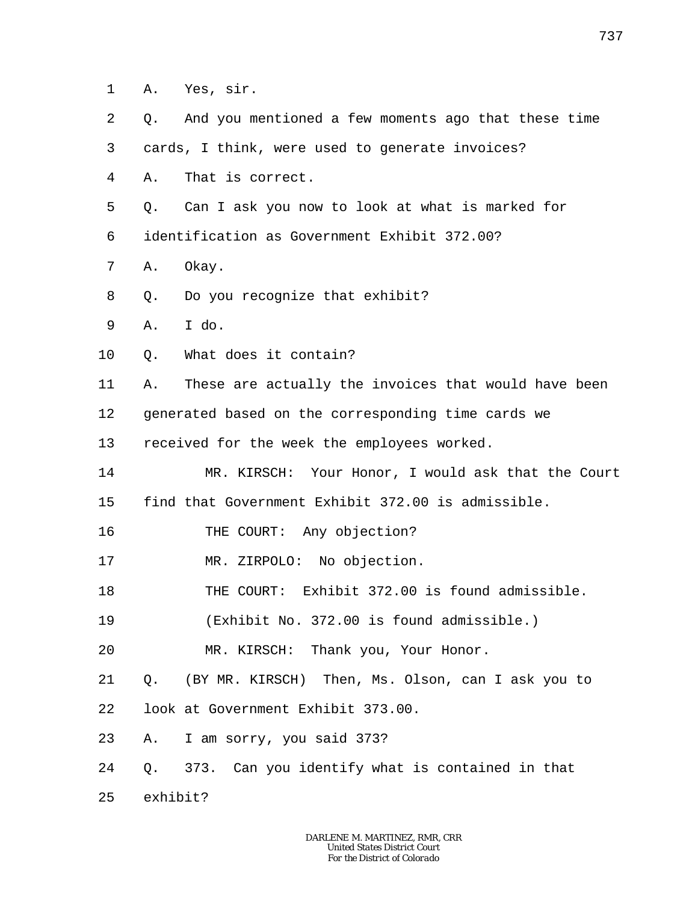- 1 A. Yes, sir.
- 2 Q. And you mentioned a few moments ago that these time

3 cards, I think, were used to generate invoices?

- 4 A. That is correct.
- 5 Q. Can I ask you now to look at what is marked for

6 identification as Government Exhibit 372.00?

- 7 A. Okay.
- 8 Q. Do you recognize that exhibit?
- 9 A. I do.
- 10 Q. What does it contain?
- 11 A. These are actually the invoices that would have been

12 generated based on the corresponding time cards we

13 received for the week the employees worked.

- 14 15 MR. KIRSCH: Your Honor, I would ask that the Court find that Government Exhibit 372.00 is admissible.
- 16 THE COURT: Any objection?
- 17 MR. ZIRPOLO: No objection.
- 18 THE COURT: Exhibit 372.00 is found admissible.

19 (Exhibit No. 372.00 is found admissible.)

20 MR. KIRSCH: Thank you, Your Honor.

- 21 22 Q. (BY MR. KIRSCH) Then, Ms. Olson, can I ask you to look at Government Exhibit 373.00.
- 
- 23 A. I am sorry, you said 373?
- 24 Q. 373. Can you identify what is contained in that
- 25 exhibit?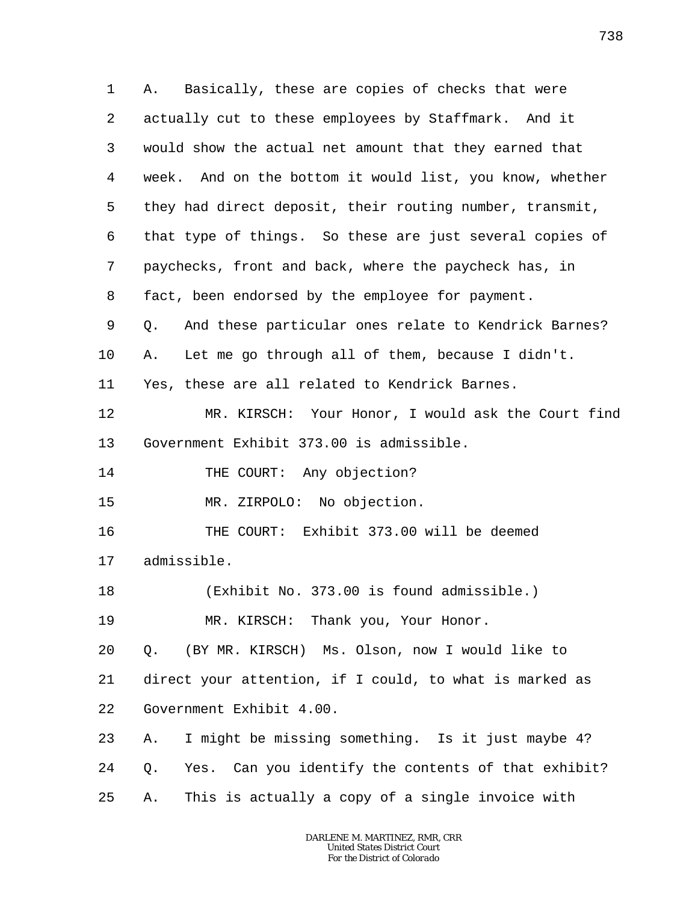1 2 3 4 5 6 7 8 9 10 11 12 13 14 15 16 17 18 19 20 21 22 23 24 25 A. Basically, these are copies of checks that were actually cut to these employees by Staffmark. And it would show the actual net amount that they earned that week. And on the bottom it would list, you know, whether they had direct deposit, their routing number, transmit, that type of things. So these are just several copies of paychecks, front and back, where the paycheck has, in fact, been endorsed by the employee for payment. Q. And these particular ones relate to Kendrick Barnes? A. Let me go through all of them, because I didn't. Yes, these are all related to Kendrick Barnes. MR. KIRSCH: Your Honor, I would ask the Court find Government Exhibit 373.00 is admissible. THE COURT: Any objection? MR. ZIRPOLO: No objection. THE COURT: Exhibit 373.00 will be deemed admissible. (Exhibit No. 373.00 is found admissible.) MR. KIRSCH: Thank you, Your Honor. Q. (BY MR. KIRSCH) Ms. Olson, now I would like to direct your attention, if I could, to what is marked as Government Exhibit 4.00. A. I might be missing something. Is it just maybe 4? Q. Yes. Can you identify the contents of that exhibit? A. This is actually a copy of a single invoice with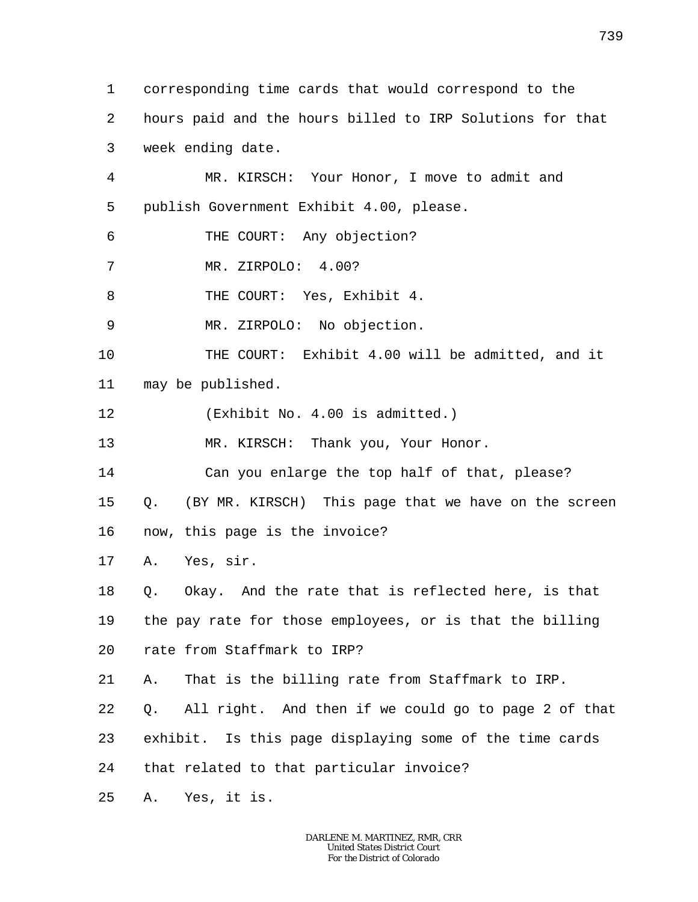1 2 3 4 5 6 7 8 9 10 11 12 13 14 15 16 17 18 19 20 21 22 23 24 25 corresponding time cards that would correspond to the hours paid and the hours billed to IRP Solutions for that week ending date. MR. KIRSCH: Your Honor, I move to admit and publish Government Exhibit 4.00, please. THE COURT: Any objection? MR. ZIRPOLO: 4.00? THE COURT: Yes, Exhibit 4. MR. ZIRPOLO: No objection. THE COURT: Exhibit 4.00 will be admitted, and it may be published. (Exhibit No. 4.00 is admitted.) MR. KIRSCH: Thank you, Your Honor. Can you enlarge the top half of that, please? Q. (BY MR. KIRSCH) This page that we have on the screen now, this page is the invoice? A. Yes, sir. Q. Okay. And the rate that is reflected here, is that the pay rate for those employees, or is that the billing rate from Staffmark to IRP? A. That is the billing rate from Staffmark to IRP. Q. All right. And then if we could go to page 2 of that exhibit. Is this page displaying some of the time cards that related to that particular invoice? A. Yes, it is.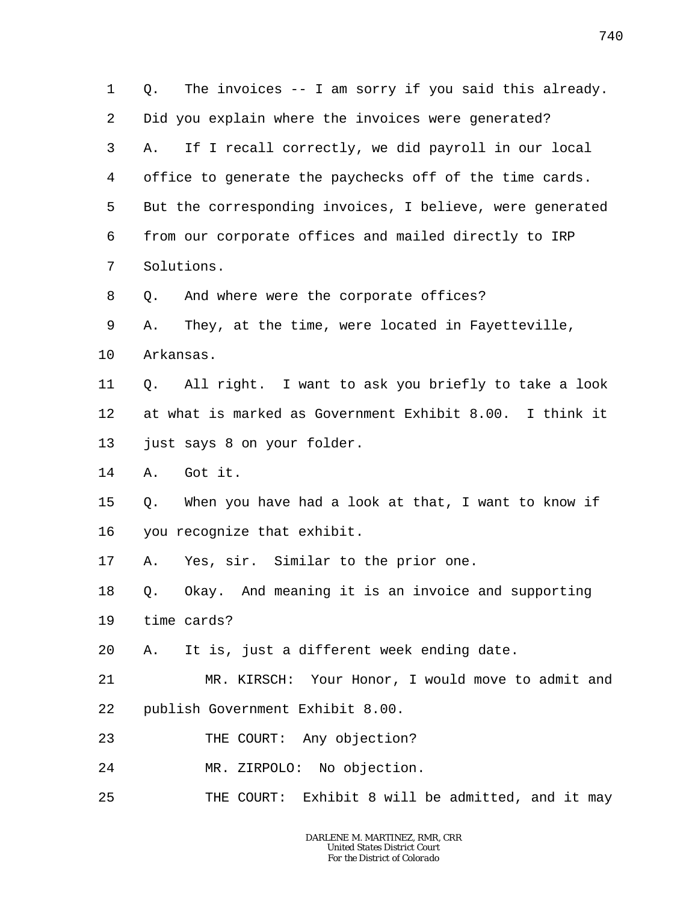1 2 3 4 5 6 7 8 9 10 11 12 13 14 15 16 17 18 19 20 21 22 23 24 25 Q. The invoices -- I am sorry if you said this already. Did you explain where the invoices were generated? A. If I recall correctly, we did payroll in our local office to generate the paychecks off of the time cards. But the corresponding invoices, I believe, were generated from our corporate offices and mailed directly to IRP Solutions. Q. And where were the corporate offices? A. They, at the time, were located in Fayetteville, Arkansas. Q. All right. I want to ask you briefly to take a look at what is marked as Government Exhibit 8.00. I think it just says 8 on your folder. A. Got it. Q. When you have had a look at that, I want to know if you recognize that exhibit. A. Yes, sir. Similar to the prior one. Q. Okay. And meaning it is an invoice and supporting time cards? A. It is, just a different week ending date. MR. KIRSCH: Your Honor, I would move to admit and publish Government Exhibit 8.00. THE COURT: Any objection? MR. ZIRPOLO: No objection. THE COURT: Exhibit 8 will be admitted, and it may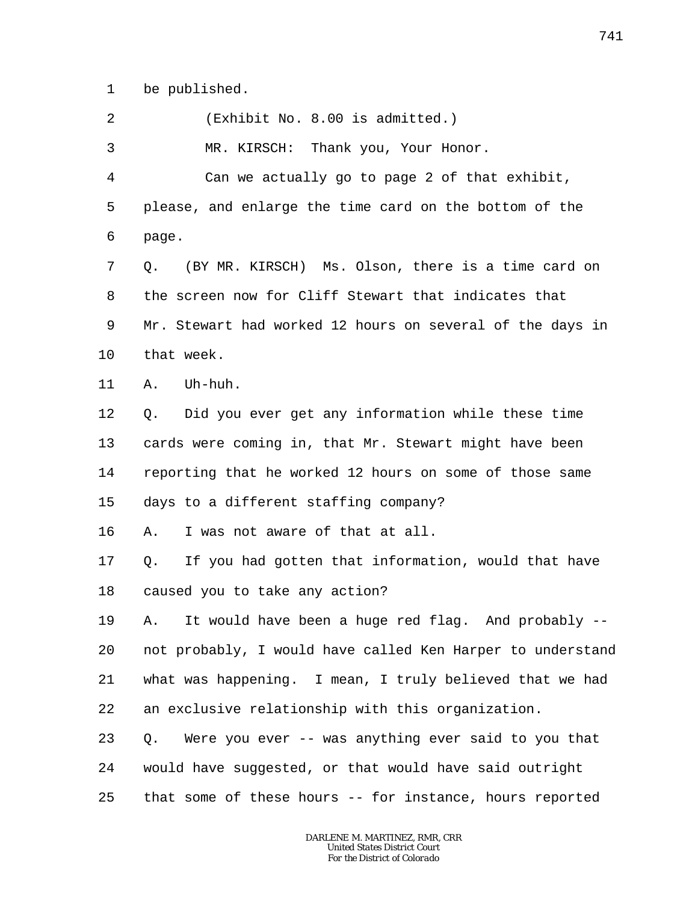1 be published.

2 (Exhibit No. 8.00 is admitted.)

3 MR. KIRSCH: Thank you, Your Honor.

4 5 6 Can we actually go to page 2 of that exhibit, please, and enlarge the time card on the bottom of the page.

7 8 9 10 Q. (BY MR. KIRSCH) Ms. Olson, there is a time card on the screen now for Cliff Stewart that indicates that Mr. Stewart had worked 12 hours on several of the days in that week.

11 A. Uh-huh.

12 13 14 15 Q. Did you ever get any information while these time cards were coming in, that Mr. Stewart might have been reporting that he worked 12 hours on some of those same days to a different staffing company?

16 A. I was not aware of that at all.

17 18 Q. If you had gotten that information, would that have caused you to take any action?

19 20 21 22 A. It would have been a huge red flag. And probably - not probably, I would have called Ken Harper to understand what was happening. I mean, I truly believed that we had an exclusive relationship with this organization.

23 24 25 Q. Were you ever -- was anything ever said to you that would have suggested, or that would have said outright that some of these hours -- for instance, hours reported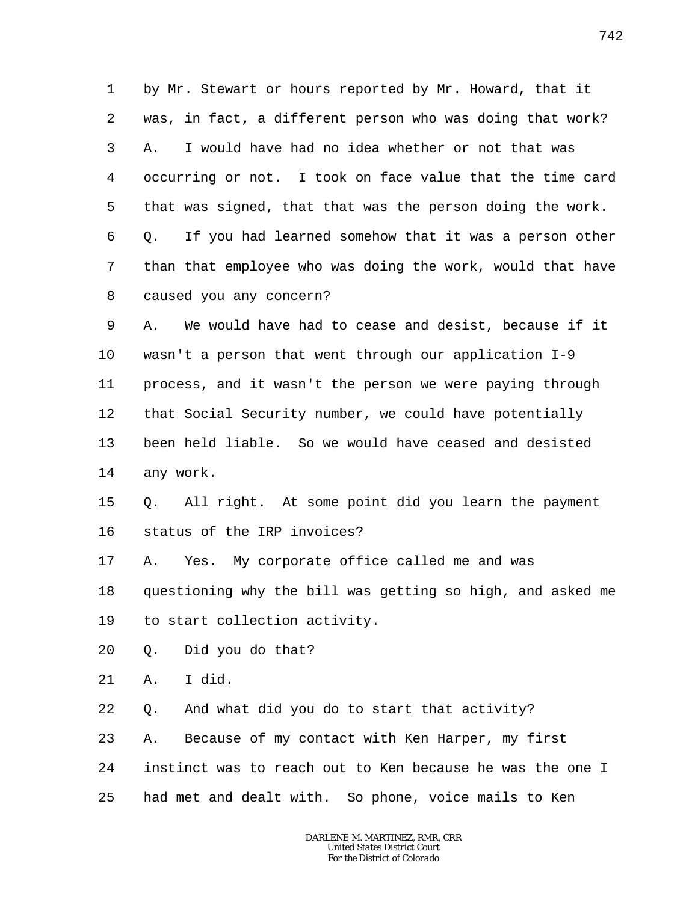1 2 3 4 5 6 7 8 by Mr. Stewart or hours reported by Mr. Howard, that it was, in fact, a different person who was doing that work? A. I would have had no idea whether or not that was occurring or not. I took on face value that the time card that was signed, that that was the person doing the work. Q. If you had learned somehow that it was a person other than that employee who was doing the work, would that have caused you any concern?

9 10 11 12 13 14 A. We would have had to cease and desist, because if it wasn't a person that went through our application I-9 process, and it wasn't the person we were paying through that Social Security number, we could have potentially been held liable. So we would have ceased and desisted any work.

15 16 Q. All right. At some point did you learn the payment status of the IRP invoices?

17 A. Yes. My corporate office called me and was

18 questioning why the bill was getting so high, and asked me

19 to start collection activity.

20 Q. Did you do that?

21 A. I did.

22 Q. And what did you do to start that activity?

23 24 25 A. Because of my contact with Ken Harper, my first instinct was to reach out to Ken because he was the one I had met and dealt with. So phone, voice mails to Ken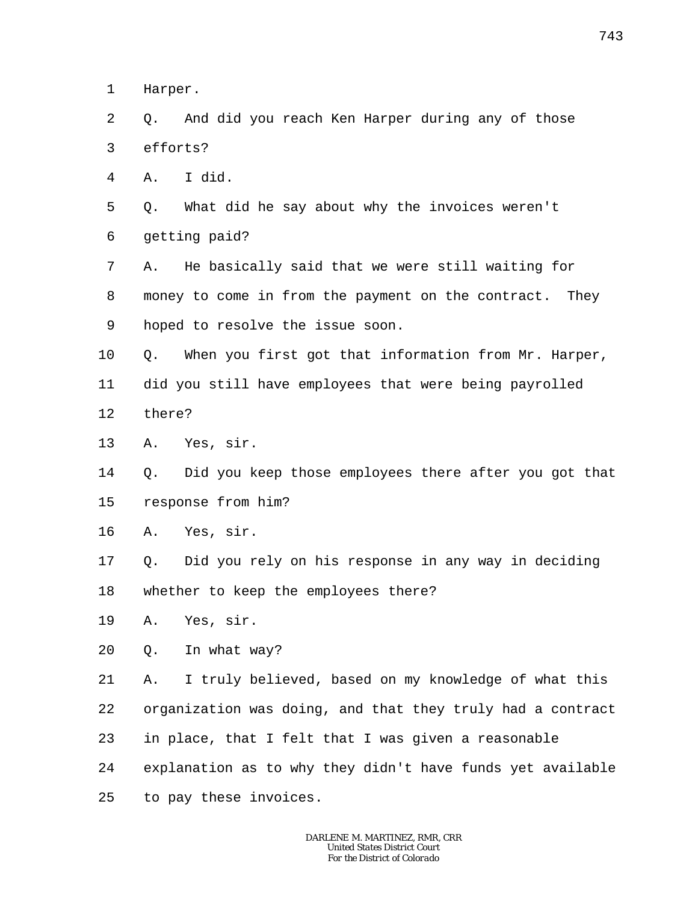1 Harper.

 $\overline{a}$ 3 Q. And did you reach Ken Harper during any of those efforts?

4 A. I did.

5 6 Q. What did he say about why the invoices weren't getting paid?

7 8 9 A. He basically said that we were still waiting for money to come in from the payment on the contract. They hoped to resolve the issue soon.

10 11 12 Q. When you first got that information from Mr. Harper, did you still have employees that were being payrolled there?

13 A. Yes, sir.

14 15 Q. Did you keep those employees there after you got that response from him?

16 A. Yes, sir.

17 18 Q. Did you rely on his response in any way in deciding whether to keep the employees there?

19 A. Yes, sir.

20 Q. In what way?

21 22 23 24 25 A. I truly believed, based on my knowledge of what this organization was doing, and that they truly had a contract in place, that I felt that I was given a reasonable explanation as to why they didn't have funds yet available to pay these invoices.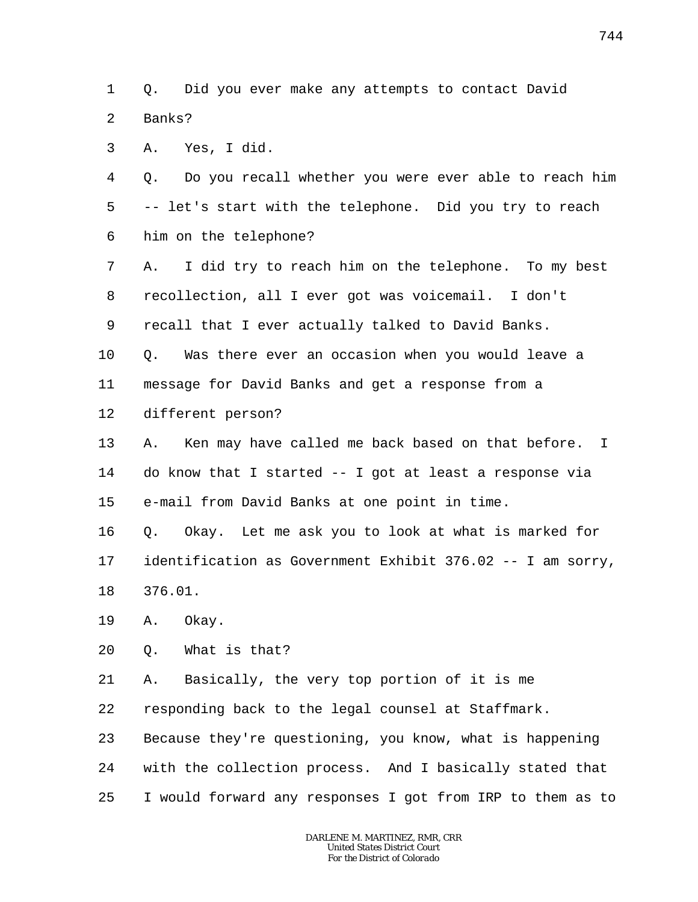1  $\overline{a}$ Q. Did you ever make any attempts to contact David Banks?

3 A. Yes, I did.

4 5 6 Q. Do you recall whether you were ever able to reach him -- let's start with the telephone. Did you try to reach him on the telephone?

7 8 9 A. I did try to reach him on the telephone. To my best recollection, all I ever got was voicemail. I don't recall that I ever actually talked to David Banks.

10 Q. Was there ever an occasion when you would leave a

11 message for David Banks and get a response from a

12 different person?

13 14 15 A. Ken may have called me back based on that before. I do know that I started -- I got at least a response via e-mail from David Banks at one point in time.

16 17 18 Q. Okay. Let me ask you to look at what is marked for identification as Government Exhibit 376.02 -- I am sorry, 376.01.

19 A. Okay.

23

20 Q. What is that?

21 22 A. Basically, the very top portion of it is me responding back to the legal counsel at Staffmark.

24 25 with the collection process. And I basically stated that I would forward any responses I got from IRP to them as to

Because they're questioning, you know, what is happening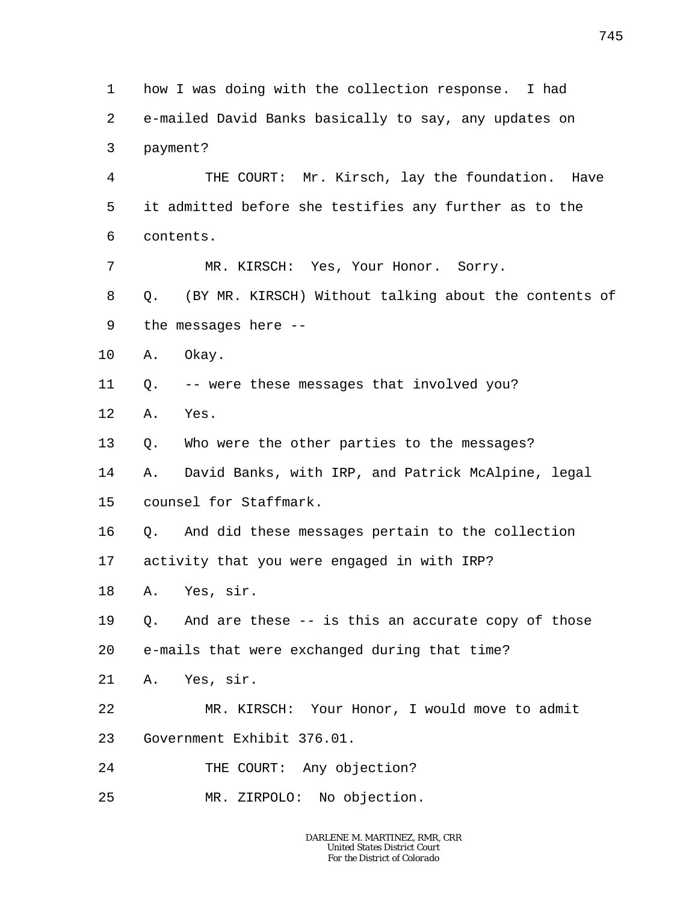1 2 3 4 5 6 7 8 9 10 11 12 13 14 15 16 17 18 19 20 21 22 23 24 25 how I was doing with the collection response. I had e-mailed David Banks basically to say, any updates on payment? THE COURT: Mr. Kirsch, lay the foundation. Have it admitted before she testifies any further as to the contents. MR. KIRSCH: Yes, Your Honor. Sorry. Q. (BY MR. KIRSCH) Without talking about the contents of the messages here -- A. Okay. Q. -- were these messages that involved you? A. Yes. Q. Who were the other parties to the messages? A. David Banks, with IRP, and Patrick McAlpine, legal counsel for Staffmark. Q. And did these messages pertain to the collection activity that you were engaged in with IRP? A. Yes, sir. Q. And are these -- is this an accurate copy of those e-mails that were exchanged during that time? A. Yes, sir. MR. KIRSCH: Your Honor, I would move to admit Government Exhibit 376.01. THE COURT: Any objection? MR. ZIRPOLO: No objection.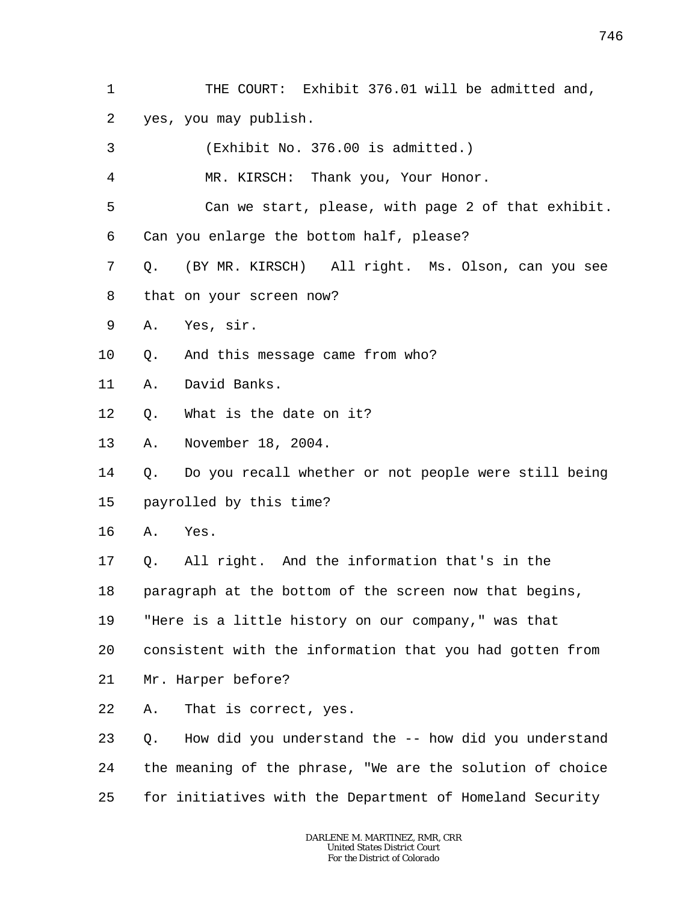- 746
- 1 2 THE COURT: Exhibit 376.01 will be admitted and, yes, you may publish.
- 3 (Exhibit No. 376.00 is admitted.)

4 MR. KIRSCH: Thank you, Your Honor.

5 6 Can we start, please, with page 2 of that exhibit. Can you enlarge the bottom half, please?

- 7 8 Q. (BY MR. KIRSCH) All right. Ms. Olson, can you see that on your screen now?
- 9 A. Yes, sir.
- 10 Q. And this message came from who?
- 11 A. David Banks.
- 12 Q. What is the date on it?
- 13 A. November 18, 2004.

14 15 Q. Do you recall whether or not people were still being payrolled by this time?

- 16 A. Yes.
- 17 Q. All right. And the information that's in the
- 18 paragraph at the bottom of the screen now that begins,
- 19 "Here is a little history on our company," was that
- 20 consistent with the information that you had gotten from
- 21 Mr. Harper before?
- 22 A. That is correct, yes.
- 23 24 25 Q. How did you understand the -- how did you understand the meaning of the phrase, "We are the solution of choice for initiatives with the Department of Homeland Security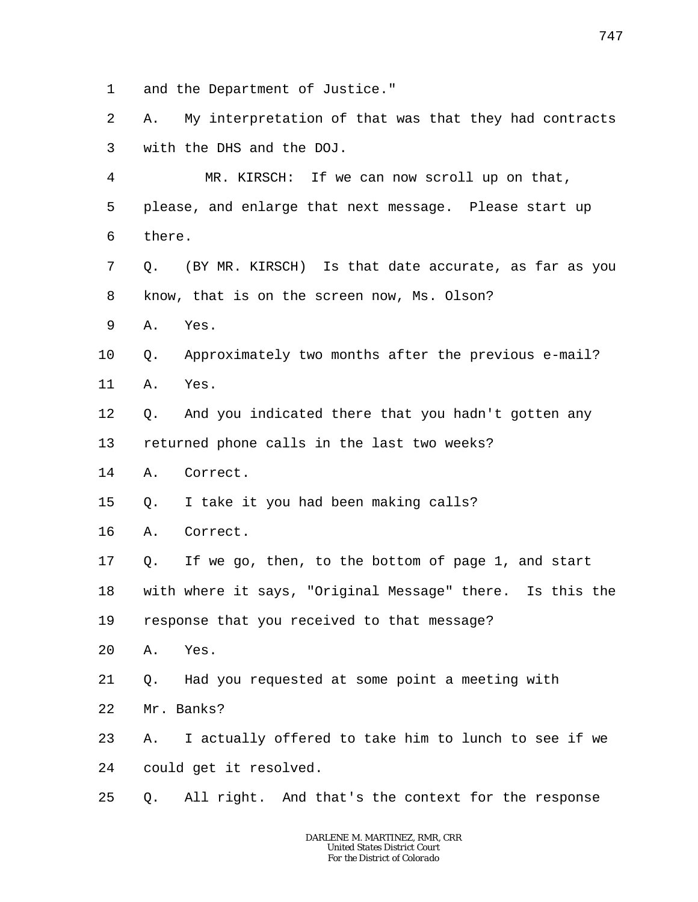1 and the Department of Justice."

2 3 A. My interpretation of that was that they had contracts with the DHS and the DOJ.

4 5 6 MR. KIRSCH: If we can now scroll up on that, please, and enlarge that next message. Please start up there.

7 8 Q. (BY MR. KIRSCH) Is that date accurate, as far as you know, that is on the screen now, Ms. Olson?

9 A. Yes.

#### 10 11 Q. Approximately two months after the previous e-mail? A. Yes.

12 Q. And you indicated there that you hadn't gotten any

13 returned phone calls in the last two weeks?

- 14 A. Correct.
- 15 Q. I take it you had been making calls?
- 16 A. Correct.
- 17 Q. If we go, then, to the bottom of page 1, and start

18 with where it says, "Original Message" there. Is this the

19 response that you received to that message?

- 20 A. Yes.
- 21 Q. Had you requested at some point a meeting with
- 22 Mr. Banks?
- 23 24 A. I actually offered to take him to lunch to see if we could get it resolved.
- 25 Q. All right. And that's the context for the response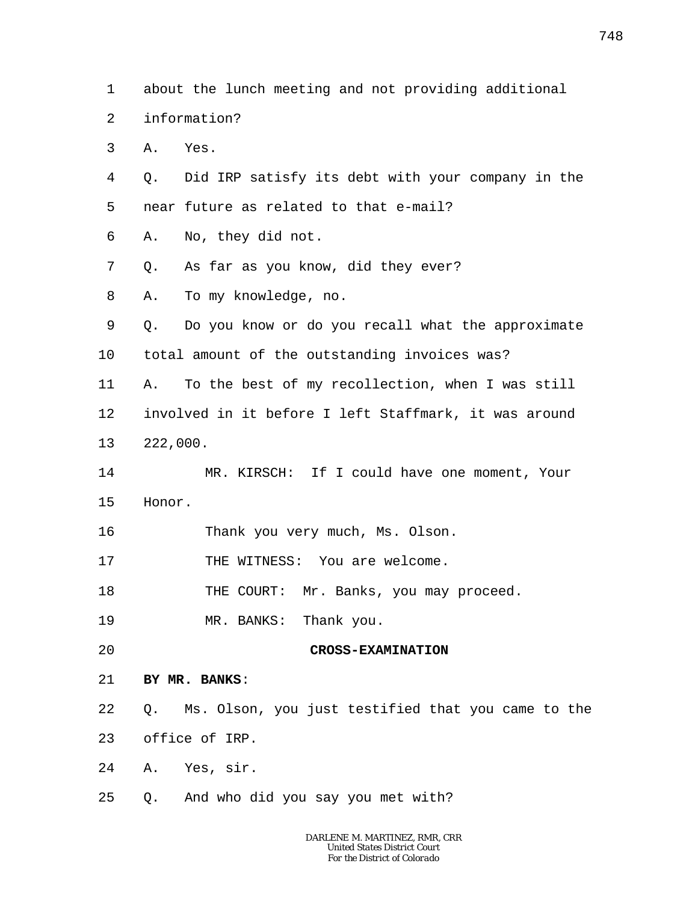1 about the lunch meeting and not providing additional

- $\overline{a}$ information?
- 3 A. Yes.
- 4 5 Q. Did IRP satisfy its debt with your company in the near future as related to that e-mail?
- 6 A. No, they did not.
- 7 Q. As far as you know, did they ever?
- 8 A. To my knowledge, no.
- 9 10 Q. Do you know or do you recall what the approximate total amount of the outstanding invoices was?
- 11 12 13 A. To the best of my recollection, when I was still involved in it before I left Staffmark, it was around 222,000.
- 14 15 MR. KIRSCH: If I could have one moment, Your Honor.
- 16 Thank you very much, Ms. Olson.
- 17 THE WITNESS: You are welcome.
- 18 THE COURT: Mr. Banks, you may proceed.
- 19 MR. BANKS: Thank you.
- 20

#### **CROSS-EXAMINATION**

- 21 **BY MR. BANKS**:
- 22 Q. Ms. Olson, you just testified that you came to the
- 23 office of IRP.
- 24 A. Yes, sir.
- 25 Q. And who did you say you met with?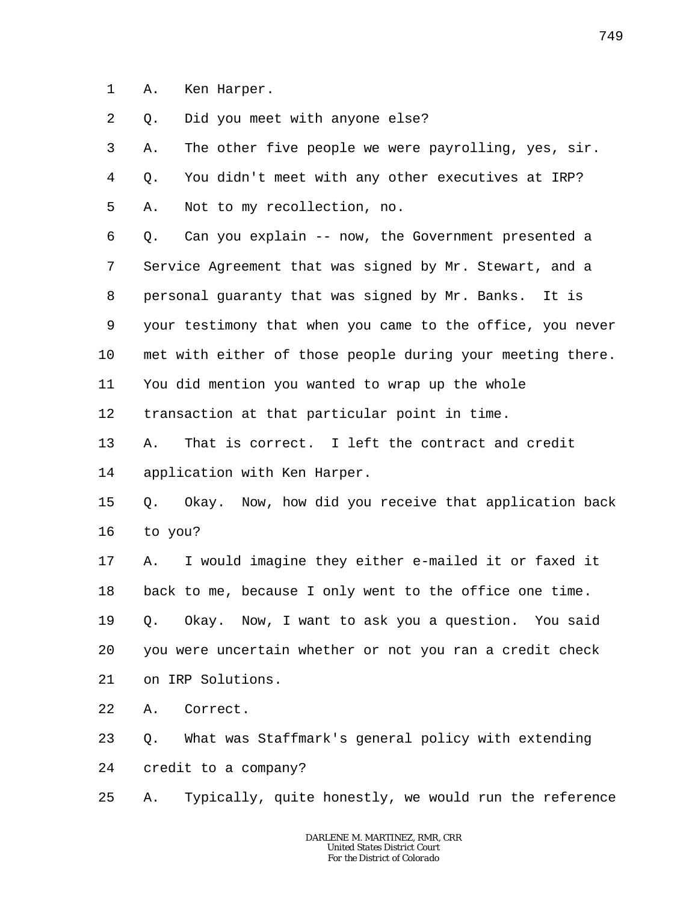1 A. Ken Harper.

2 Q. Did you meet with anyone else?

3 4 5 A. The other five people we were payrolling, yes, sir. Q. You didn't meet with any other executives at IRP? A. Not to my recollection, no.

6 7 8 9 10 11 Q. Can you explain -- now, the Government presented a Service Agreement that was signed by Mr. Stewart, and a personal guaranty that was signed by Mr. Banks. It is your testimony that when you came to the office, you never met with either of those people during your meeting there. You did mention you wanted to wrap up the whole

12 transaction at that particular point in time.

13 14 A. That is correct. I left the contract and credit application with Ken Harper.

#### 15 16 Q. Okay. Now, how did you receive that application back to you?

17 18 19 20 A. I would imagine they either e-mailed it or faxed it back to me, because I only went to the office one time. Q. Okay. Now, I want to ask you a question. You said you were uncertain whether or not you ran a credit check

21 on IRP Solutions.

22 A. Correct.

23 24 Q. What was Staffmark's general policy with extending credit to a company?

25 A. Typically, quite honestly, we would run the reference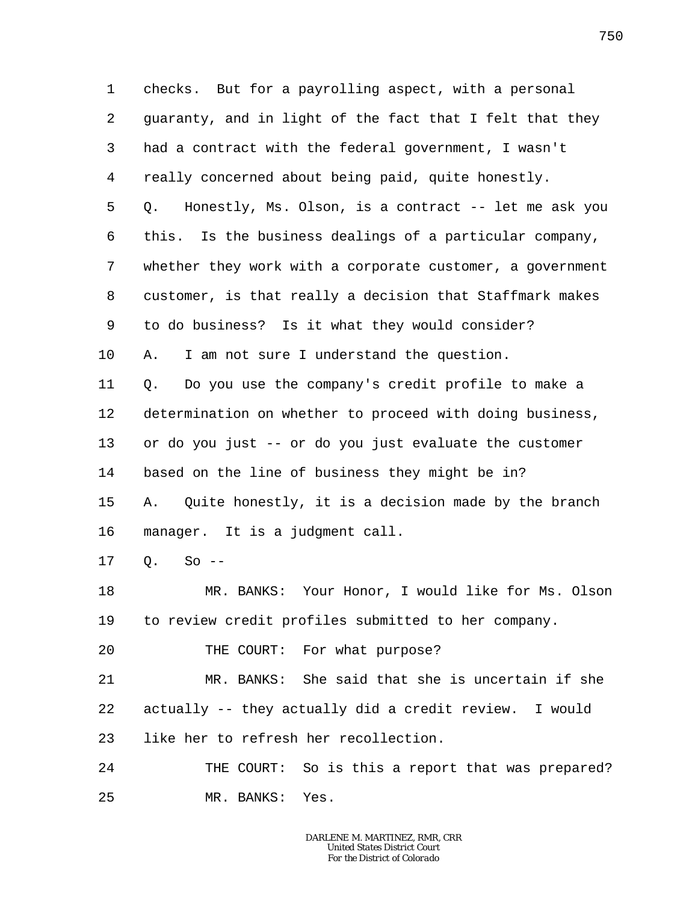1 2 3 4 5 6 7 8 9 10 11 12 13 14 15 16 17 18 19 20 21 22 23 24 25 checks. But for a payrolling aspect, with a personal guaranty, and in light of the fact that I felt that they had a contract with the federal government, I wasn't really concerned about being paid, quite honestly. Q. Honestly, Ms. Olson, is a contract -- let me ask you this. Is the business dealings of a particular company, whether they work with a corporate customer, a government customer, is that really a decision that Staffmark makes to do business? Is it what they would consider? A. I am not sure I understand the question. Q. Do you use the company's credit profile to make a determination on whether to proceed with doing business, or do you just -- or do you just evaluate the customer based on the line of business they might be in? A. Quite honestly, it is a decision made by the branch manager. It is a judgment call.  $Q_2$  So  $-$ MR. BANKS: Your Honor, I would like for Ms. Olson to review credit profiles submitted to her company. THE COURT: For what purpose? MR. BANKS: She said that she is uncertain if she actually -- they actually did a credit review. I would like her to refresh her recollection. THE COURT: So is this a report that was prepared? MR. BANKS: Yes.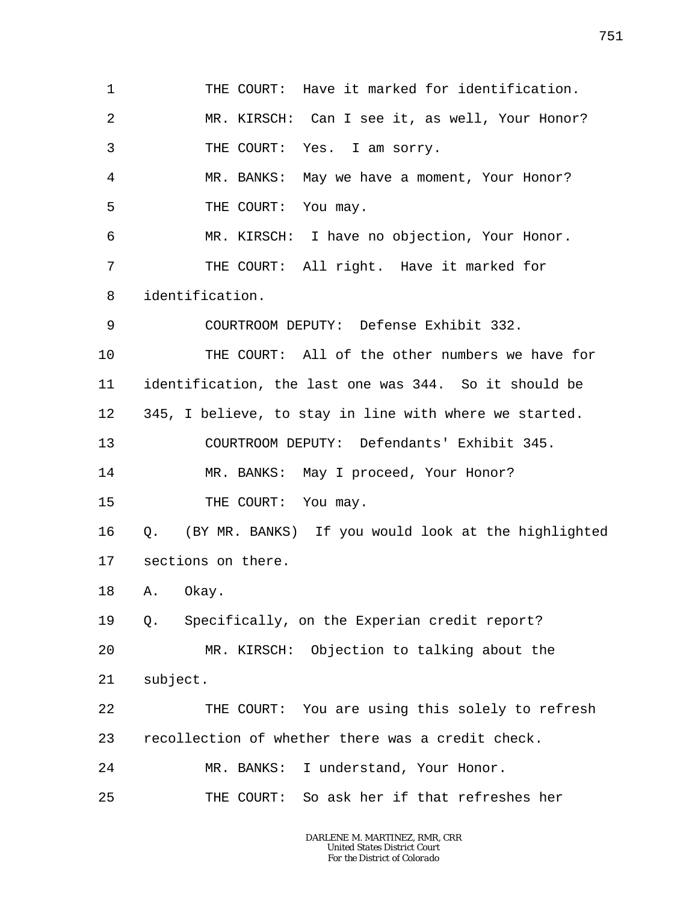1 2 3 4 5 6 7 8 9 10 11 12 13 14 15 16 17 18 19 20 21 22 23 24 25 THE COURT: Have it marked for identification. MR. KIRSCH: Can I see it, as well, Your Honor? THE COURT: Yes. I am sorry. MR. BANKS: May we have a moment, Your Honor? THE COURT: You may. MR. KIRSCH: I have no objection, Your Honor. THE COURT: All right. Have it marked for identification. COURTROOM DEPUTY: Defense Exhibit 332. THE COURT: All of the other numbers we have for identification, the last one was 344. So it should be 345, I believe, to stay in line with where we started. COURTROOM DEPUTY: Defendants' Exhibit 345. MR. BANKS: May I proceed, Your Honor? THE COURT: You may. Q. (BY MR. BANKS) If you would look at the highlighted sections on there. A. Okay. Q. Specifically, on the Experian credit report? MR. KIRSCH: Objection to talking about the subject. THE COURT: You are using this solely to refresh recollection of whether there was a credit check. MR. BANKS: I understand, Your Honor. THE COURT: So ask her if that refreshes her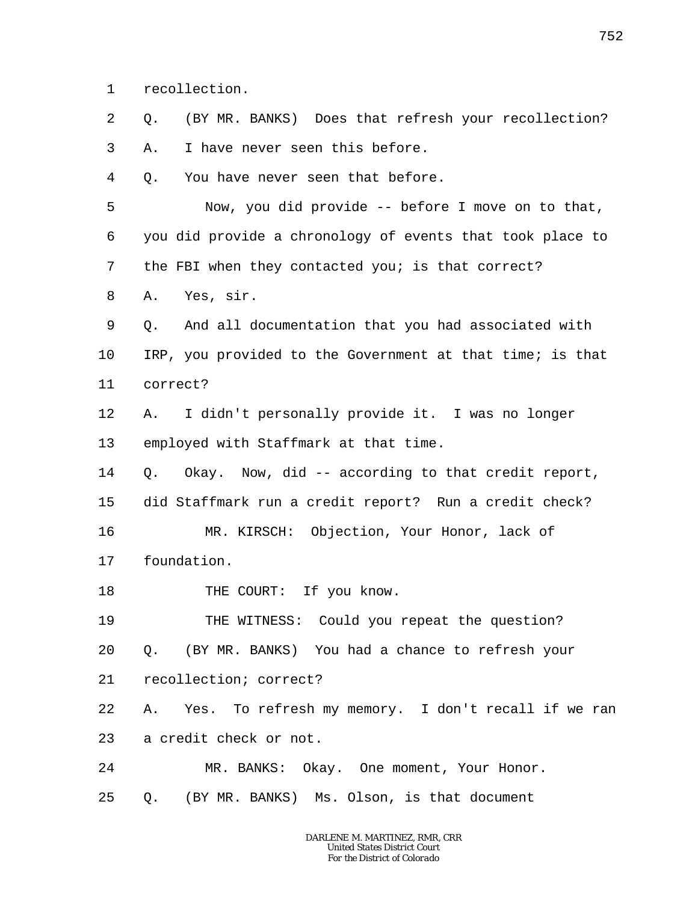1 recollection.

2 Q. (BY MR. BANKS) Does that refresh your recollection?

3 A. I have never seen this before.

4 Q. You have never seen that before.

5 6 7 8 Now, you did provide -- before I move on to that, you did provide a chronology of events that took place to the FBI when they contacted you; is that correct? A. Yes, sir.

9 10 11 Q. And all documentation that you had associated with IRP, you provided to the Government at that time; is that correct?

12 13 A. I didn't personally provide it. I was no longer employed with Staffmark at that time.

14 15 Q. Okay. Now, did -- according to that credit report, did Staffmark run a credit report? Run a credit check?

16 17 MR. KIRSCH: Objection, Your Honor, lack of foundation.

18 THE COURT: If you know.

19 THE WITNESS: Could you repeat the question?

20 Q. (BY MR. BANKS) You had a chance to refresh your

21 recollection; correct?

22 23 A. Yes. To refresh my memory. I don't recall if we ran a credit check or not.

24 MR. BANKS: Okay. One moment, Your Honor.

25 Q. (BY MR. BANKS) Ms. Olson, is that document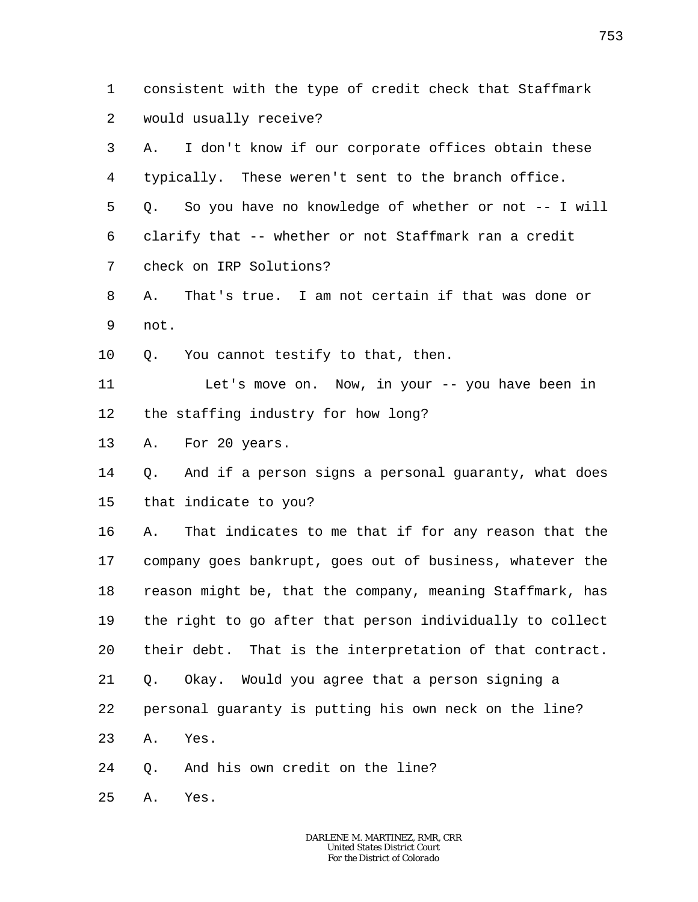1 2 consistent with the type of credit check that Staffmark would usually receive?

3 4 5 6 7 8 9 10 11 12 13 14 15 16 17 18 19 20 21 22 A. I don't know if our corporate offices obtain these typically. These weren't sent to the branch office. Q. So you have no knowledge of whether or not -- I will clarify that -- whether or not Staffmark ran a credit check on IRP Solutions? A. That's true. I am not certain if that was done or not. Q. You cannot testify to that, then. Let's move on. Now, in your -- you have been in the staffing industry for how long? A. For 20 years. Q. And if a person signs a personal guaranty, what does that indicate to you? A. That indicates to me that if for any reason that the company goes bankrupt, goes out of business, whatever the reason might be, that the company, meaning Staffmark, has the right to go after that person individually to collect their debt. That is the interpretation of that contract. Q. Okay. Would you agree that a person signing a personal guaranty is putting his own neck on the line?

- 23 A. Yes.
- 24 Q. And his own credit on the line?
- 25 A. Yes.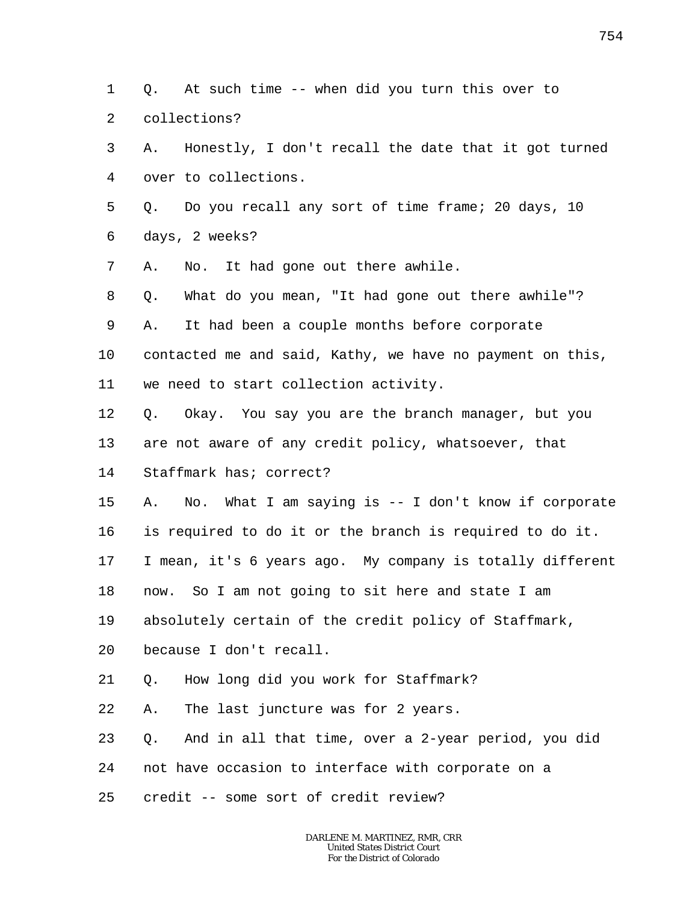1  $\overline{a}$ Q. At such time -- when did you turn this over to collections?

3 4 A. Honestly, I don't recall the date that it got turned over to collections.

5 6 Q. Do you recall any sort of time frame; 20 days, 10 days, 2 weeks?

7 A. No. It had gone out there awhile.

8 Q. What do you mean, "It had gone out there awhile"?

9 A. It had been a couple months before corporate

10 contacted me and said, Kathy, we have no payment on this,

11 we need to start collection activity.

12 Q. Okay. You say you are the branch manager, but you

13 are not aware of any credit policy, whatsoever, that

14 Staffmark has; correct?

15 A. No. What I am saying is -- I don't know if corporate

16 is required to do it or the branch is required to do it.

17 I mean, it's 6 years ago. My company is totally different

18 now. So I am not going to sit here and state I am

19 absolutely certain of the credit policy of Staffmark,

20 because I don't recall.

21 Q. How long did you work for Staffmark?

22 A. The last juncture was for 2 years.

23 Q. And in all that time, over a 2-year period, you did

24 not have occasion to interface with corporate on a

25 credit -- some sort of credit review?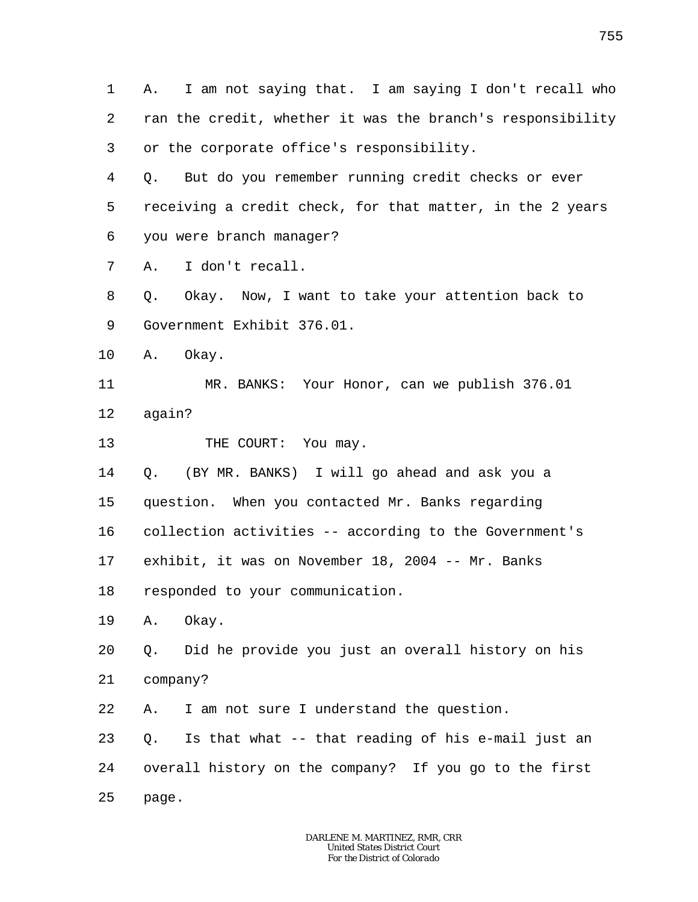1 2 3 4 5 6 7 8 9 10 11 12 13 14 15 16 17 18 19 20 21 22 23 24 25 A. I am not saying that. I am saying I don't recall who ran the credit, whether it was the branch's responsibility or the corporate office's responsibility. Q. But do you remember running credit checks or ever receiving a credit check, for that matter, in the 2 years you were branch manager? A. I don't recall. Q. Okay. Now, I want to take your attention back to Government Exhibit 376.01. A. Okay. MR. BANKS: Your Honor, can we publish 376.01 again? THE COURT: You may. Q. (BY MR. BANKS) I will go ahead and ask you a question. When you contacted Mr. Banks regarding collection activities -- according to the Government's exhibit, it was on November 18, 2004 -- Mr. Banks responded to your communication. A. Okay. Q. Did he provide you just an overall history on his company? A. I am not sure I understand the question. Q. Is that what -- that reading of his e-mail just an overall history on the company? If you go to the first page.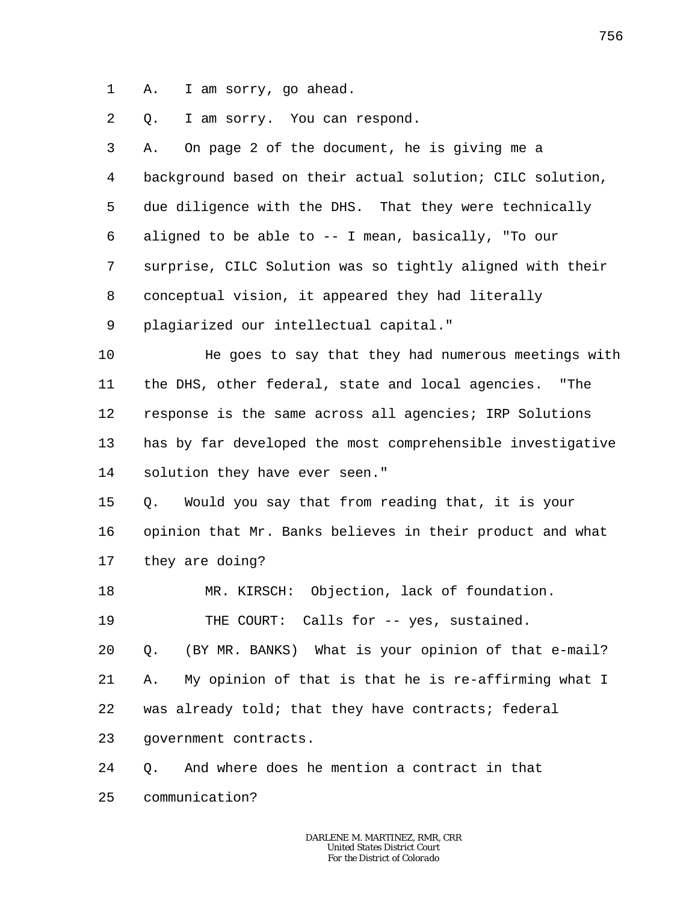1 A. I am sorry, go ahead.

2 Q. I am sorry. You can respond.

3 4 5 6 7 8 9 10 11 12 13 14 15 16 17 18 19 20 21 22 23 24 25 A. On page 2 of the document, he is giving me a background based on their actual solution; CILC solution, due diligence with the DHS. That they were technically aligned to be able to -- I mean, basically, "To our surprise, CILC Solution was so tightly aligned with their conceptual vision, it appeared they had literally plagiarized our intellectual capital." He goes to say that they had numerous meetings with the DHS, other federal, state and local agencies. "The response is the same across all agencies; IRP Solutions has by far developed the most comprehensible investigative solution they have ever seen." Q. Would you say that from reading that, it is your opinion that Mr. Banks believes in their product and what they are doing? MR. KIRSCH: Objection, lack of foundation. THE COURT: Calls for -- yes, sustained. Q. (BY MR. BANKS) What is your opinion of that e-mail? A. My opinion of that is that he is re-affirming what I was already told; that they have contracts; federal government contracts. Q. And where does he mention a contract in that communication?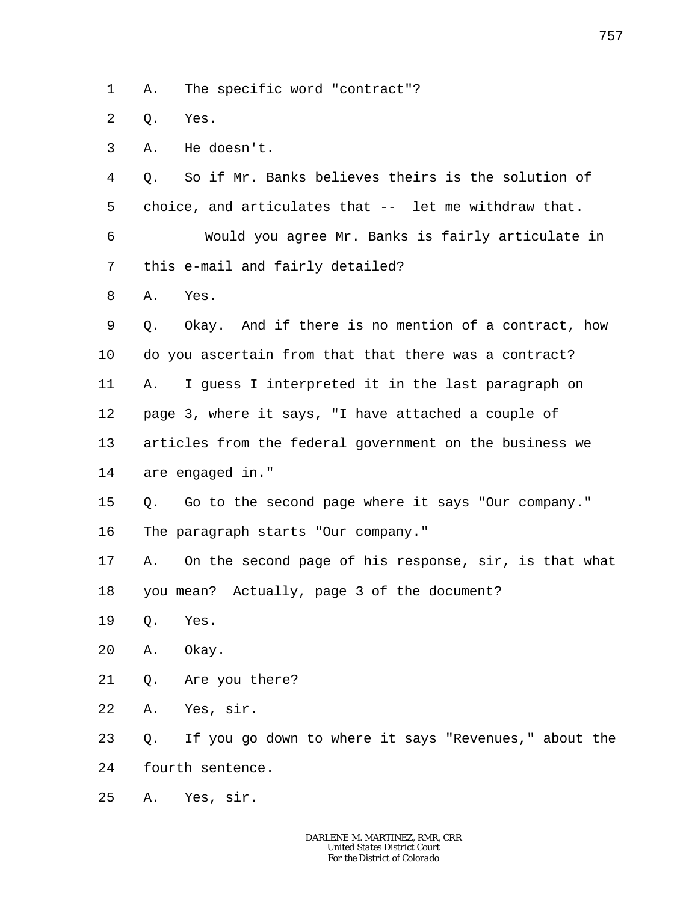1 A. The specific word "contract"?

 $\overline{a}$ Q. Yes.

3 A. He doesn't.

4 5 Q. So if Mr. Banks believes theirs is the solution of choice, and articulates that -- let me withdraw that.

6 7 Would you agree Mr. Banks is fairly articulate in this e-mail and fairly detailed?

8 A. Yes.

9 10 11 12 13 14 Q. Okay. And if there is no mention of a contract, how do you ascertain from that that there was a contract? A. I guess I interpreted it in the last paragraph on page 3, where it says, "I have attached a couple of articles from the federal government on the business we are engaged in."

- 15 Q. Go to the second page where it says "Our company."
- 16 The paragraph starts "Our company."

17 18 A. On the second page of his response, sir, is that what you mean? Actually, page 3 of the document?

- 19 Q. Yes.
- 20 A. Okay.
- 21 Q. Are you there?
- 22 A. Yes, sir.

23 24 Q. If you go down to where it says "Revenues," about the fourth sentence.

25 A. Yes, sir.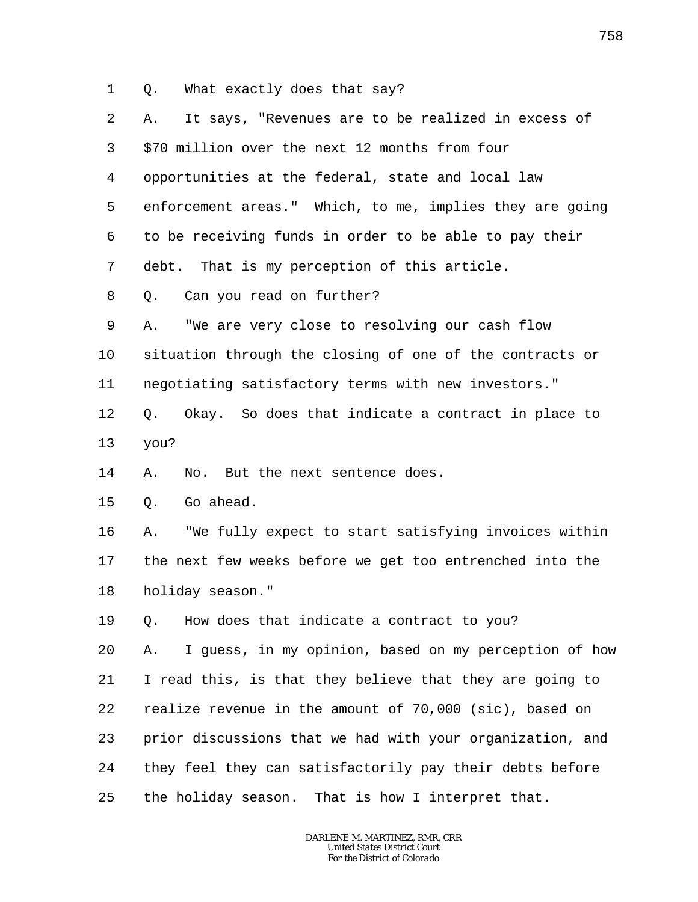1 Q. What exactly does that say?

| 2  | It says, "Revenues are to be realized in excess of<br>Α.    |
|----|-------------------------------------------------------------|
| 3  | \$70 million over the next 12 months from four              |
| 4  | opportunities at the federal, state and local law           |
| 5  | enforcement areas." Which, to me, implies they are going    |
| 6  | to be receiving funds in order to be able to pay their      |
| 7  | debt. That is my perception of this article.                |
| 8  | Can you read on further?<br>Q.                              |
| 9  | "We are very close to resolving our cash flow<br>Α.         |
| 10 | situation through the closing of one of the contracts or    |
| 11 | negotiating satisfactory terms with new investors."         |
| 12 | Okay. So does that indicate a contract in place to<br>Q.    |
| 13 | you?                                                        |
| 14 | No. But the next sentence does.<br>Α.                       |
| 15 | Go ahead.<br>Q.                                             |
| 16 | "We fully expect to start satisfying invoices within<br>Α.  |
| 17 | the next few weeks before we get too entrenched into the    |
| 18 | holiday season."                                            |
| 19 | Q. How does that indicate a contract to you?                |
| 20 | I guess, in my opinion, based on my perception of how<br>Α. |
| 21 | I read this, is that they believe that they are going to    |
| 22 | realize revenue in the amount of 70,000 (sic), based on     |
| 23 | prior discussions that we had with your organization, and   |
| 24 | they feel they can satisfactorily pay their debts before    |
| 25 | the holiday season. That is how I interpret that.           |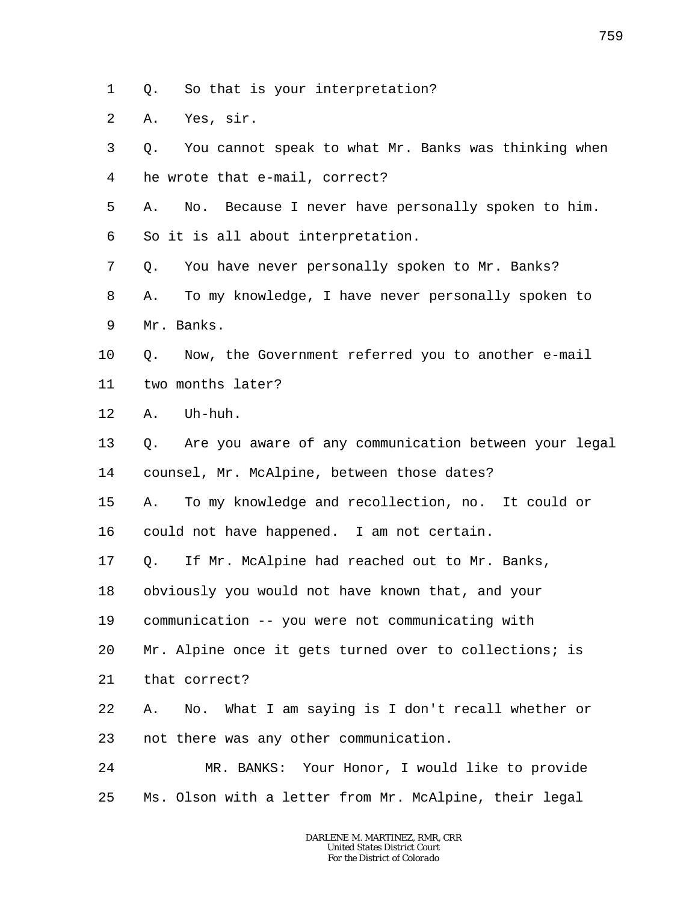1 Q. So that is your interpretation?

2 A. Yes, sir.

3 4 5 6 7 8 9 10 11 12 13 14 15 16 17 18 19 20 21 22 23 24 25 Q. You cannot speak to what Mr. Banks was thinking when he wrote that e-mail, correct? A. No. Because I never have personally spoken to him. So it is all about interpretation. Q. You have never personally spoken to Mr. Banks? A. To my knowledge, I have never personally spoken to Mr. Banks. Q. Now, the Government referred you to another e-mail two months later? A. Uh-huh. Q. Are you aware of any communication between your legal counsel, Mr. McAlpine, between those dates? A. To my knowledge and recollection, no. It could or could not have happened. I am not certain. Q. If Mr. McAlpine had reached out to Mr. Banks, obviously you would not have known that, and your communication -- you were not communicating with Mr. Alpine once it gets turned over to collections; is that correct? A. No. What I am saying is I don't recall whether or not there was any other communication. MR. BANKS: Your Honor, I would like to provide Ms. Olson with a letter from Mr. McAlpine, their legal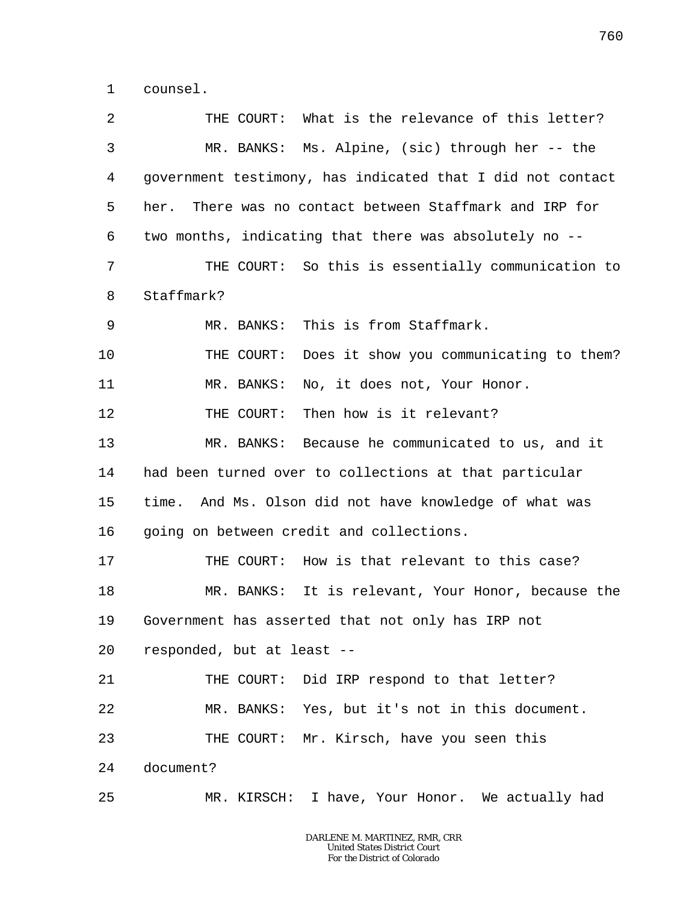1 counsel.

2 3 4 5 6 7 8 9 10 11 12 13 14 15 16 17 18 19 20 21 22 23 24 25 THE COURT: What is the relevance of this letter? MR. BANKS: Ms. Alpine, (sic) through her -- the government testimony, has indicated that I did not contact her. There was no contact between Staffmark and IRP for two months, indicating that there was absolutely no -- THE COURT: So this is essentially communication to Staffmark? MR. BANKS: This is from Staffmark. THE COURT: Does it show you communicating to them? MR. BANKS: No, it does not, Your Honor. THE COURT: Then how is it relevant? MR. BANKS: Because he communicated to us, and it had been turned over to collections at that particular time. And Ms. Olson did not have knowledge of what was going on between credit and collections. THE COURT: How is that relevant to this case? MR. BANKS: It is relevant, Your Honor, because the Government has asserted that not only has IRP not responded, but at least -- THE COURT: Did IRP respond to that letter? MR. BANKS: Yes, but it's not in this document. THE COURT: Mr. Kirsch, have you seen this document? MR. KIRSCH: I have, Your Honor. We actually had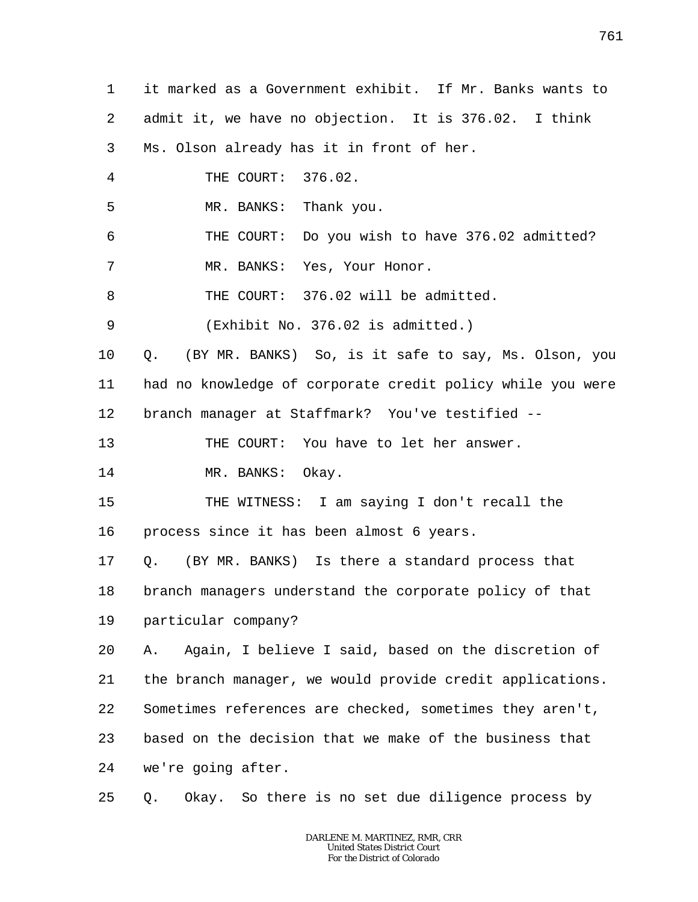1 2 3 4 5 6 7 8 9 10 11 12 13 14 15 16 17 18 19 20 21 22 23 24 25 it marked as a Government exhibit. If Mr. Banks wants to admit it, we have no objection. It is 376.02. I think Ms. Olson already has it in front of her. THE COURT: 376.02. MR. BANKS: Thank you. THE COURT: Do you wish to have 376.02 admitted? MR. BANKS: Yes, Your Honor. THE COURT: 376.02 will be admitted. (Exhibit No. 376.02 is admitted.) Q. (BY MR. BANKS) So, is it safe to say, Ms. Olson, you had no knowledge of corporate credit policy while you were branch manager at Staffmark? You've testified -- THE COURT: You have to let her answer. MR. BANKS: Okay. THE WITNESS: I am saying I don't recall the process since it has been almost 6 years. Q. (BY MR. BANKS) Is there a standard process that branch managers understand the corporate policy of that particular company? A. Again, I believe I said, based on the discretion of the branch manager, we would provide credit applications. Sometimes references are checked, sometimes they aren't, based on the decision that we make of the business that we're going after. Q. Okay. So there is no set due diligence process by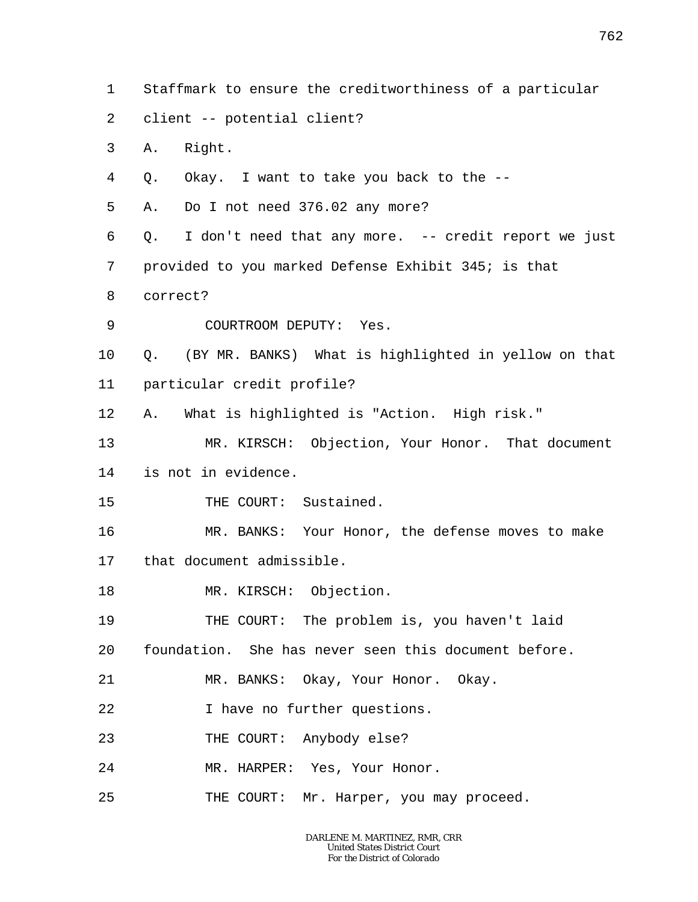- 1 Staffmark to ensure the creditworthiness of a particular
- 2 client -- potential client?
- 3 A. Right.
- 4 Q. Okay. I want to take you back to the --
- 5 A. Do I not need 376.02 any more?
- 6 Q. I don't need that any more. -- credit report we just
- 7 provided to you marked Defense Exhibit 345; is that
- 8 correct?
- 9 COURTROOM DEPUTY: Yes.
- 10 11 Q. (BY MR. BANKS) What is highlighted in yellow on that particular credit profile?
- 12 A. What is highlighted is "Action. High risk."
- 13 14 MR. KIRSCH: Objection, Your Honor. That document is not in evidence.
- 15 THE COURT: Sustained.
- 16 17 MR. BANKS: Your Honor, the defense moves to make that document admissible.
- 18 MR. KIRSCH: Objection.
- 19 THE COURT: The problem is, you haven't laid
- 20 foundation. She has never seen this document before.
- 21 MR. BANKS: Okay, Your Honor. Okay.
- 22 I have no further questions.
- 23 THE COURT: Anybody else?
- 24 MR. HARPER: Yes, Your Honor.
- 25 THE COURT: Mr. Harper, you may proceed.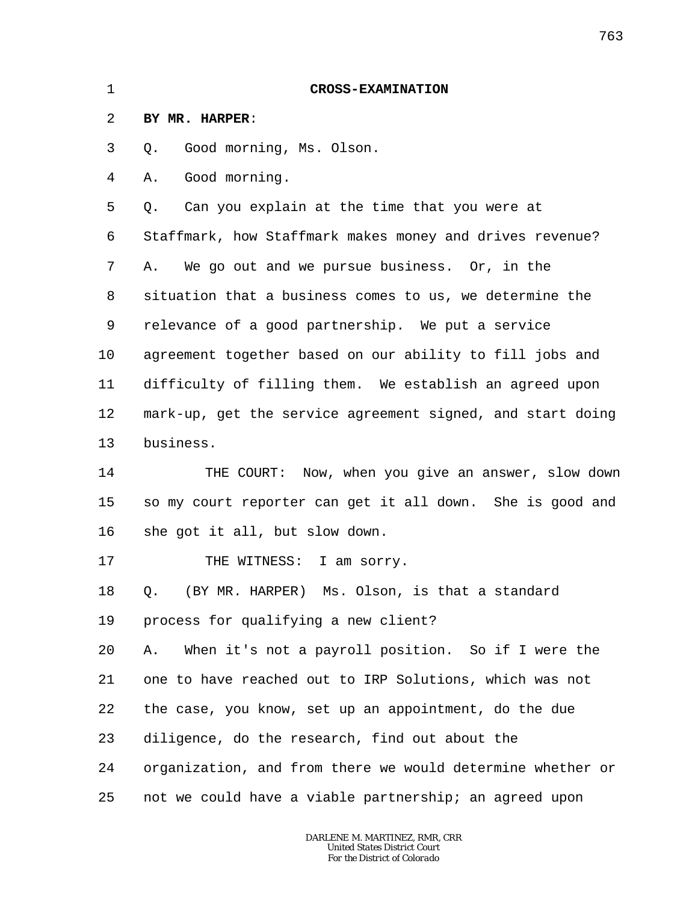| $\mathbf 1$ | <b>CROSS-EXAMINATION</b>                                   |
|-------------|------------------------------------------------------------|
| 2           | BY MR. HARPER:                                             |
| 3           | Good morning, Ms. Olson.<br>Q.                             |
| 4           | Good morning.<br>Α.                                        |
| 5           | Can you explain at the time that you were at<br>О.         |
| 6           | Staffmark, how Staffmark makes money and drives revenue?   |
| 7           | We go out and we pursue business. Or, in the<br>Α.         |
| 8           | situation that a business comes to us, we determine the    |
| 9           | relevance of a good partnership. We put a service          |
| 10          | agreement together based on our ability to fill jobs and   |
| 11          | difficulty of filling them. We establish an agreed upon    |
| 12          | mark-up, get the service agreement signed, and start doing |
| 13          | business.                                                  |
| 14          | THE COURT: Now, when you give an answer, slow down         |
| 15          | so my court reporter can get it all down. She is good and  |
| 16          | she got it all, but slow down.                             |
| 17          | I am sorry.<br>THE WITNESS:                                |
| 18          | (BY MR. HARPER) Ms. Olson, is that a standard<br>Q.        |
| 19          | process for qualifying a new client?                       |
| 20          | When it's not a payroll position. So if I were the<br>Α.   |
| 21          | one to have reached out to IRP Solutions, which was not    |
| 22          | the case, you know, set up an appointment, do the due      |
| 23          | diligence, do the research, find out about the             |
| 24          | organization, and from there we would determine whether or |
| 25          | not we could have a viable partnership; an agreed upon     |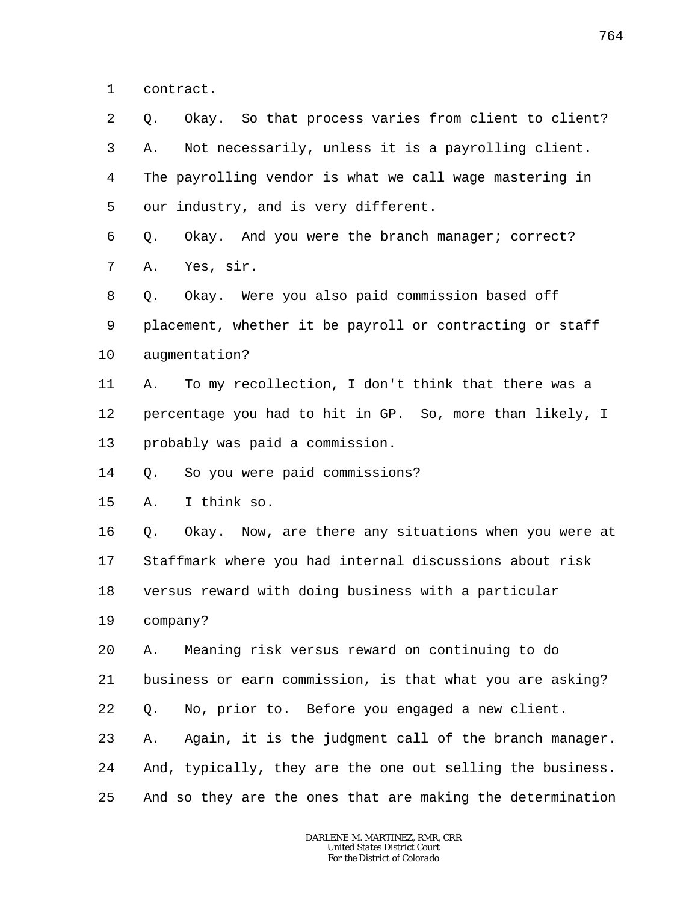1 contract.

2 3 4 5 6 7 8 9 10 11 12 13 14 15 16 17 18 19 20 21 22 23 24 25 Q. Okay. So that process varies from client to client? A. Not necessarily, unless it is a payrolling client. The payrolling vendor is what we call wage mastering in our industry, and is very different. Q. Okay. And you were the branch manager; correct? A. Yes, sir. Q. Okay. Were you also paid commission based off placement, whether it be payroll or contracting or staff augmentation? A. To my recollection, I don't think that there was a percentage you had to hit in GP. So, more than likely, I probably was paid a commission. Q. So you were paid commissions? A. I think so. Q. Okay. Now, are there any situations when you were at Staffmark where you had internal discussions about risk versus reward with doing business with a particular company? A. Meaning risk versus reward on continuing to do business or earn commission, is that what you are asking? Q. No, prior to. Before you engaged a new client. A. Again, it is the judgment call of the branch manager. And, typically, they are the one out selling the business. And so they are the ones that are making the determination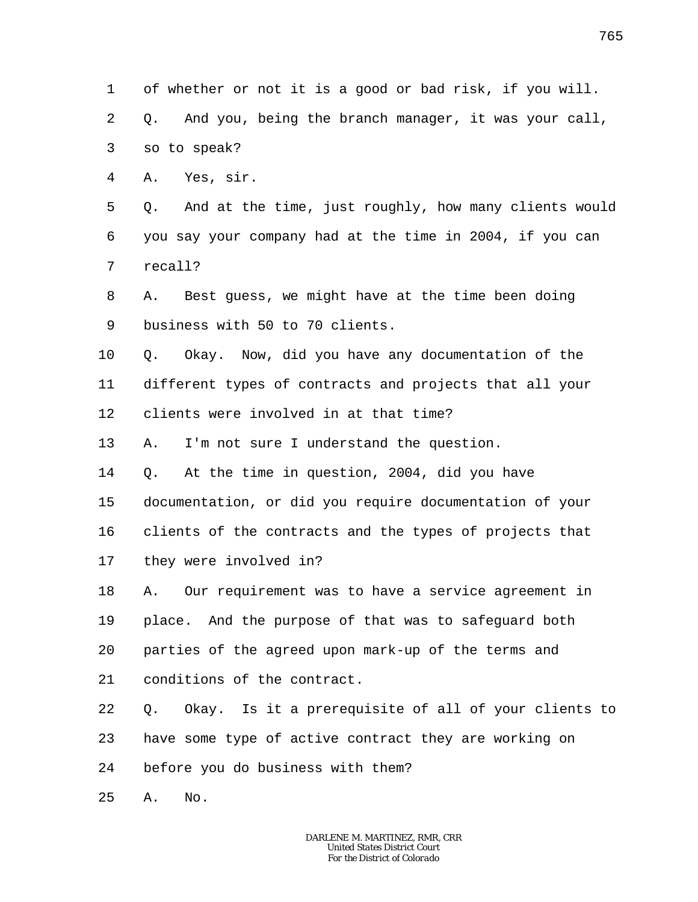1 2 3 4 5 6 7 8 9 10 11 12 13 14 15 16 17 18 19 20 21 22 23 24 25 of whether or not it is a good or bad risk, if you will. Q. And you, being the branch manager, it was your call, so to speak? A. Yes, sir. Q. And at the time, just roughly, how many clients would you say your company had at the time in 2004, if you can recall? A. Best guess, we might have at the time been doing business with 50 to 70 clients. Q. Okay. Now, did you have any documentation of the different types of contracts and projects that all your clients were involved in at that time? A. I'm not sure I understand the question. Q. At the time in question, 2004, did you have documentation, or did you require documentation of your clients of the contracts and the types of projects that they were involved in? A. Our requirement was to have a service agreement in place. And the purpose of that was to safeguard both parties of the agreed upon mark-up of the terms and conditions of the contract. Q. Okay. Is it a prerequisite of all of your clients to have some type of active contract they are working on before you do business with them? A. No.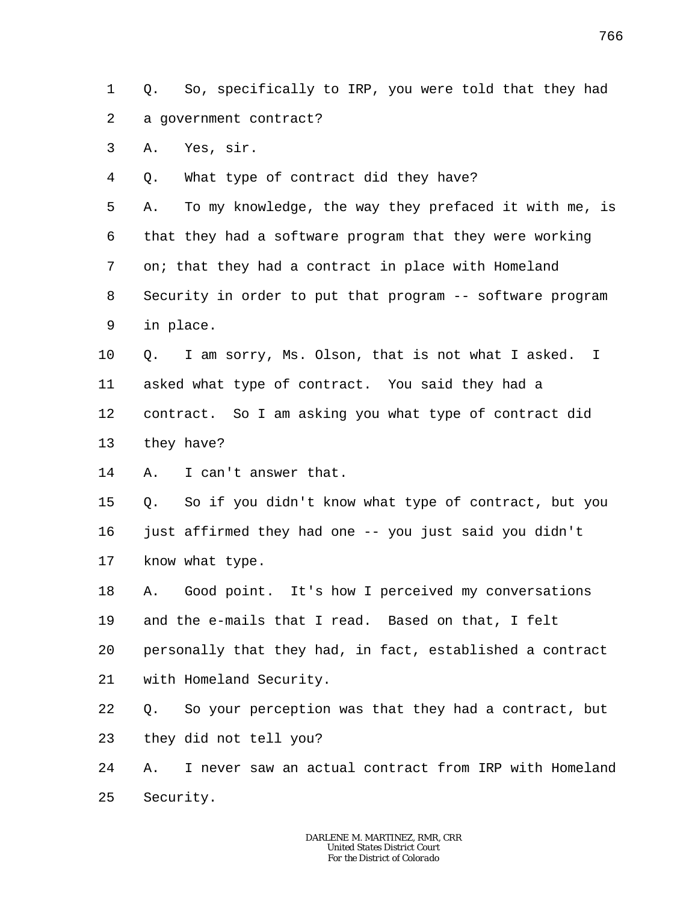1 2 Q. So, specifically to IRP, you were told that they had a government contract?

3 A. Yes, sir.

4 Q. What type of contract did they have?

5 6 7 8 9 A. To my knowledge, the way they prefaced it with me, is that they had a software program that they were working on; that they had a contract in place with Homeland Security in order to put that program -- software program in place.

10 11 12 Q. I am sorry, Ms. Olson, that is not what I asked. I asked what type of contract. You said they had a contract. So I am asking you what type of contract did

- 13 they have?
- 14 A. I can't answer that.

15 16 17 Q. So if you didn't know what type of contract, but you just affirmed they had one -- you just said you didn't know what type.

18 19 20 A. Good point. It's how I perceived my conversations and the e-mails that I read. Based on that, I felt personally that they had, in fact, established a contract

21 with Homeland Security.

22 23 Q. So your perception was that they had a contract, but they did not tell you?

24 25 A. I never saw an actual contract from IRP with Homeland Security.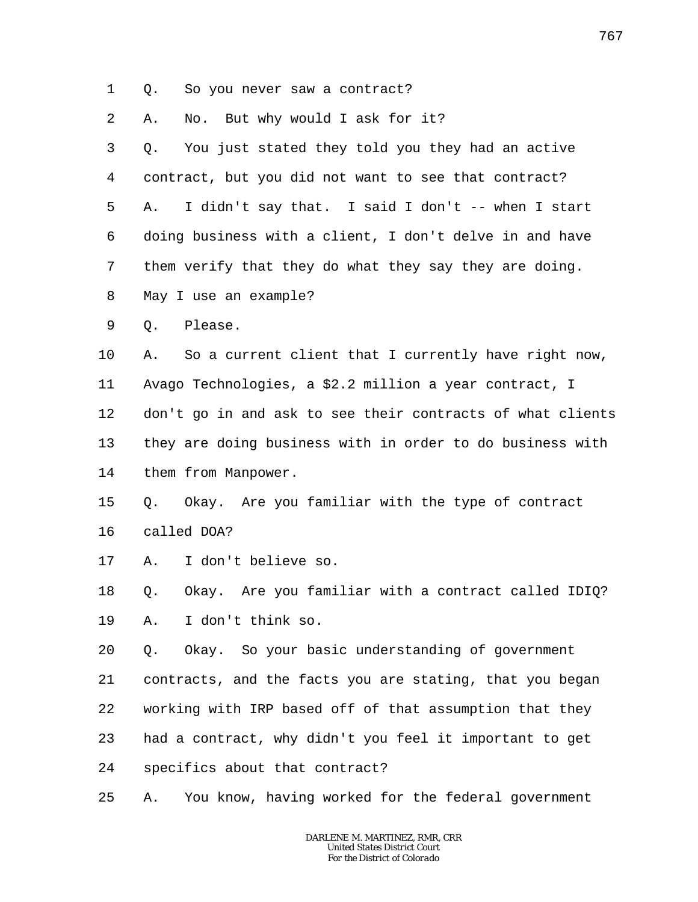1 Q. So you never saw a contract?

2 A. No. But why would I ask for it?

3 4 5 6 7 8 Q. You just stated they told you they had an active contract, but you did not want to see that contract? A. I didn't say that. I said I don't -- when I start doing business with a client, I don't delve in and have them verify that they do what they say they are doing. May I use an example?

9 Q. Please.

10 11 12 13 14 A. So a current client that I currently have right now, Avago Technologies, a \$2.2 million a year contract, I don't go in and ask to see their contracts of what clients they are doing business with in order to do business with them from Manpower.

- 15 16 Q. Okay. Are you familiar with the type of contract called DOA?
- 
- 17 A. I don't believe so.

18 19 Q. Okay. Are you familiar with a contract called IDIQ? A. I don't think so.

20 21 22 23 24 Q. Okay. So your basic understanding of government contracts, and the facts you are stating, that you began working with IRP based off of that assumption that they had a contract, why didn't you feel it important to get specifics about that contract?

25 A. You know, having worked for the federal government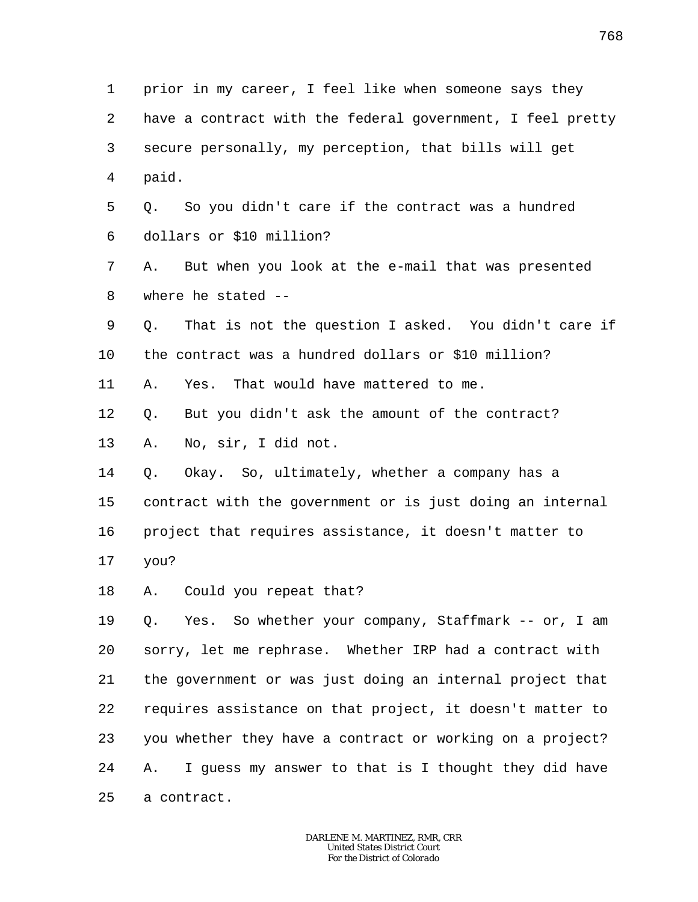1 2 3 4 5 6 7 8 9 10 11 12 13 14 15 16 17 18 19 20 21 22 23 24 25 prior in my career, I feel like when someone says they have a contract with the federal government, I feel pretty secure personally, my perception, that bills will get paid. Q. So you didn't care if the contract was a hundred dollars or \$10 million? A. But when you look at the e-mail that was presented where he stated -- Q. That is not the question I asked. You didn't care if the contract was a hundred dollars or \$10 million? A. Yes. That would have mattered to me. Q. But you didn't ask the amount of the contract? A. No, sir, I did not. Q. Okay. So, ultimately, whether a company has a contract with the government or is just doing an internal project that requires assistance, it doesn't matter to you? A. Could you repeat that? Q. Yes. So whether your company, Staffmark -- or, I am sorry, let me rephrase. Whether IRP had a contract with the government or was just doing an internal project that requires assistance on that project, it doesn't matter to you whether they have a contract or working on a project? A. I guess my answer to that is I thought they did have a contract.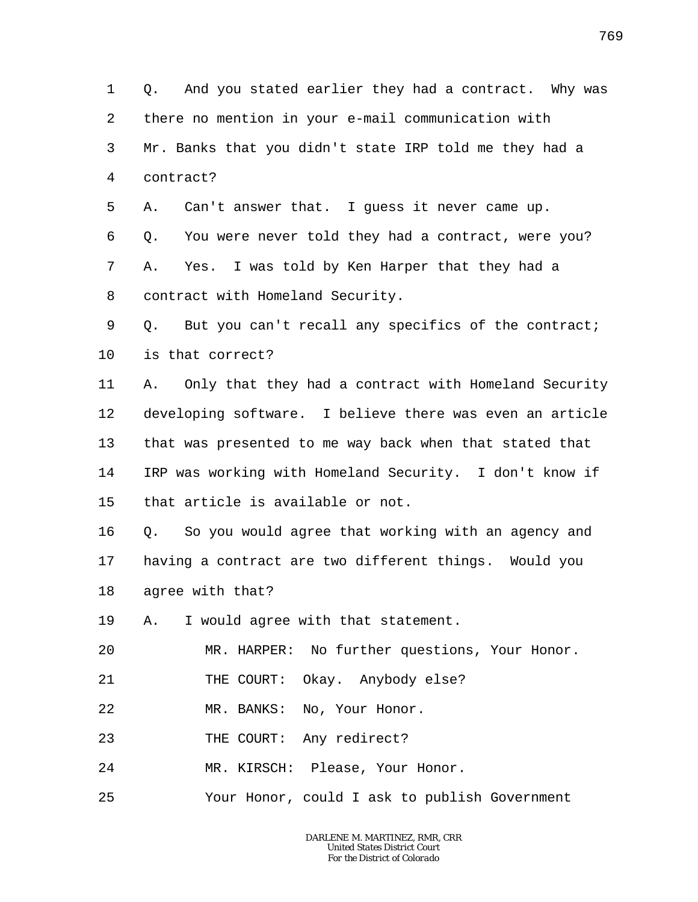1 2 3 4 5 6 7 8 9 10 11 12 13 14 15 16 17 18 19 20 21 22 23 24 25 Q. And you stated earlier they had a contract. Why was there no mention in your e-mail communication with Mr. Banks that you didn't state IRP told me they had a contract? A. Can't answer that. I guess it never came up. Q. You were never told they had a contract, were you? A. Yes. I was told by Ken Harper that they had a contract with Homeland Security. Q. But you can't recall any specifics of the contract; is that correct? A. Only that they had a contract with Homeland Security developing software. I believe there was even an article that was presented to me way back when that stated that IRP was working with Homeland Security. I don't know if that article is available or not. Q. So you would agree that working with an agency and having a contract are two different things. Would you agree with that? A. I would agree with that statement. MR. HARPER: No further questions, Your Honor. THE COURT: Okay. Anybody else? MR. BANKS: No, Your Honor. THE COURT: Any redirect? MR. KIRSCH: Please, Your Honor. Your Honor, could I ask to publish Government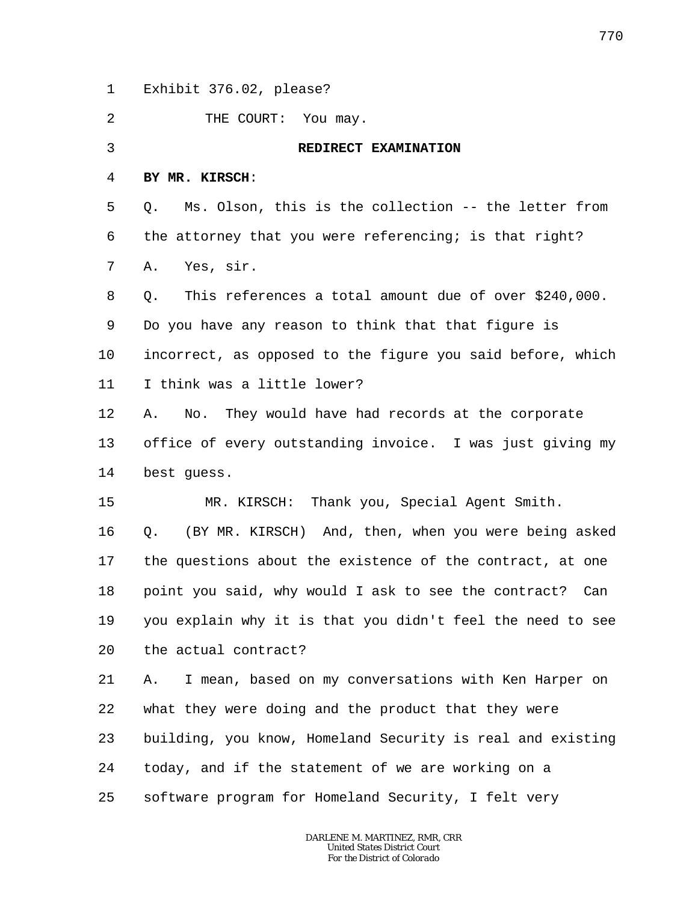1 Exhibit 376.02, please?

 $\overline{a}$ THE COURT: You may.

3

## **REDIRECT EXAMINATION**

4 **BY MR. KIRSCH**:

5 6 7 Q. Ms. Olson, this is the collection -- the letter from the attorney that you were referencing; is that right? A. Yes, sir.

8 9 10 11 Q. This references a total amount due of over \$240,000. Do you have any reason to think that that figure is incorrect, as opposed to the figure you said before, which I think was a little lower?

12 13 14 A. No. They would have had records at the corporate office of every outstanding invoice. I was just giving my best guess.

15 MR. KIRSCH: Thank you, Special Agent Smith.

16 17 18 19 20 Q. (BY MR. KIRSCH) And, then, when you were being asked the questions about the existence of the contract, at one point you said, why would I ask to see the contract? Can you explain why it is that you didn't feel the need to see the actual contract?

21 22 23 24 25 A. I mean, based on my conversations with Ken Harper on what they were doing and the product that they were building, you know, Homeland Security is real and existing today, and if the statement of we are working on a software program for Homeland Security, I felt very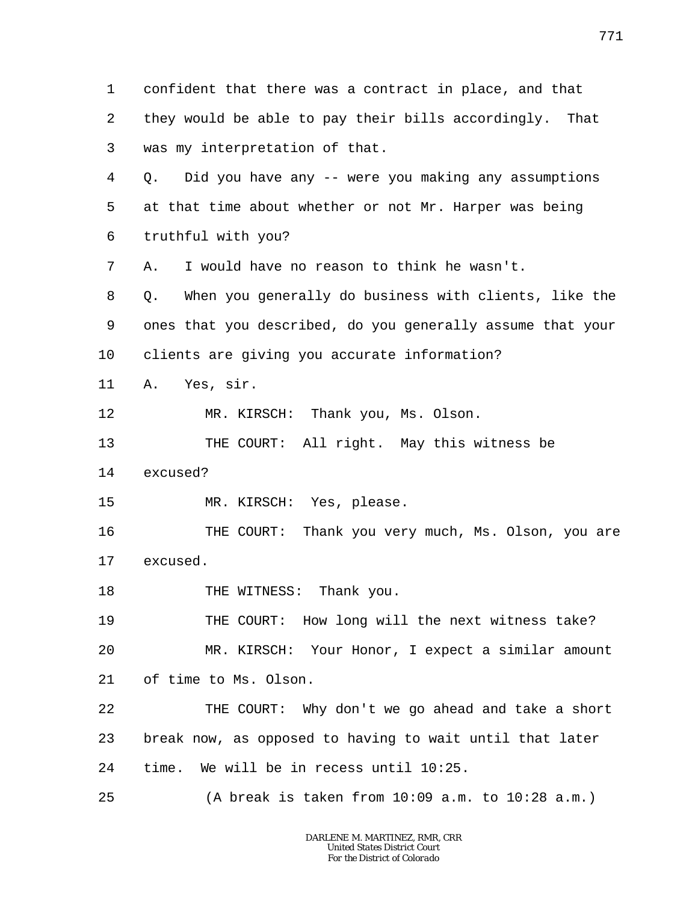1 2 3 4 5 6 7 8 9 10 11 12 13 14 15 16 17 18 19 20 21 22 23 24 25 confident that there was a contract in place, and that they would be able to pay their bills accordingly. That was my interpretation of that. Q. Did you have any -- were you making any assumptions at that time about whether or not Mr. Harper was being truthful with you? A. I would have no reason to think he wasn't. Q. When you generally do business with clients, like the ones that you described, do you generally assume that your clients are giving you accurate information? A. Yes, sir. MR. KIRSCH: Thank you, Ms. Olson. THE COURT: All right. May this witness be excused? MR. KIRSCH: Yes, please. THE COURT: Thank you very much, Ms. Olson, you are excused. THE WITNESS: Thank you. THE COURT: How long will the next witness take? MR. KIRSCH: Your Honor, I expect a similar amount of time to Ms. Olson. THE COURT: Why don't we go ahead and take a short break now, as opposed to having to wait until that later time. We will be in recess until 10:25. (A break is taken from  $10:09$  a.m. to  $10:28$  a.m.)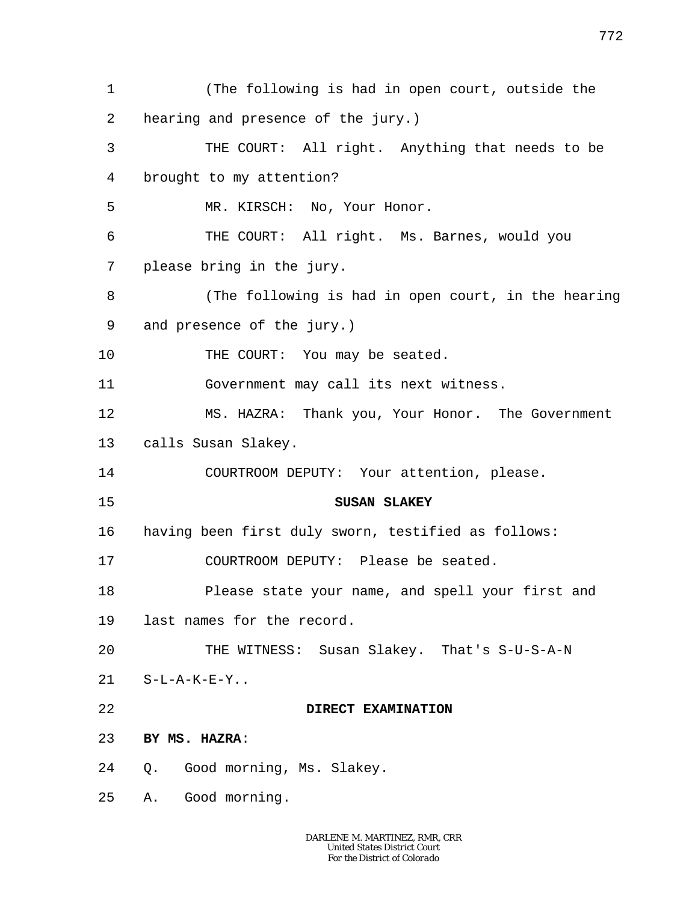1 2 3 4 5 6 7 8 9 10 11 12 13 14 15 16 17 18 19 20 21 22 23 24 25 (The following is had in open court, outside the hearing and presence of the jury.) THE COURT: All right. Anything that needs to be brought to my attention? MR. KIRSCH: No, Your Honor. THE COURT: All right. Ms. Barnes, would you please bring in the jury. (The following is had in open court, in the hearing and presence of the jury.) THE COURT: You may be seated. Government may call its next witness. MS. HAZRA: Thank you, Your Honor. The Government calls Susan Slakey. COURTROOM DEPUTY: Your attention, please. **SUSAN SLAKEY** having been first duly sworn, testified as follows: COURTROOM DEPUTY: Please be seated. Please state your name, and spell your first and last names for the record. THE WITNESS: Susan Slakey. That's S-U-S-A-N  $S-L-A-K-E-Y$ . **DIRECT EXAMINATION BY MS. HAZRA**: Q. Good morning, Ms. Slakey. A. Good morning.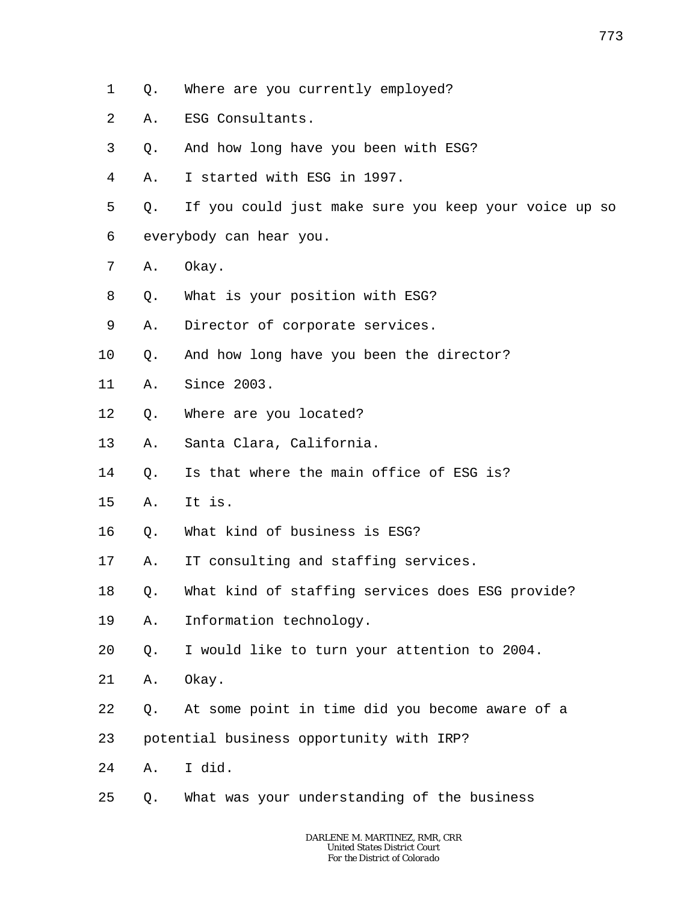- 1 Q. Where are you currently employed?
- 2 A. ESG Consultants.
- 3 Q. And how long have you been with ESG?
- 4 A. I started with ESG in 1997.
- 5 6 Q. If you could just make sure you keep your voice up so everybody can hear you.
- 7 A. Okay.
- 8 Q. What is your position with ESG?
- 9 A. Director of corporate services.
- 10 Q. And how long have you been the director?
- 11 A. Since 2003.
- 12 Q. Where are you located?
- 13 A. Santa Clara, California.
- 14 Q. Is that where the main office of ESG is?
- 15 A. It is.
- 16 Q. What kind of business is ESG?
- 17 A. IT consulting and staffing services.
- 18 Q. What kind of staffing services does ESG provide?
- 19 A. Information technology.
- 20 Q. I would like to turn your attention to 2004.
- 21 A. Okay.
- 22 Q. At some point in time did you become aware of a
- 23 potential business opportunity with IRP?
- 24 A. I did.
- 25 Q. What was your understanding of the business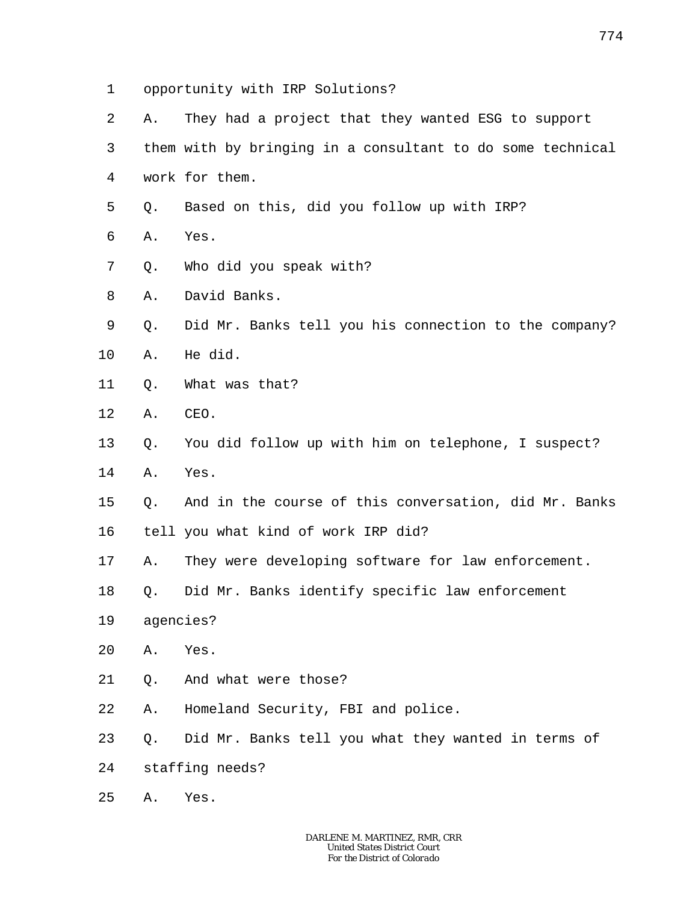- 1 opportunity with IRP Solutions?
- 2 A. They had a project that they wanted ESG to support
- 3 4 them with by bringing in a consultant to do some technical work for them.
- 5 Q. Based on this, did you follow up with IRP?
- 6 A. Yes.
- 7 Q. Who did you speak with?
- 8 A. David Banks.
- 9 10 Q. Did Mr. Banks tell you his connection to the company? A. He did.
- 11 Q. What was that?
- 12 A. CEO.
- 13 Q. You did follow up with him on telephone, I suspect?
- 14 A. Yes.
- 15 Q. And in the course of this conversation, did Mr. Banks
- 16 tell you what kind of work IRP did?
- 17 A. They were developing software for law enforcement.
- 18 Q. Did Mr. Banks identify specific law enforcement
- 19 agencies?
- 20 A. Yes.
- 21 Q. And what were those?
- 22 A. Homeland Security, FBI and police.
- 23 Q. Did Mr. Banks tell you what they wanted in terms of
- 24 staffing needs?
- 25 A. Yes.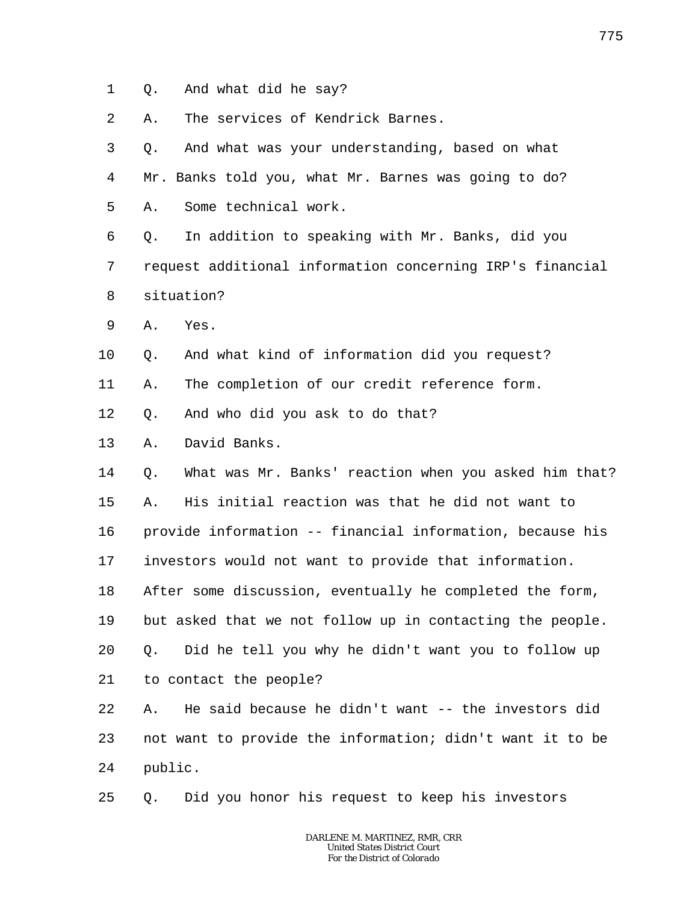1 Q. And what did he say?

2 A. The services of Kendrick Barnes.

3 4 5 Q. And what was your understanding, based on what Mr. Banks told you, what Mr. Barnes was going to do? A. Some technical work.

6 7 8 Q. In addition to speaking with Mr. Banks, did you request additional information concerning IRP's financial situation?

9 A. Yes.

10 Q. And what kind of information did you request?

11 A. The completion of our credit reference form.

12 Q. And who did you ask to do that?

13 A. David Banks.

14 15 16 17 18 19 20 21 Q. What was Mr. Banks' reaction when you asked him that? A. His initial reaction was that he did not want to provide information -- financial information, because his investors would not want to provide that information. After some discussion, eventually he completed the form, but asked that we not follow up in contacting the people. Q. Did he tell you why he didn't want you to follow up to contact the people?

22 23 24 A. He said because he didn't want -- the investors did not want to provide the information; didn't want it to be public.

25 Q. Did you honor his request to keep his investors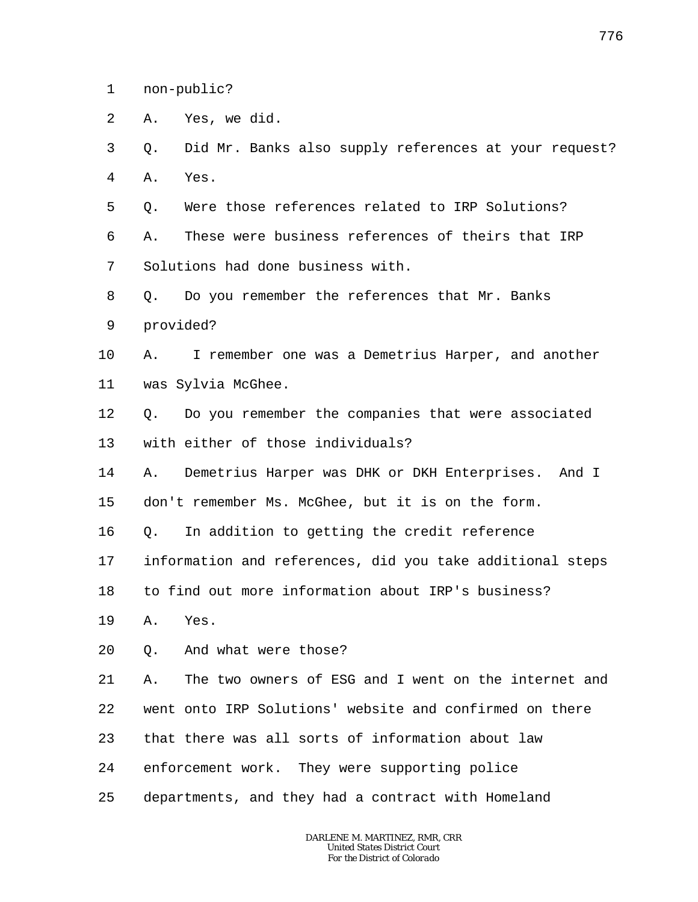1 non-public?

- 2 A. Yes, we did.
- 3 4 Q. Did Mr. Banks also supply references at your request? A. Yes.
- 5 Q. Were those references related to IRP Solutions?

6 7 A. These were business references of theirs that IRP Solutions had done business with.

- 8 Q. Do you remember the references that Mr. Banks
- 9 provided?

## 10 11 A. I remember one was a Demetrius Harper, and another was Sylvia McGhee.

12 13 Q. Do you remember the companies that were associated with either of those individuals?

14 15 A. Demetrius Harper was DHK or DKH Enterprises. And I don't remember Ms. McGhee, but it is on the form.

16 Q. In addition to getting the credit reference

17 information and references, did you take additional steps

18 to find out more information about IRP's business?

- 19 A. Yes.
- 20 Q. And what were those?

21 22 23 24 25 A. The two owners of ESG and I went on the internet and went onto IRP Solutions' website and confirmed on there that there was all sorts of information about law enforcement work. They were supporting police departments, and they had a contract with Homeland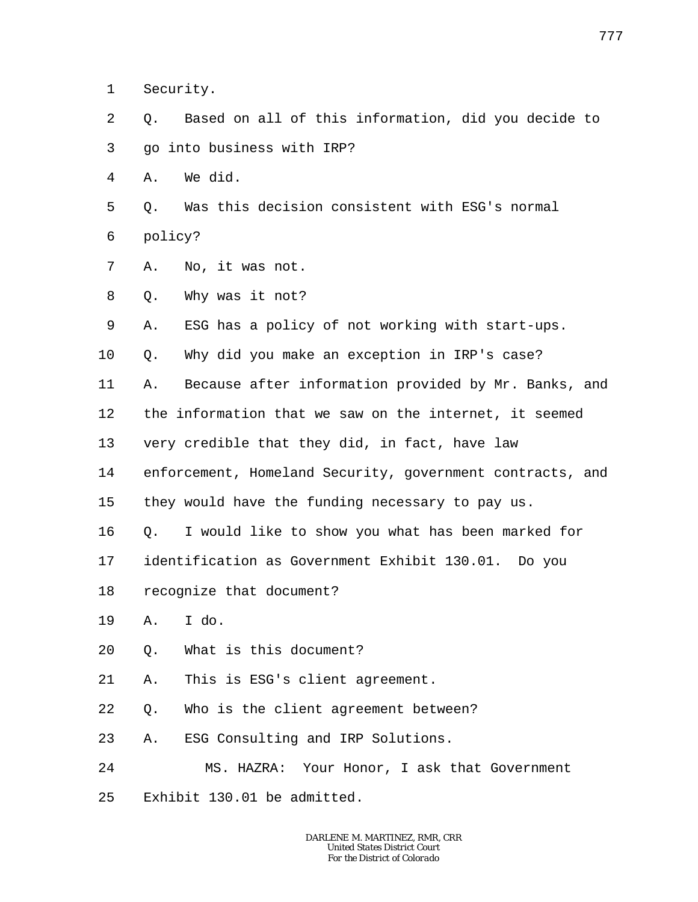1 Security.

- 2 3 Q. Based on all of this information, did you decide to go into business with IRP?
- 4 A. We did.
- 5 6 Q. Was this decision consistent with ESG's normal policy?
- 7 A. No, it was not.
- 8 Q. Why was it not?
- 9 A. ESG has a policy of not working with start-ups.
- 10 Q. Why did you make an exception in IRP's case?
- 11 A. Because after information provided by Mr. Banks, and
- 12 the information that we saw on the internet, it seemed
- 13 very credible that they did, in fact, have law
- 14 enforcement, Homeland Security, government contracts, and
- 15 they would have the funding necessary to pay us.
- 16 Q. I would like to show you what has been marked for
- 17 identification as Government Exhibit 130.01. Do you
- 18 recognize that document?
- 19 A. I do.
- 20 Q. What is this document?
- 21 A. This is ESG's client agreement.
- 22 Q. Who is the client agreement between?
- 23 A. ESG Consulting and IRP Solutions.
- 24 MS. HAZRA: Your Honor, I ask that Government
- 25 Exhibit 130.01 be admitted.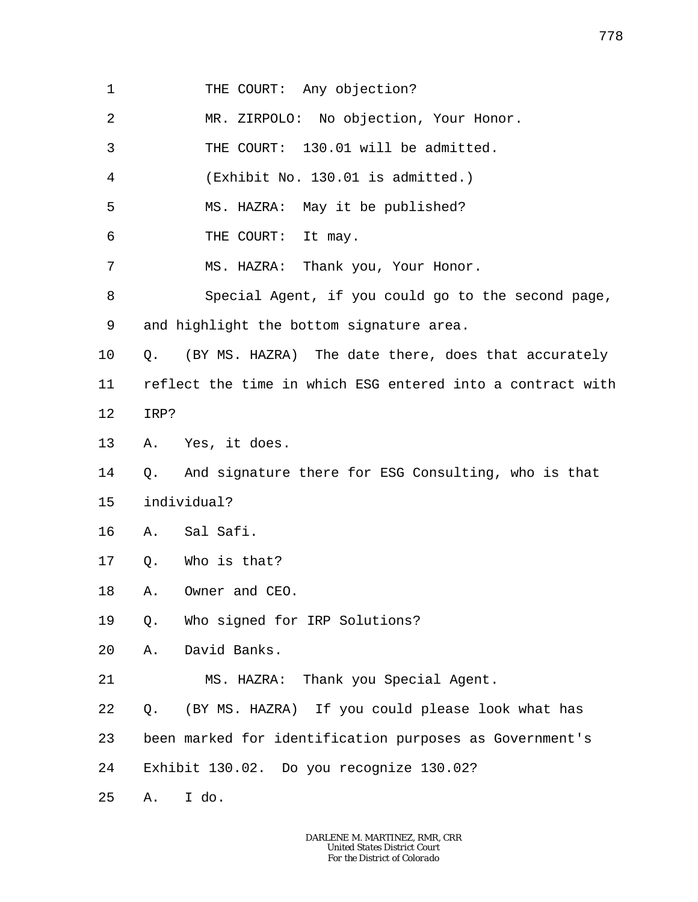| 1              | THE COURT: Any objection?                                  |
|----------------|------------------------------------------------------------|
| $\overline{2}$ | MR. ZIRPOLO: No objection, Your Honor.                     |
| 3              | THE COURT: 130.01 will be admitted.                        |
| 4              | (Exhibit No. 130.01 is admitted.)                          |
| 5              | MS. HAZRA: May it be published?                            |
| 6              | THE COURT: It may.                                         |
| 7              | MS. HAZRA: Thank you, Your Honor.                          |
| 8              | Special Agent, if you could go to the second page,         |
| 9              | and highlight the bottom signature area.                   |
| $10 \,$        | (BY MS. HAZRA) The date there, does that accurately<br>Q.  |
| 11             | reflect the time in which ESG entered into a contract with |
| 12             | IRP?                                                       |
| 13             | A. Yes, it does.                                           |
| 14             | And signature there for ESG Consulting, who is that<br>Q.  |
| 15             | individual?                                                |
| 16             | Sal Safi.<br>Α.                                            |
| 17             | Who is that?<br>Q.                                         |
| 18             | Owner and CEO.<br>Α.                                       |
| 19             | Who signed for IRP Solutions?<br>Q.                        |
| 20             | David Banks.<br>Α.                                         |
| 21             | MS. HAZRA: Thank you Special Agent.                        |
| 22             | (BY MS. HAZRA) If you could please look what has<br>Q.     |
| 23             | been marked for identification purposes as Government's    |
| 24             | Exhibit 130.02. Do you recognize 130.02?                   |
| 25             | I do.<br>Α.                                                |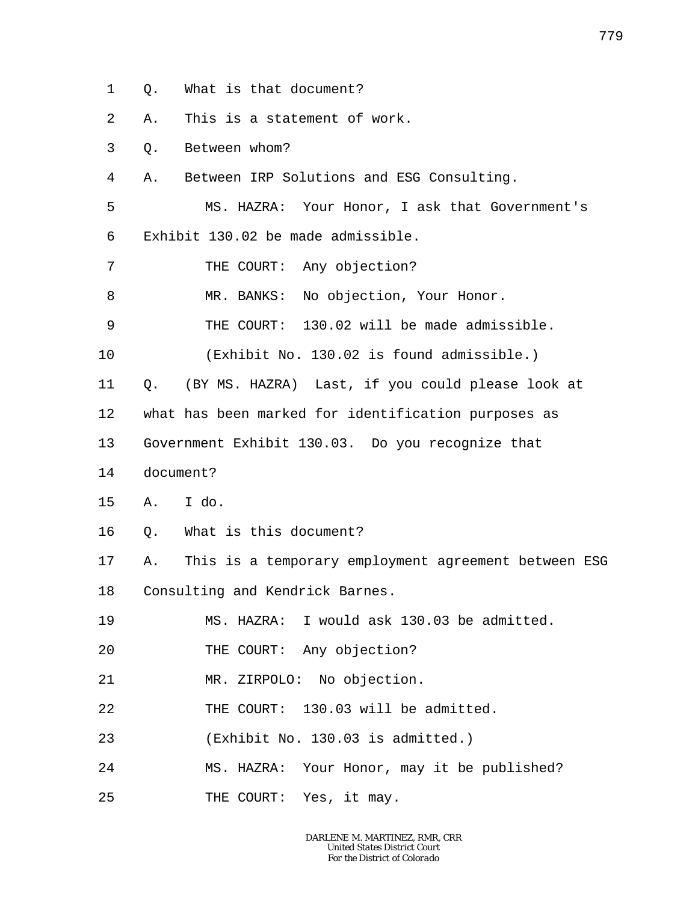1 Q. What is that document?

2 A. This is a statement of work.

3 Q. Between whom?

4 A. Between IRP Solutions and ESG Consulting.

5 6 MS. HAZRA: Your Honor, I ask that Government's Exhibit 130.02 be made admissible.

7 THE COURT: Any objection?

8 MR. BANKS: No objection, Your Honor.

9 THE COURT: 130.02 will be made admissible.

10 (Exhibit No. 130.02 is found admissible.)

11 Q. (BY MS. HAZRA) Last, if you could please look at

12 what has been marked for identification purposes as

13 Government Exhibit 130.03. Do you recognize that

- 14 document?
- 15 A. I do.
- 16 Q. What is this document?

17 18 A. This is a temporary employment agreement between ESG Consulting and Kendrick Barnes.

19 MS. HAZRA: I would ask 130.03 be admitted.

20 THE COURT: Any objection?

21 MR. ZIRPOLO: No objection.

22 THE COURT: 130.03 will be admitted.

23 (Exhibit No. 130.03 is admitted.)

24 MS. HAZRA: Your Honor, may it be published?

25 THE COURT: Yes, it may.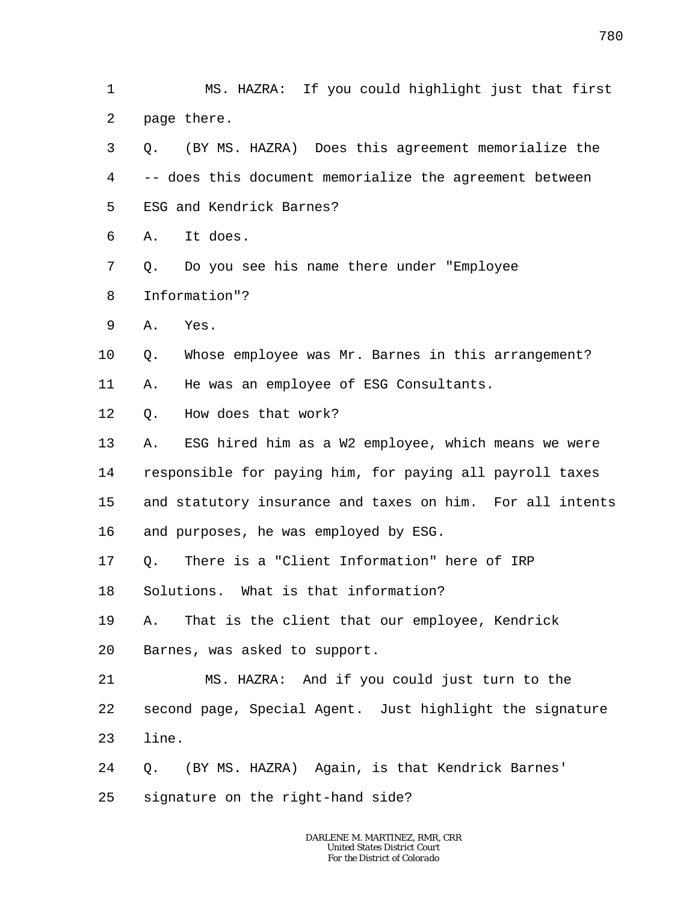1 2 MS. HAZRA: If you could highlight just that first page there.

- 3 4 5 6 Q. (BY MS. HAZRA) Does this agreement memorialize the -- does this document memorialize the agreement between ESG and Kendrick Barnes? A. It does.
- 7 8 Q. Do you see his name there under "Employee Information"?
- 9 A. Yes.
- 10 Q. Whose employee was Mr. Barnes in this arrangement?
- 11 A. He was an employee of ESG Consultants.
- 12 Q. How does that work?
- 13 14 15 16 A. ESG hired him as a W2 employee, which means we were responsible for paying him, for paying all payroll taxes and statutory insurance and taxes on him. For all intents and purposes, he was employed by ESG.
- 17 Q. There is a "Client Information" here of IRP
- 18 Solutions. What is that information?
- 19 20 A. That is the client that our employee, Kendrick Barnes, was asked to support.
- 21 22 23 MS. HAZRA: And if you could just turn to the second page, Special Agent. Just highlight the signature line.
- 24 Q. (BY MS. HAZRA) Again, is that Kendrick Barnes'
- 25 signature on the right-hand side?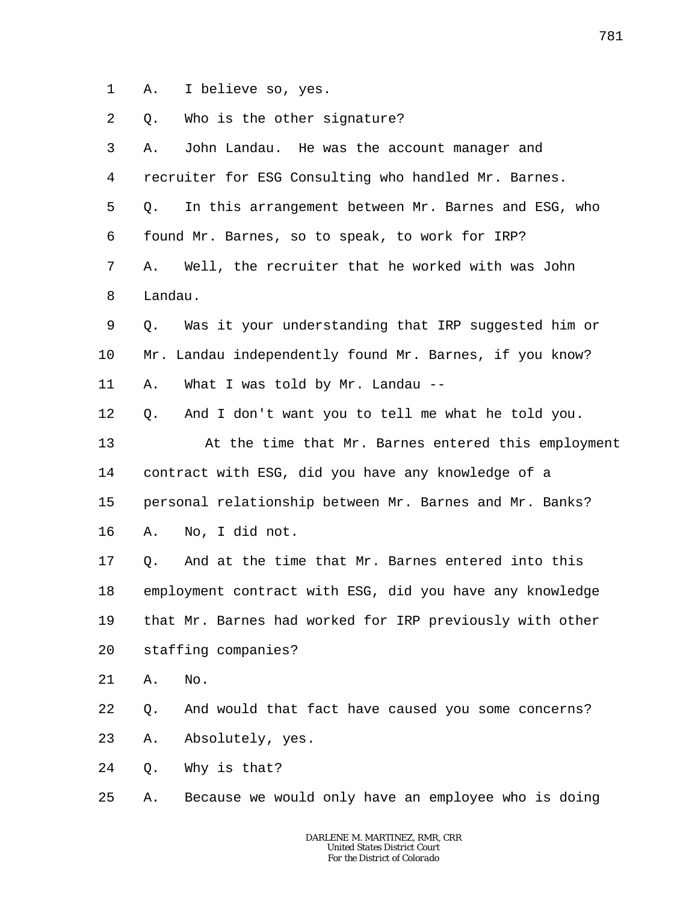1 A. I believe so, yes.

2 Q. Who is the other signature?

| 3              | Α.      | John Landau. He was the account manager and              |
|----------------|---------|----------------------------------------------------------|
| $\overline{4}$ |         | recruiter for ESG Consulting who handled Mr. Barnes.     |
| 5              | Q.      | In this arrangement between Mr. Barnes and ESG, who      |
| 6              |         | found Mr. Barnes, so to speak, to work for IRP?          |
| 7              | Α.      | Well, the recruiter that he worked with was John         |
| 8              | Landau. |                                                          |
| 9              | Q.      | Was it your understanding that IRP suggested him or      |
| 10             |         | Mr. Landau independently found Mr. Barnes, if you know?  |
| 11             | Α.      | What I was told by Mr. Landau --                         |
| 12             | Q.      | And I don't want you to tell me what he told you.        |
| 13             |         | At the time that Mr. Barnes entered this employment      |
| 14             |         | contract with ESG, did you have any knowledge of a       |
| 15             |         | personal relationship between Mr. Barnes and Mr. Banks?  |
| 16             | Α.      | No, I did not.                                           |
| 17             | Q.      | And at the time that Mr. Barnes entered into this        |
| 18             |         | employment contract with ESG, did you have any knowledge |
| 19             |         | that Mr. Barnes had worked for IRP previously with other |
| 20             |         | staffing companies?                                      |
| 21             | Α.      | No.                                                      |
| $2\sqrt{2}$    | Q.      | And would that fact have caused you some concerns?       |
| 23             | Α.      | Absolutely, yes.                                         |
| 24             | Q.      | Why is that?                                             |
| 25             | Α.      | Because we would only have an employee who is doing      |
|                |         |                                                          |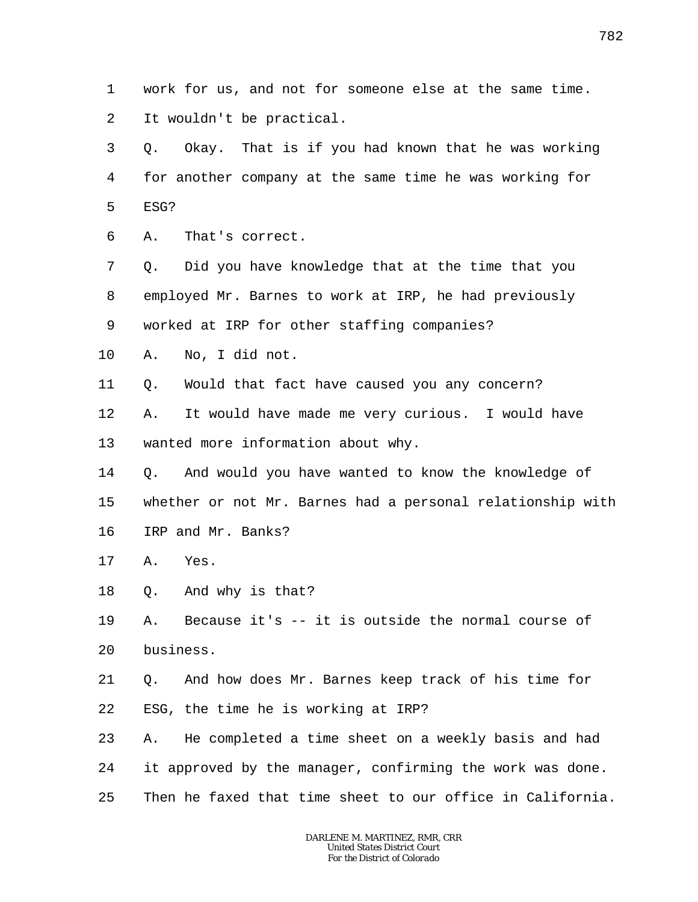1 2 work for us, and not for someone else at the same time. It wouldn't be practical.

3 4 5 Q. Okay. That is if you had known that he was working for another company at the same time he was working for ESG?

6 A. That's correct.

7 8 9 Q. Did you have knowledge that at the time that you employed Mr. Barnes to work at IRP, he had previously worked at IRP for other staffing companies?

- 10 A. No, I did not.
- 11 Q. Would that fact have caused you any concern?

12 13 A. It would have made me very curious. I would have wanted more information about why.

14 15 16 Q. And would you have wanted to know the knowledge of whether or not Mr. Barnes had a personal relationship with IRP and Mr. Banks?

- 17 A. Yes.
- 18 Q. And why is that?

19 20 A. Because it's -- it is outside the normal course of business.

21 22 Q. And how does Mr. Barnes keep track of his time for ESG, the time he is working at IRP?

23 24 25 A. He completed a time sheet on a weekly basis and had it approved by the manager, confirming the work was done. Then he faxed that time sheet to our office in California.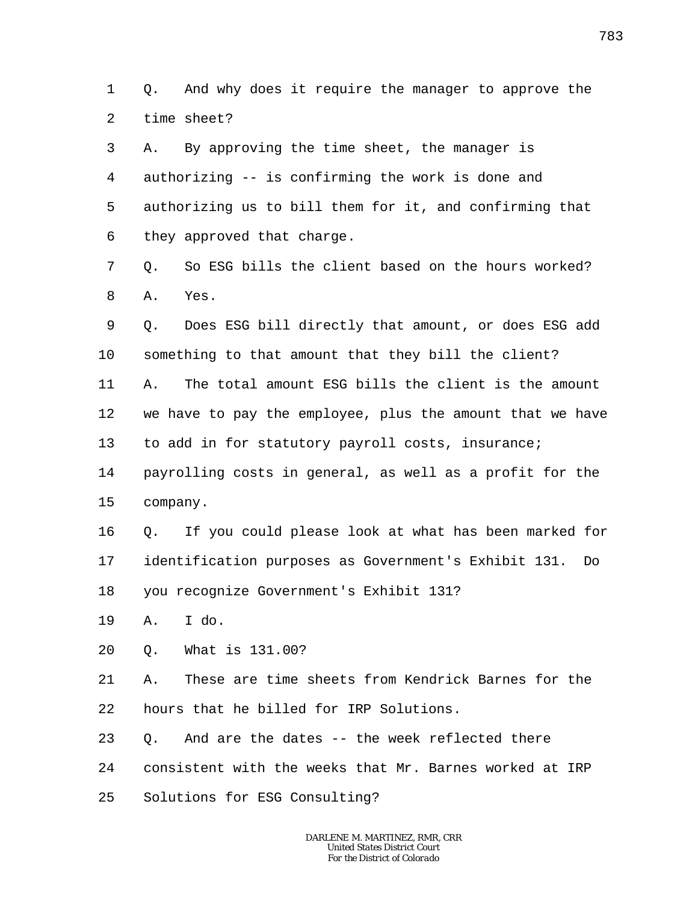1  $\overline{a}$ Q. And why does it require the manager to approve the time sheet?

3 4 5 6 A. By approving the time sheet, the manager is authorizing -- is confirming the work is done and authorizing us to bill them for it, and confirming that they approved that charge.

7 8 Q. So ESG bills the client based on the hours worked? A. Yes.

9 10 11 12 13 14 Q. Does ESG bill directly that amount, or does ESG add something to that amount that they bill the client? A. The total amount ESG bills the client is the amount we have to pay the employee, plus the amount that we have to add in for statutory payroll costs, insurance; payrolling costs in general, as well as a profit for the

15 company.

16 17 18 Q. If you could please look at what has been marked for identification purposes as Government's Exhibit 131. Do you recognize Government's Exhibit 131?

- 19 A. I do.
- 20 Q. What is 131.00?

21 22 A. These are time sheets from Kendrick Barnes for the hours that he billed for IRP Solutions.

23 24 Q. And are the dates -- the week reflected there consistent with the weeks that Mr. Barnes worked at IRP

25 Solutions for ESG Consulting?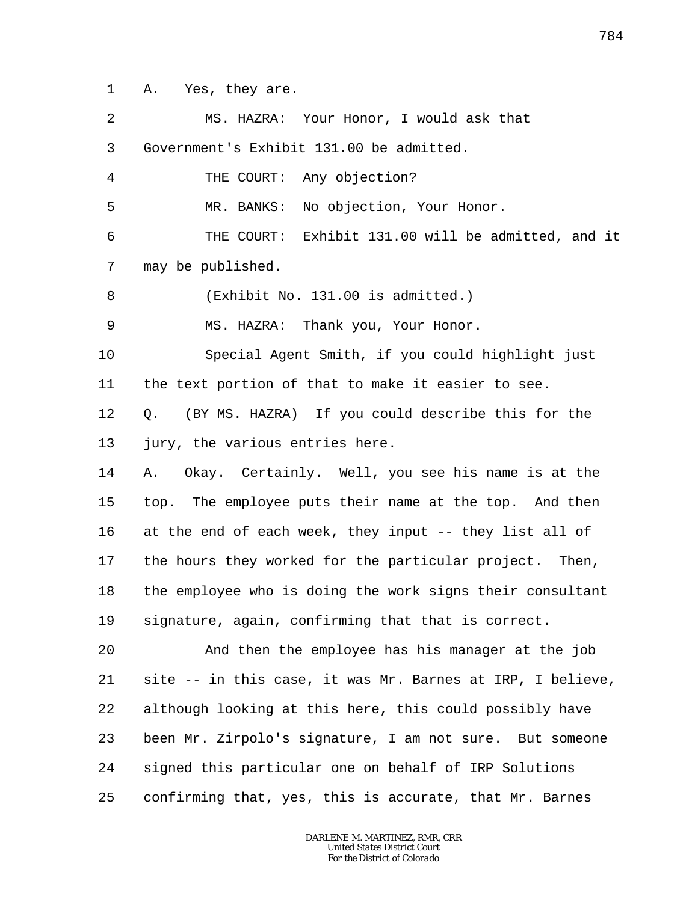1 A. Yes, they are.

| 2  | MS. HAZRA: Your Honor, I would ask that                    |
|----|------------------------------------------------------------|
| 3  | Government's Exhibit 131.00 be admitted.                   |
| 4  | THE COURT: Any objection?                                  |
| 5  | MR. BANKS: No objection, Your Honor.                       |
| 6  | THE COURT: Exhibit 131.00 will be admitted, and it         |
| 7  | may be published.                                          |
| 8  | (Exhibit No. 131.00 is admitted.)                          |
| 9  | MS. HAZRA: Thank you, Your Honor.                          |
| 10 | Special Agent Smith, if you could highlight just           |
| 11 | the text portion of that to make it easier to see.         |
| 12 | (BY MS. HAZRA) If you could describe this for the<br>Q.    |
| 13 | jury, the various entries here.                            |
| 14 | Okay. Certainly. Well, you see his name is at the<br>Α.    |
| 15 | top. The employee puts their name at the top. And then     |
| 16 | at the end of each week, they input -- they list all of    |
| 17 | the hours they worked for the particular project. Then,    |
| 18 | the employee who is doing the work signs their consultant  |
| 19 | signature, again, confirming that that is correct.         |
| 20 | And then the employee has his manager at the job           |
| 21 | site -- in this case, it was Mr. Barnes at IRP, I believe, |
| 22 | although looking at this here, this could possibly have    |
| 23 | been Mr. Zirpolo's signature, I am not sure. But someone   |
| 24 | signed this particular one on behalf of IRP Solutions      |
| 25 | confirming that, yes, this is accurate, that Mr. Barnes    |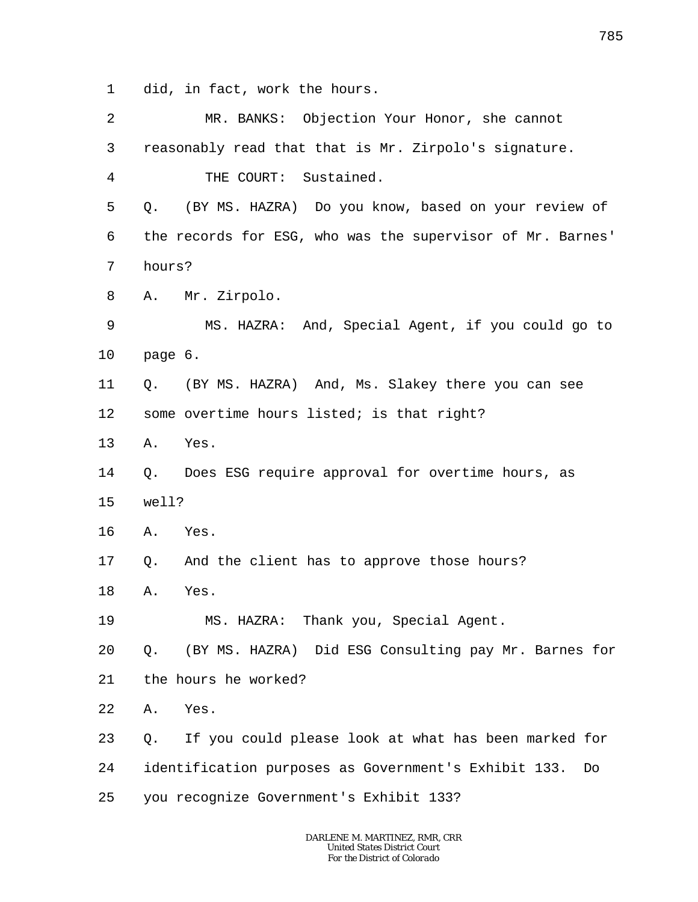1 did, in fact, work the hours.

| 2              | MR. BANKS: Objection Your Honor, she cannot                |
|----------------|------------------------------------------------------------|
| $\mathsf{3}$   | reasonably read that that is Mr. Zirpolo's signature.      |
| $\overline{4}$ | THE COURT: Sustained.                                      |
| 5              | (BY MS. HAZRA) Do you know, based on your review of<br>Q.  |
| 6              | the records for ESG, who was the supervisor of Mr. Barnes' |
| 7              | hours?                                                     |
| 8              | Mr. Zirpolo.<br>Α.                                         |
| 9              | MS. HAZRA: And, Special Agent, if you could go to          |
| 10             | page 6.                                                    |
| 11             | (BY MS. HAZRA) And, Ms. Slakey there you can see<br>Q.     |
| 12             | some overtime hours listed; is that right?                 |
| 13             | Yes.<br>Α.                                                 |
| 14             | Does ESG require approval for overtime hours, as<br>Q.     |
| 15             | well?                                                      |
| 16             | Yes.<br>Α.                                                 |
| 17             | And the client has to approve those hours?<br>Q.           |
| 18             | Yes.<br>Α.                                                 |
| 19             | MS. HAZRA: Thank you, Special Agent.                       |
| 20             | (BY MS. HAZRA) Did ESG Consulting pay Mr. Barnes for<br>Q. |
| 21             | the hours he worked?                                       |
| 22             | Yes.<br>Α.                                                 |
| 23             | If you could please look at what has been marked for<br>Q. |
| 24             | identification purposes as Government's Exhibit 133.<br>Do |
| 25             | you recognize Government's Exhibit 133?                    |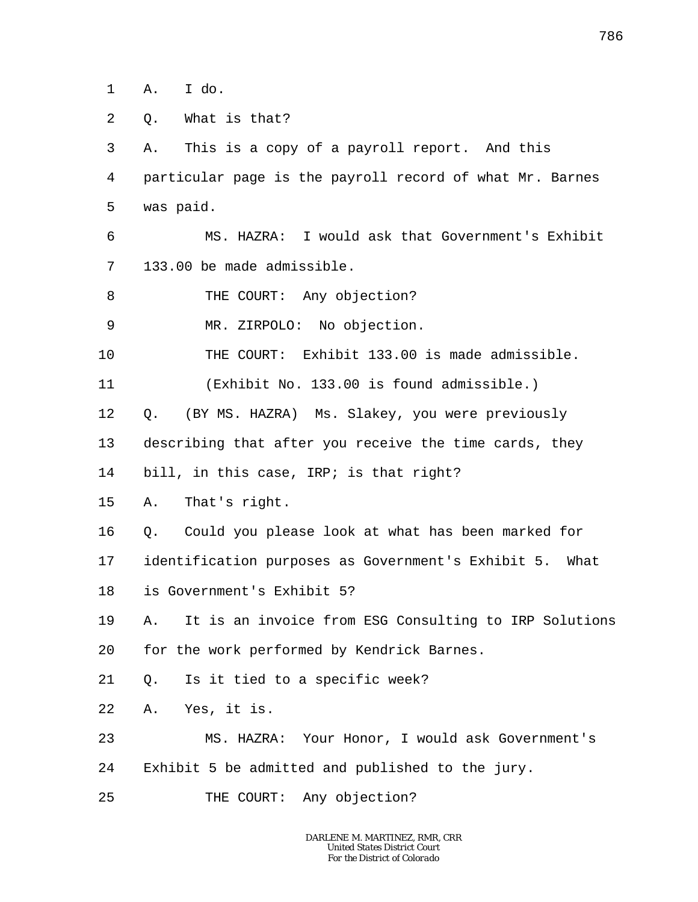1 A. I do.

2 Q. What is that?

3 4 5 A. This is a copy of a payroll report. And this particular page is the payroll record of what Mr. Barnes was paid.

6 7 MS. HAZRA: I would ask that Government's Exhibit 133.00 be made admissible.

8 THE COURT: Any objection?

9 MR. ZIRPOLO: No objection.

10 THE COURT: Exhibit 133.00 is made admissible.

11 (Exhibit No. 133.00 is found admissible.)

12 Q. (BY MS. HAZRA) Ms. Slakey, you were previously

13 describing that after you receive the time cards, they

14 bill, in this case, IRP; is that right?

15 A. That's right.

16 Q. Could you please look at what has been marked for

17 identification purposes as Government's Exhibit 5. What

18 is Government's Exhibit 5?

19 20 A. It is an invoice from ESG Consulting to IRP Solutions for the work performed by Kendrick Barnes.

21 Q. Is it tied to a specific week?

22 A. Yes, it is.

23 24 MS. HAZRA: Your Honor, I would ask Government's Exhibit 5 be admitted and published to the jury.

25 THE COURT: Any objection?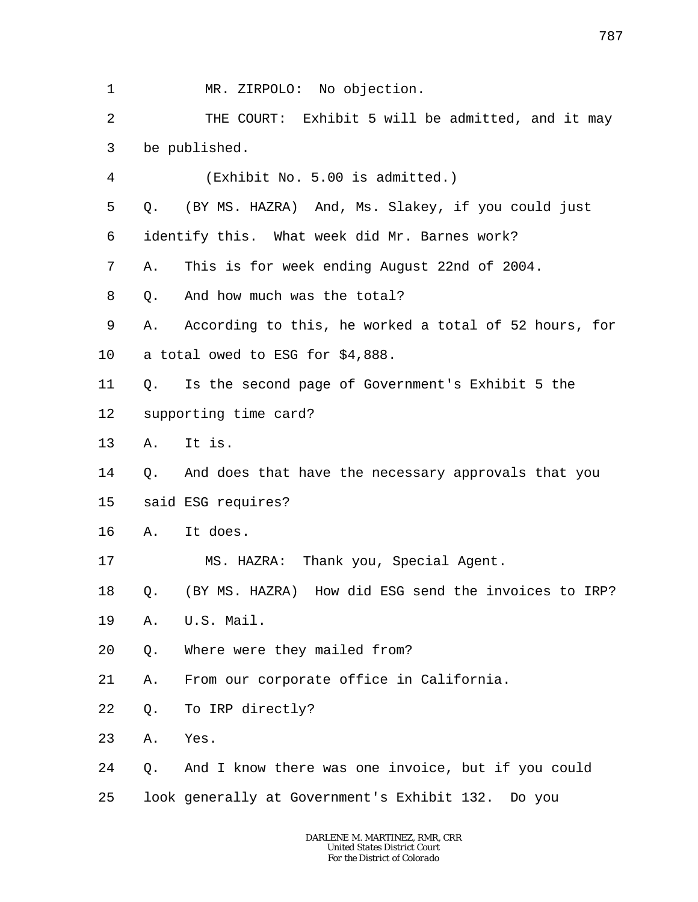1 2 3 4 5 6 7 8 9 10 11 12 13 14 15 16 17 18 19 20 21 22 23 24 25 MR. ZIRPOLO: No objection. THE COURT: Exhibit 5 will be admitted, and it may be published. (Exhibit No. 5.00 is admitted.) Q. (BY MS. HAZRA) And, Ms. Slakey, if you could just identify this. What week did Mr. Barnes work? A. This is for week ending August 22nd of 2004. Q. And how much was the total? A. According to this, he worked a total of 52 hours, for a total owed to ESG for \$4,888. Q. Is the second page of Government's Exhibit 5 the supporting time card? A. It is. Q. And does that have the necessary approvals that you said ESG requires? A. It does. MS. HAZRA: Thank you, Special Agent. Q. (BY MS. HAZRA) How did ESG send the invoices to IRP? A. U.S. Mail. Q. Where were they mailed from? A. From our corporate office in California. Q. To IRP directly? A. Yes. Q. And I know there was one invoice, but if you could look generally at Government's Exhibit 132. Do you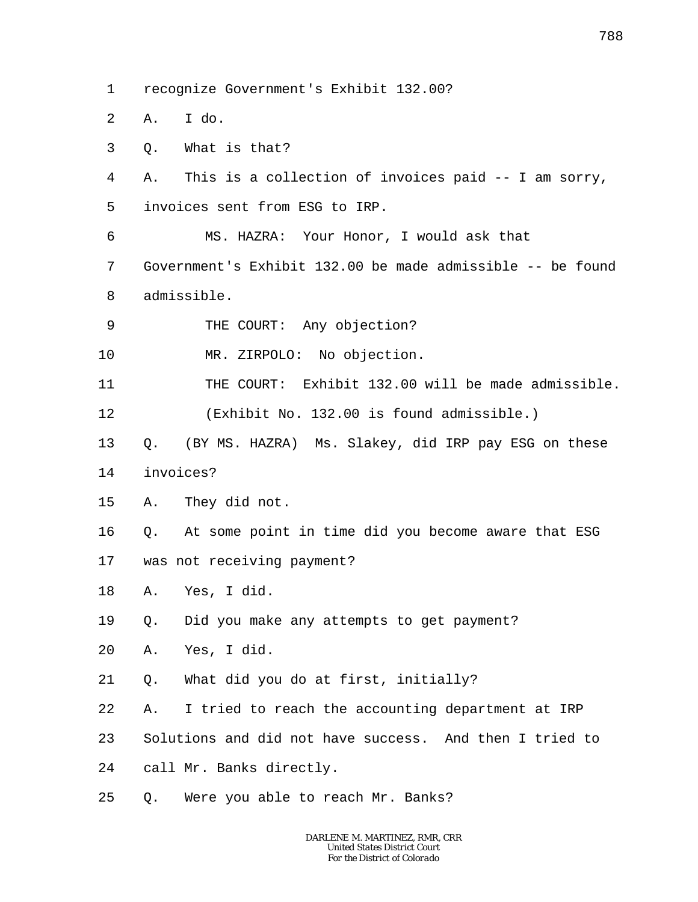- 1 recognize Government's Exhibit 132.00?
- 2 A. I do.
- 3 Q. What is that?
- 4 A. This is a collection of invoices paid -- I am sorry,
- 5 invoices sent from ESG to IRP.
- 6 7 8 MS. HAZRA: Your Honor, I would ask that Government's Exhibit 132.00 be made admissible -- be found admissible.
- 9 THE COURT: Any objection?
- 10 MR. ZIRPOLO: No objection.
- 11 12 THE COURT: Exhibit 132.00 will be made admissible. (Exhibit No. 132.00 is found admissible.)
- 13 Q. (BY MS. HAZRA) Ms. Slakey, did IRP pay ESG on these
- 14 invoices?
- 15 A. They did not.
- 16 17 Q. At some point in time did you become aware that ESG was not receiving payment?
- 18 A. Yes, I did.
- 19 Q. Did you make any attempts to get payment?
- 20 A. Yes, I did.
- 21 Q. What did you do at first, initially?
- 22 A. I tried to reach the accounting department at IRP
- 23 Solutions and did not have success. And then I tried to
- 24 call Mr. Banks directly.
- 25 Q. Were you able to reach Mr. Banks?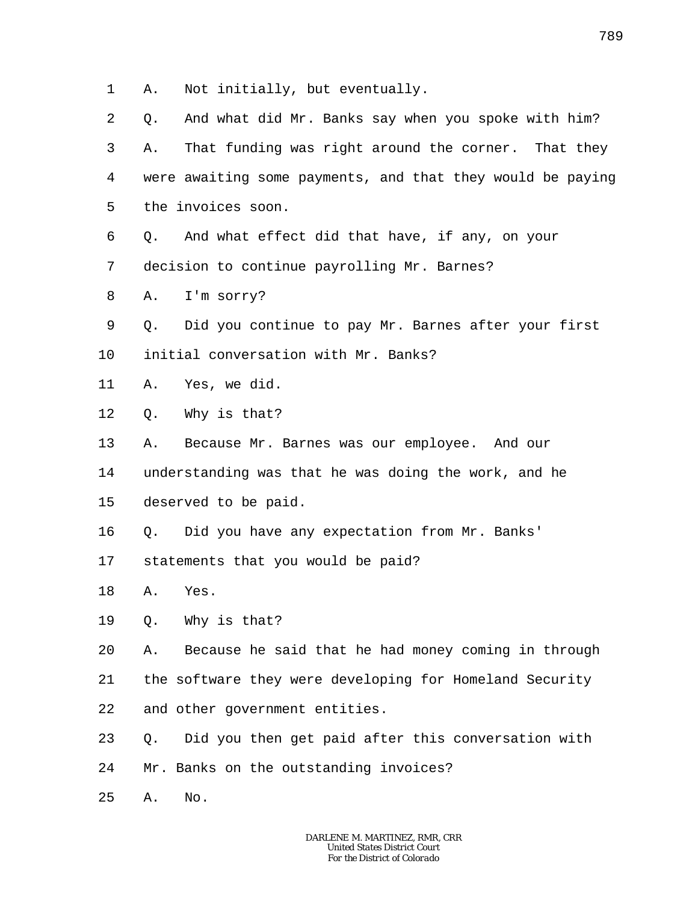1 A. Not initially, but eventually.

2 3 4 5 Q. And what did Mr. Banks say when you spoke with him? A. That funding was right around the corner. That they were awaiting some payments, and that they would be paying the invoices soon.

6 Q. And what effect did that have, if any, on your

7 decision to continue payrolling Mr. Barnes?

8 A. I'm sorry?

9 Q. Did you continue to pay Mr. Barnes after your first

10 initial conversation with Mr. Banks?

11 A. Yes, we did.

12 Q. Why is that?

13 A. Because Mr. Barnes was our employee. And our

14 understanding was that he was doing the work, and he

15 deserved to be paid.

16 Q. Did you have any expectation from Mr. Banks'

17 statements that you would be paid?

18 A. Yes.

19 Q. Why is that?

20 A. Because he said that he had money coming in through

21 22 the software they were developing for Homeland Security and other government entities.

23 Q. Did you then get paid after this conversation with

24 Mr. Banks on the outstanding invoices?

25 A. No.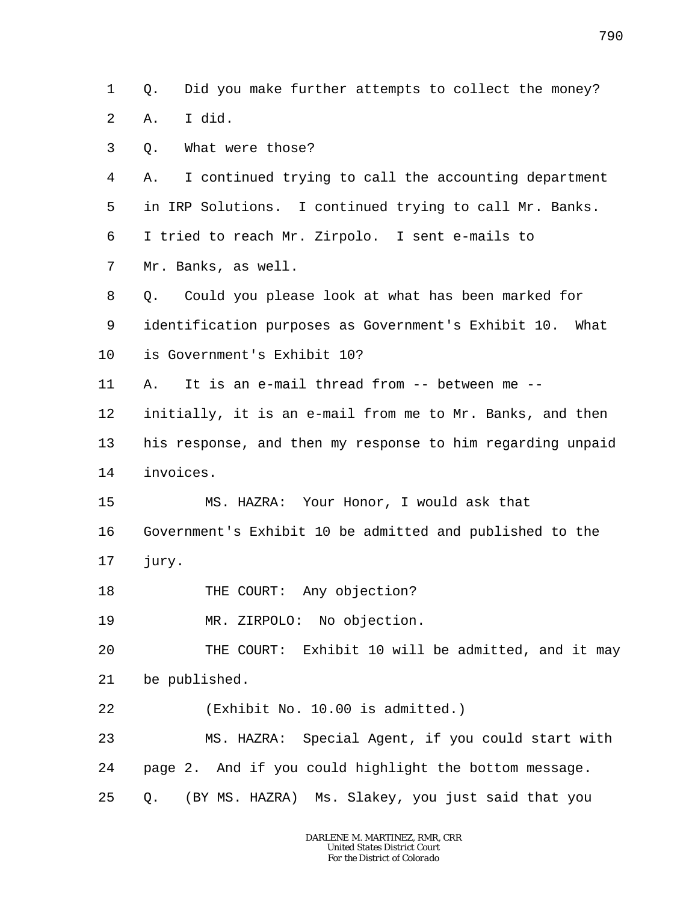1 2 Q. Did you make further attempts to collect the money? A. I did.

3 Q. What were those?

4 5 6 7 A. I continued trying to call the accounting department in IRP Solutions. I continued trying to call Mr. Banks. I tried to reach Mr. Zirpolo. I sent e-mails to Mr. Banks, as well.

8 Q. Could you please look at what has been marked for

9 identification purposes as Government's Exhibit 10. What

10 is Government's Exhibit 10?

11 A. It is an e-mail thread from -- between me --

12 initially, it is an e-mail from me to Mr. Banks, and then

13 14 his response, and then my response to him regarding unpaid invoices.

15 MS. HAZRA: Your Honor, I would ask that

16 17 Government's Exhibit 10 be admitted and published to the jury.

18 THE COURT: Any objection?

19 MR. ZIRPOLO: No objection.

20 21 THE COURT: Exhibit 10 will be admitted, and it may be published.

22 (Exhibit No. 10.00 is admitted.)

23 24 25 MS. HAZRA: Special Agent, if you could start with page 2. And if you could highlight the bottom message. Q. (BY MS. HAZRA) Ms. Slakey, you just said that you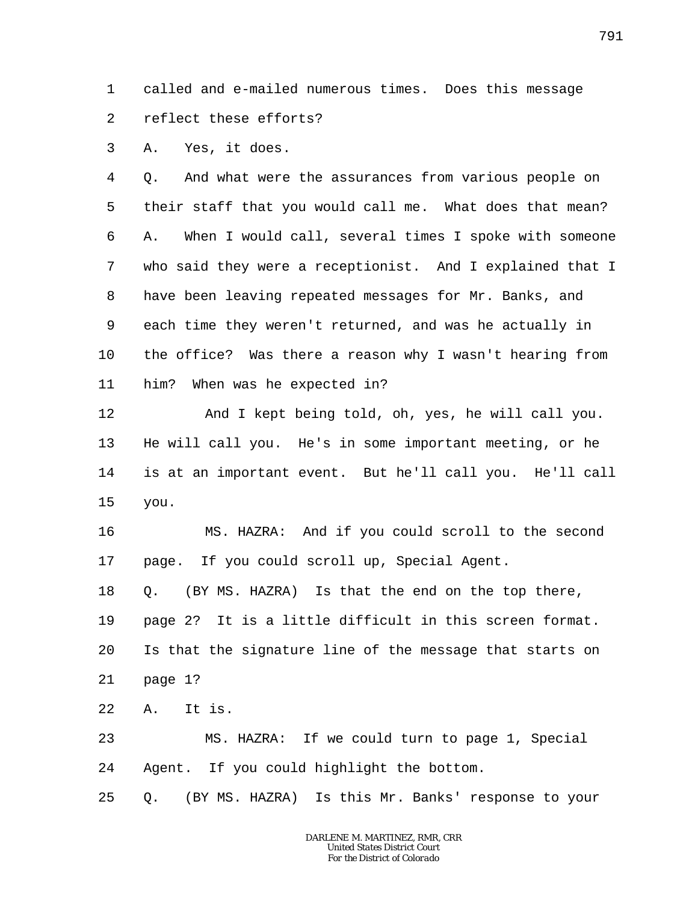1 2 called and e-mailed numerous times. Does this message reflect these efforts?

3 A. Yes, it does.

4 5 6 7 8 9 10 11 Q. And what were the assurances from various people on their staff that you would call me. What does that mean? A. When I would call, several times I spoke with someone who said they were a receptionist. And I explained that I have been leaving repeated messages for Mr. Banks, and each time they weren't returned, and was he actually in the office? Was there a reason why I wasn't hearing from him? When was he expected in?

12 13 14 15 And I kept being told, oh, yes, he will call you. He will call you. He's in some important meeting, or he is at an important event. But he'll call you. He'll call you.

16 17 MS. HAZRA: And if you could scroll to the second page. If you could scroll up, Special Agent.

18 19 20 21 Q. (BY MS. HAZRA) Is that the end on the top there, page 2? It is a little difficult in this screen format. Is that the signature line of the message that starts on

page 1?

22 A. It is.

23 24 MS. HAZRA: If we could turn to page 1, Special Agent. If you could highlight the bottom.

25 Q. (BY MS. HAZRA) Is this Mr. Banks' response to your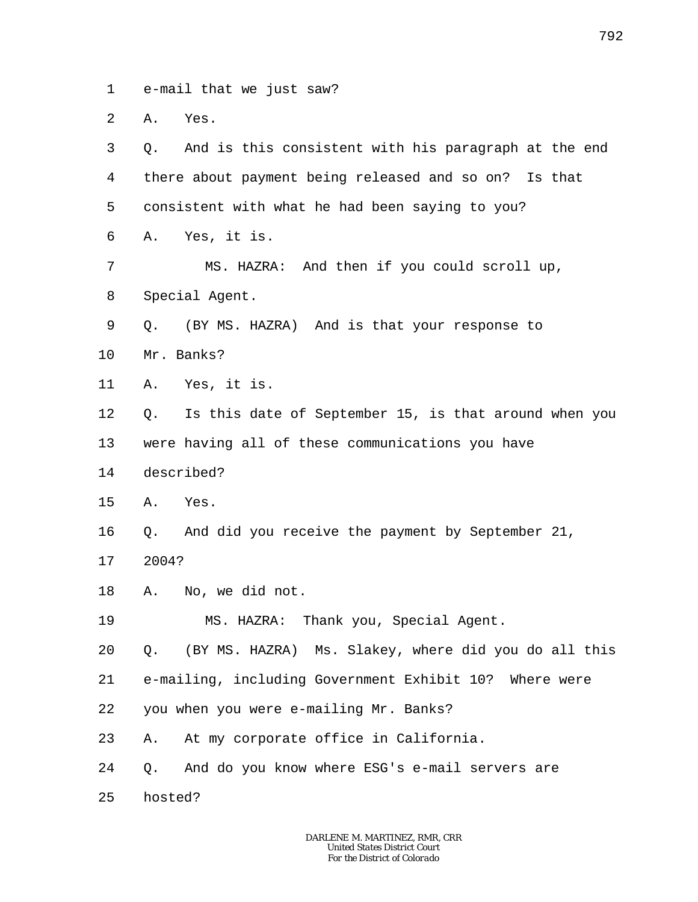1 e-mail that we just saw?

2 A. Yes.

| 3  | And is this consistent with his paragraph at the end<br>Q.  |
|----|-------------------------------------------------------------|
| 4  | there about payment being released and so on? Is that       |
| 5  | consistent with what he had been saying to you?             |
| 6  | Yes, it is.<br>Α.                                           |
| 7  | MS. HAZRA: And then if you could scroll up,                 |
| 8  | Special Agent.                                              |
| 9  | (BY MS. HAZRA) And is that your response to<br>Q.           |
| 10 | Mr. Banks?                                                  |
| 11 | A. Yes, it is.                                              |
| 12 | Is this date of September 15, is that around when you<br>Q. |
| 13 | were having all of these communications you have            |
| 14 | described?                                                  |
| 15 | Yes.<br>Α.                                                  |
| 16 | And did you receive the payment by September 21,<br>Q.      |
| 17 | 2004?                                                       |
| 18 | No, we did not.<br>Α.                                       |
| 19 | MS. HAZRA: Thank you, Special Agent.                        |
| 20 | (BY MS. HAZRA) Ms. Slakey, where did you do all this<br>Q.  |
| 21 | e-mailing, including Government Exhibit 10? Where were      |
| 22 | you when you were e-mailing Mr. Banks?                      |
| 23 | At my corporate office in California.<br>Α.                 |
| 24 | And do you know where ESG's e-mail servers are<br>Q.        |
| 25 | hosted?                                                     |

792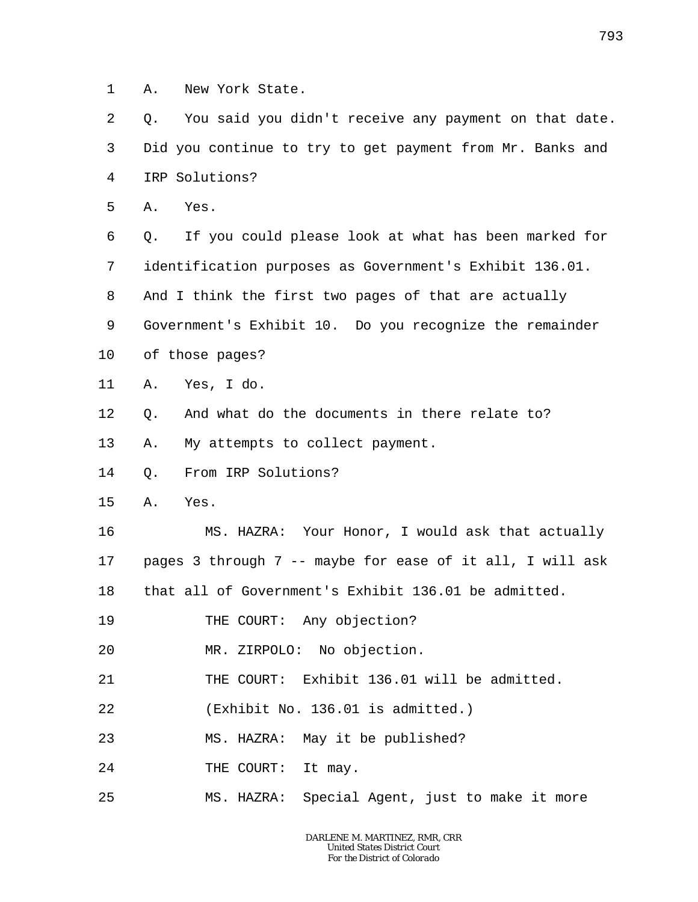1 A. New York State.

2 3 4 Q. You said you didn't receive any payment on that date. Did you continue to try to get payment from Mr. Banks and IRP Solutions?

5 A. Yes.

6 7 8 9 10 Q. If you could please look at what has been marked for identification purposes as Government's Exhibit 136.01. And I think the first two pages of that are actually Government's Exhibit 10. Do you recognize the remainder of those pages?

- 11 A. Yes, I do.
- 12 Q. And what do the documents in there relate to?
- 13 A. My attempts to collect payment.
- 14 Q. From IRP Solutions?
- 15 A. Yes.

16 17 18 MS. HAZRA: Your Honor, I would ask that actually pages 3 through 7 -- maybe for ease of it all, I will ask that all of Government's Exhibit 136.01 be admitted.

19 THE COURT: Any objection?

20 MR. ZIRPOLO: No objection.

- 21 THE COURT: Exhibit 136.01 will be admitted.
- 22 (Exhibit No. 136.01 is admitted.)
- 23 MS. HAZRA: May it be published?
- 24 THE COURT: It may.
- 25 MS. HAZRA: Special Agent, just to make it more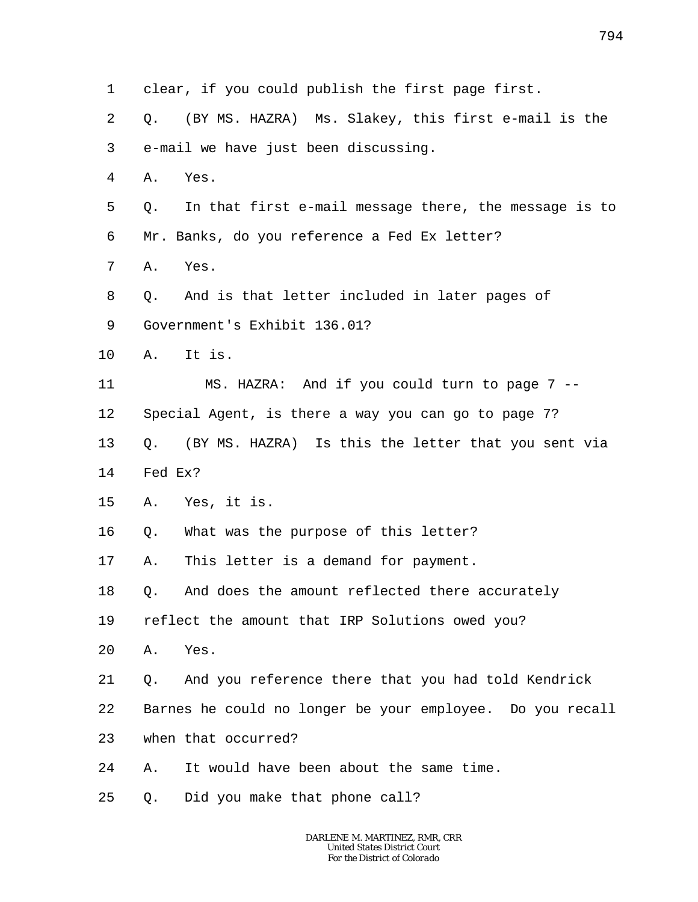1 2 3 4 5 6 7 8 9 10 11 12 13 14 15 16 17 18 19 20 21 22 23 24 25 clear, if you could publish the first page first. Q. (BY MS. HAZRA) Ms. Slakey, this first e-mail is the e-mail we have just been discussing. A. Yes. Q. In that first e-mail message there, the message is to Mr. Banks, do you reference a Fed Ex letter? A. Yes. Q. And is that letter included in later pages of Government's Exhibit 136.01? A. It is. MS. HAZRA: And if you could turn to page 7 -- Special Agent, is there a way you can go to page 7? Q. (BY MS. HAZRA) Is this the letter that you sent via Fed Ex? A. Yes, it is. Q. What was the purpose of this letter? A. This letter is a demand for payment. Q. And does the amount reflected there accurately reflect the amount that IRP Solutions owed you? A. Yes. Q. And you reference there that you had told Kendrick Barnes he could no longer be your employee. Do you recall when that occurred? A. It would have been about the same time. Q. Did you make that phone call?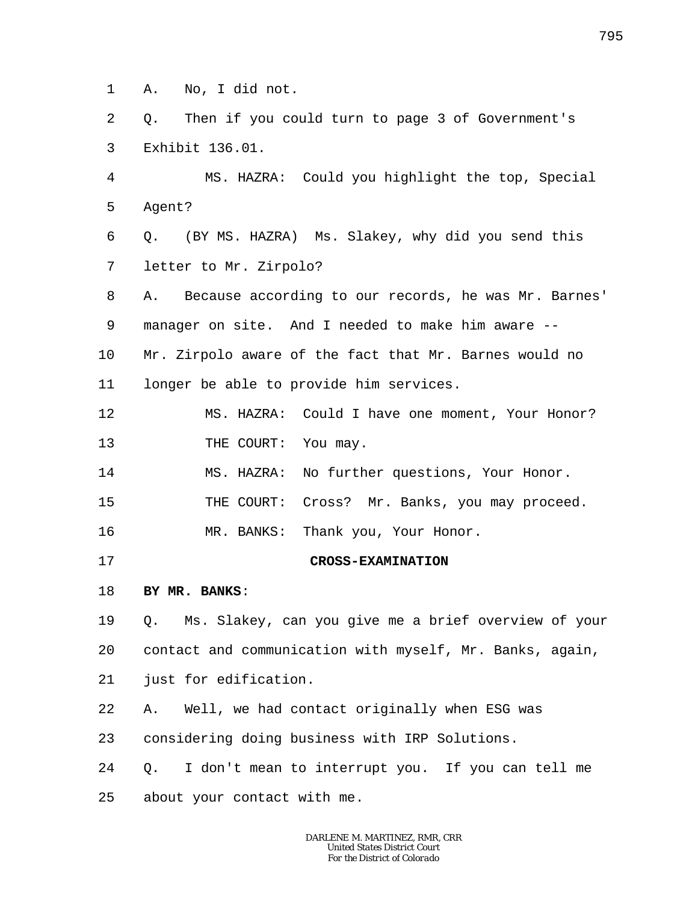1 A. No, I did not.

2 3 Q. Then if you could turn to page 3 of Government's Exhibit 136.01.

4 5 6 7 8 9 10 MS. HAZRA: Could you highlight the top, Special Agent? Q. (BY MS. HAZRA) Ms. Slakey, why did you send this letter to Mr. Zirpolo? A. Because according to our records, he was Mr. Barnes' manager on site. And I needed to make him aware -- Mr. Zirpolo aware of the fact that Mr. Barnes would no

11 longer be able to provide him services.

12 13 MS. HAZRA: Could I have one moment, Your Honor? THE COURT: You may.

14 MS. HAZRA: No further questions, Your Honor.

15 THE COURT: Cross? Mr. Banks, you may proceed.

16 MR. BANKS: Thank you, Your Honor.

17

**CROSS-EXAMINATION**

## 18 **BY MR. BANKS**:

19 20 Q. Ms. Slakey, can you give me a brief overview of your contact and communication with myself, Mr. Banks, again,

21 just for edification.

22 A. Well, we had contact originally when ESG was

23 considering doing business with IRP Solutions.

24 Q. I don't mean to interrupt you. If you can tell me

25 about your contact with me.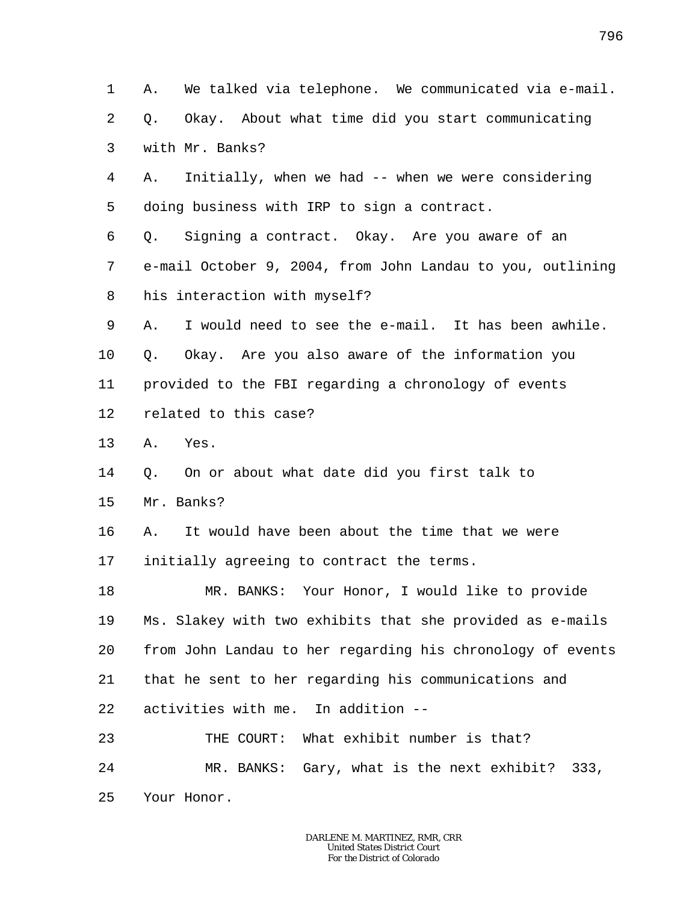1 2 3 4 5 6 7 8 9 10 11 12 13 14 15 16 17 18 19 20 21 22 23 24 25 A. We talked via telephone. We communicated via e-mail. Q. Okay. About what time did you start communicating with Mr. Banks? A. Initially, when we had -- when we were considering doing business with IRP to sign a contract. Q. Signing a contract. Okay. Are you aware of an e-mail October 9, 2004, from John Landau to you, outlining his interaction with myself? A. I would need to see the e-mail. It has been awhile. Q. Okay. Are you also aware of the information you provided to the FBI regarding a chronology of events related to this case? A. Yes. Q. On or about what date did you first talk to Mr. Banks? A. It would have been about the time that we were initially agreeing to contract the terms. MR. BANKS: Your Honor, I would like to provide Ms. Slakey with two exhibits that she provided as e-mails from John Landau to her regarding his chronology of events that he sent to her regarding his communications and activities with me. In addition -- THE COURT: What exhibit number is that? MR. BANKS: Gary, what is the next exhibit? 333, Your Honor.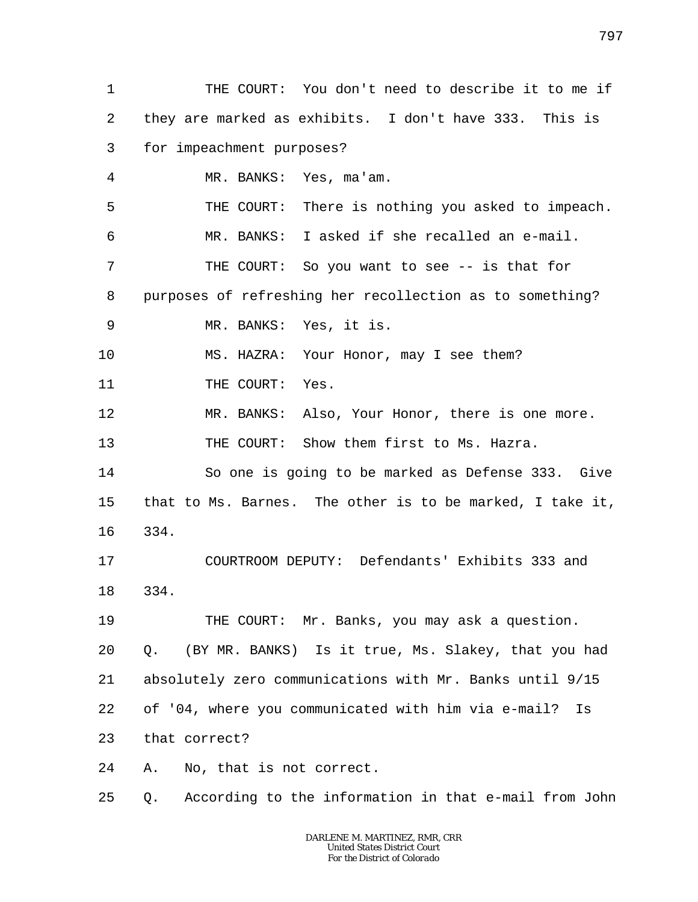1 2 3 4 5 6 7 8 9 10 11 12 13 14 15 16 17 18 19 20 21 22 23 24 25 THE COURT: You don't need to describe it to me if they are marked as exhibits. I don't have 333. This is for impeachment purposes? MR. BANKS: Yes, ma'am. THE COURT: There is nothing you asked to impeach. MR. BANKS: I asked if she recalled an e-mail. THE COURT: So you want to see -- is that for purposes of refreshing her recollection as to something? MR. BANKS: Yes, it is. MS. HAZRA: Your Honor, may I see them? THE COURT: Yes. MR. BANKS: Also, Your Honor, there is one more. THE COURT: Show them first to Ms. Hazra. So one is going to be marked as Defense 333. Give that to Ms. Barnes. The other is to be marked, I take it, 334. COURTROOM DEPUTY: Defendants' Exhibits 333 and 334. THE COURT: Mr. Banks, you may ask a question. Q. (BY MR. BANKS) Is it true, Ms. Slakey, that you had absolutely zero communications with Mr. Banks until 9/15 of '04, where you communicated with him via e-mail? Is that correct? A. No, that is not correct. Q. According to the information in that e-mail from John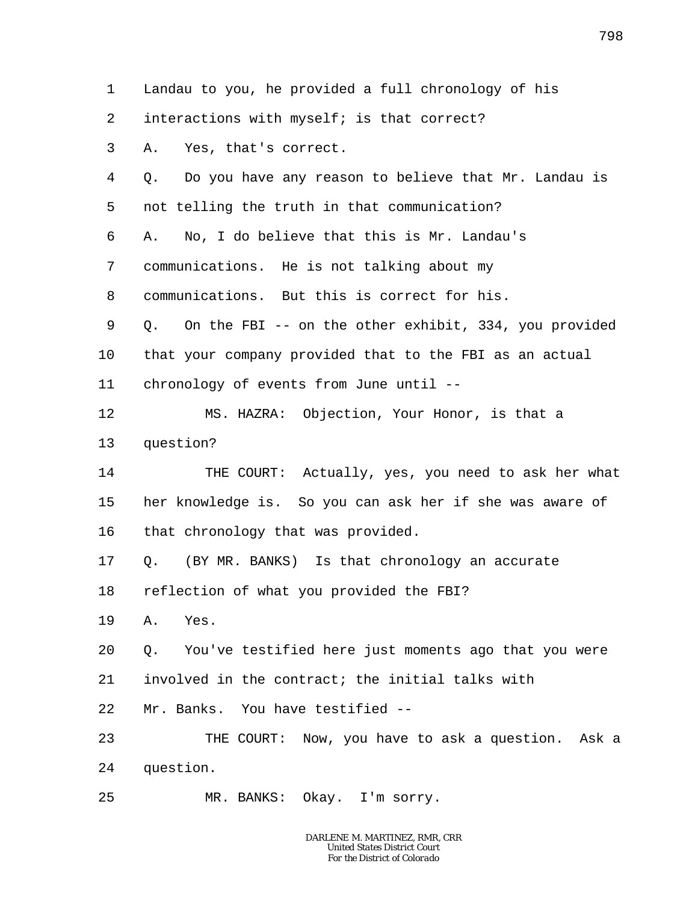1 2 3 4 5 6 7 8 9 10 11 12 13 14 15 16 17 18 19 20 21 22 23 24 25 Landau to you, he provided a full chronology of his interactions with myself; is that correct? A. Yes, that's correct. Q. Do you have any reason to believe that Mr. Landau is not telling the truth in that communication? A. No, I do believe that this is Mr. Landau's communications. He is not talking about my communications. But this is correct for his. Q. On the FBI -- on the other exhibit, 334, you provided that your company provided that to the FBI as an actual chronology of events from June until -- MS. HAZRA: Objection, Your Honor, is that a question? THE COURT: Actually, yes, you need to ask her what her knowledge is. So you can ask her if she was aware of that chronology that was provided. Q. (BY MR. BANKS) Is that chronology an accurate reflection of what you provided the FBI? A. Yes. Q. You've testified here just moments ago that you were involved in the contract; the initial talks with Mr. Banks. You have testified --THE COURT: Now, you have to ask a question. Ask a question. MR. BANKS: Okay. I'm sorry.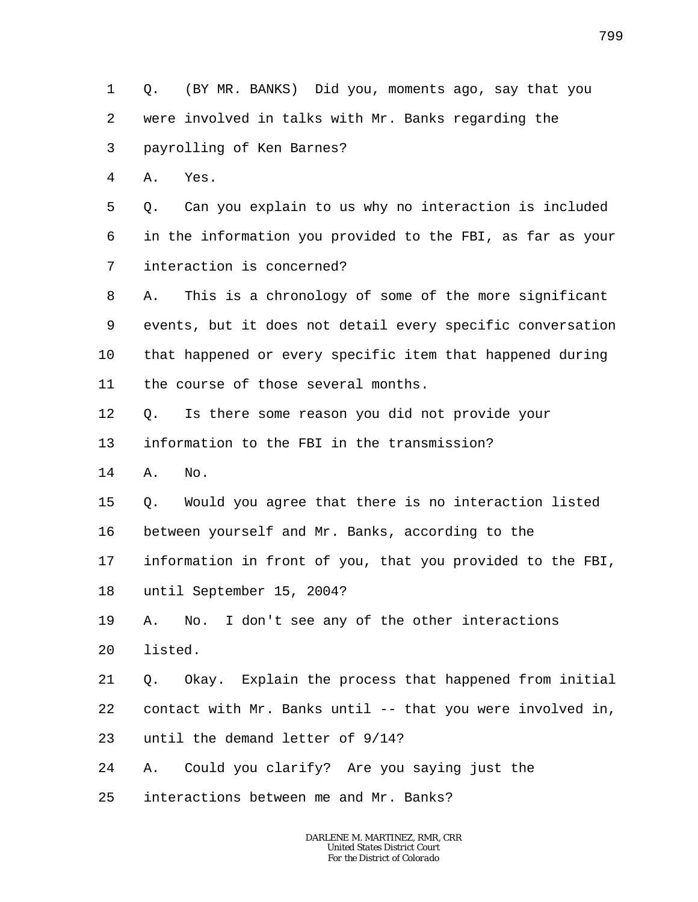1 2 3 Q. (BY MR. BANKS) Did you, moments ago, say that you were involved in talks with Mr. Banks regarding the payrolling of Ken Barnes?

4 A. Yes.

5 6 7 Q. Can you explain to us why no interaction is included in the information you provided to the FBI, as far as your interaction is concerned?

8 9 10 11 A. This is a chronology of some of the more significant events, but it does not detail every specific conversation that happened or every specific item that happened during the course of those several months.

12 Q. Is there some reason you did not provide your

13 information to the FBI in the transmission?

14 A. No.

15 Q. Would you agree that there is no interaction listed

16 between yourself and Mr. Banks, according to the

17 information in front of you, that you provided to the FBI,

18 until September 15, 2004?

19 A. No. I don't see any of the other interactions

20 listed.

21 Q. Okay. Explain the process that happened from initial

22 contact with Mr. Banks until -- that you were involved in,

23 until the demand letter of 9/14?

24 A. Could you clarify? Are you saying just the

25 interactions between me and Mr. Banks?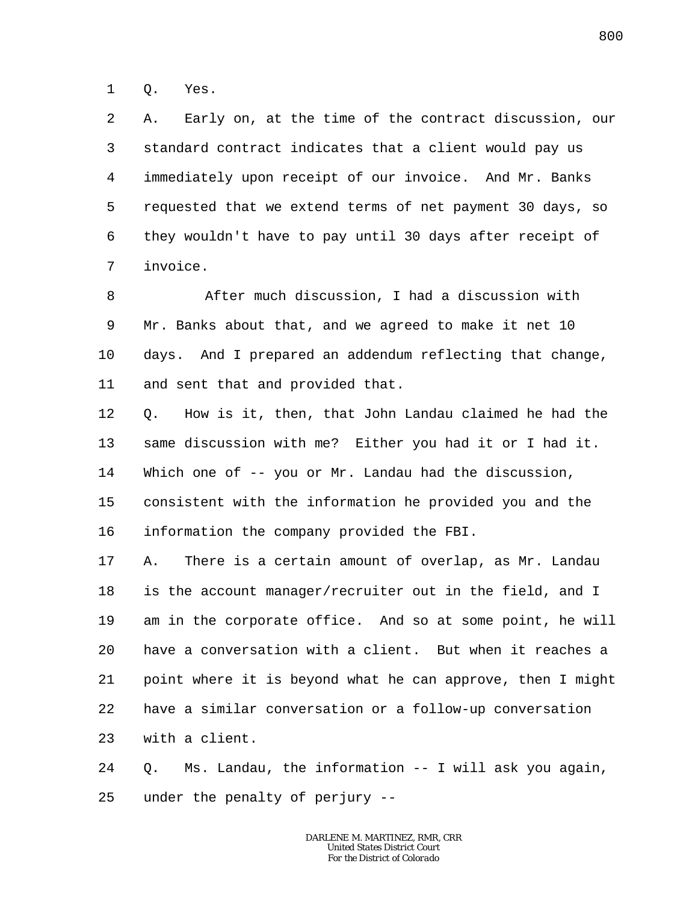1 Q. Yes.

2 3 4 5 6 7 A. Early on, at the time of the contract discussion, our standard contract indicates that a client would pay us immediately upon receipt of our invoice. And Mr. Banks requested that we extend terms of net payment 30 days, so they wouldn't have to pay until 30 days after receipt of invoice.

8 9 10 11 After much discussion, I had a discussion with Mr. Banks about that, and we agreed to make it net 10 days. And I prepared an addendum reflecting that change, and sent that and provided that.

12 13 14 15 16 Q. How is it, then, that John Landau claimed he had the same discussion with me? Either you had it or I had it. Which one of -- you or Mr. Landau had the discussion, consistent with the information he provided you and the information the company provided the FBI.

17 18 19 20 21 22 23 A. There is a certain amount of overlap, as Mr. Landau is the account manager/recruiter out in the field, and I am in the corporate office. And so at some point, he will have a conversation with a client. But when it reaches a point where it is beyond what he can approve, then I might have a similar conversation or a follow-up conversation with a client.

24 25 Q. Ms. Landau, the information -- I will ask you again, under the penalty of perjury --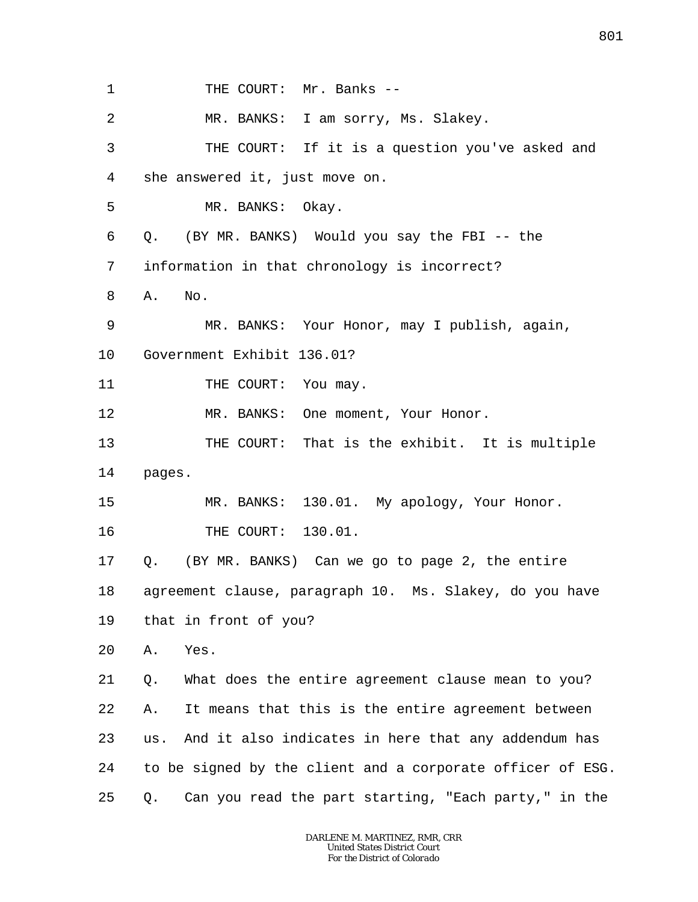1 2 3 4 5 6 7 8 9 10 11 12 13 14 15 16 17 18 19 20 21 22 23 24 25 THE COURT: Mr. Banks --MR. BANKS: I am sorry, Ms. Slakey. THE COURT: If it is a question you've asked and she answered it, just move on. MR. BANKS: Okay. Q. (BY MR. BANKS) Would you say the FBI -- the information in that chronology is incorrect? A. No. MR. BANKS: Your Honor, may I publish, again, Government Exhibit 136.01? THE COURT: You may. MR. BANKS: One moment, Your Honor. THE COURT: That is the exhibit. It is multiple pages. MR. BANKS: 130.01. My apology, Your Honor. THE COURT: 130.01. Q. (BY MR. BANKS) Can we go to page 2, the entire agreement clause, paragraph 10. Ms. Slakey, do you have that in front of you? A. Yes. Q. What does the entire agreement clause mean to you? A. It means that this is the entire agreement between us. And it also indicates in here that any addendum has to be signed by the client and a corporate officer of ESG. Q. Can you read the part starting, "Each party," in the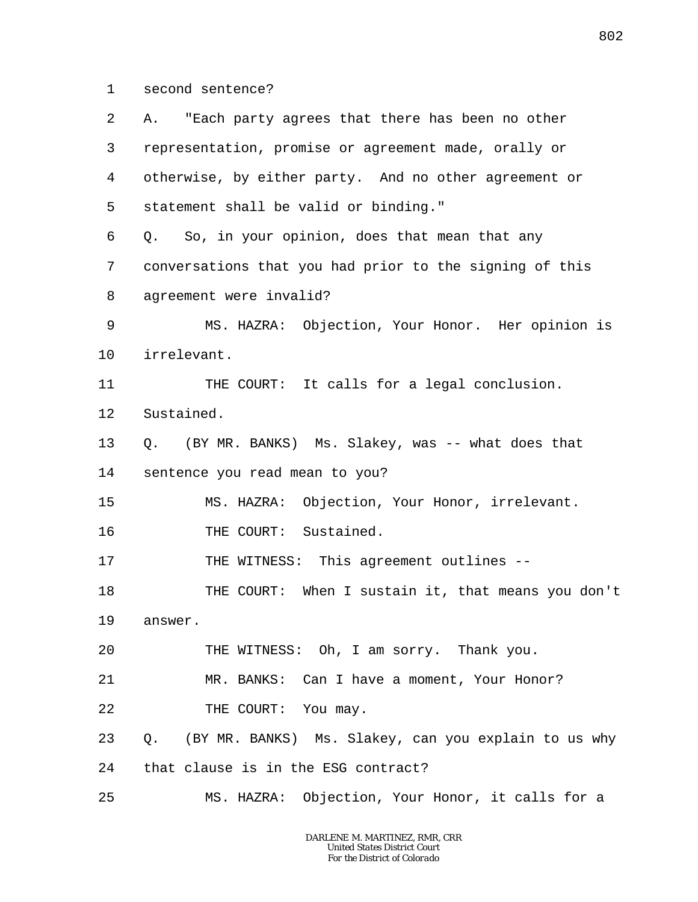1 second sentence?

| 2       | "Each party agrees that there has been no other<br>А.   |
|---------|---------------------------------------------------------|
| 3       | representation, promise or agreement made, orally or    |
| 4       | otherwise, by either party. And no other agreement or   |
| 5       | statement shall be valid or binding."                   |
| 6       | Q. So, in your opinion, does that mean that any         |
| 7       | conversations that you had prior to the signing of this |
| 8       | agreement were invalid?                                 |
| 9       | MS. HAZRA: Objection, Your Honor. Her opinion is        |
| $10 \,$ | irrelevant.                                             |
| 11      | THE COURT: It calls for a legal conclusion.             |
| 12      | Sustained.                                              |
| 13      | Q. (BY MR. BANKS) Ms. Slakey, was -- what does that     |
| 14      | sentence you read mean to you?                          |
| 15      | MS. HAZRA: Objection, Your Honor, irrelevant.           |
| 16      | THE COURT: Sustained.                                   |
| 17      | THE WITNESS: This agreement outlines --                 |
| 18      | THE COURT: When I sustain it, that means you don't      |
| 19      | answer.                                                 |
| 20      | THE WITNESS: Oh, I am sorry. Thank you.                 |
| 21      | MR. BANKS: Can I have a moment, Your Honor?             |
| 22      | THE COURT: You may.                                     |
| 23      | Q. (BY MR. BANKS) Ms. Slakey, can you explain to us why |
| 24      | that clause is in the ESG contract?                     |
| 25      | MS. HAZRA: Objection, Your Honor, it calls for a        |
|         |                                                         |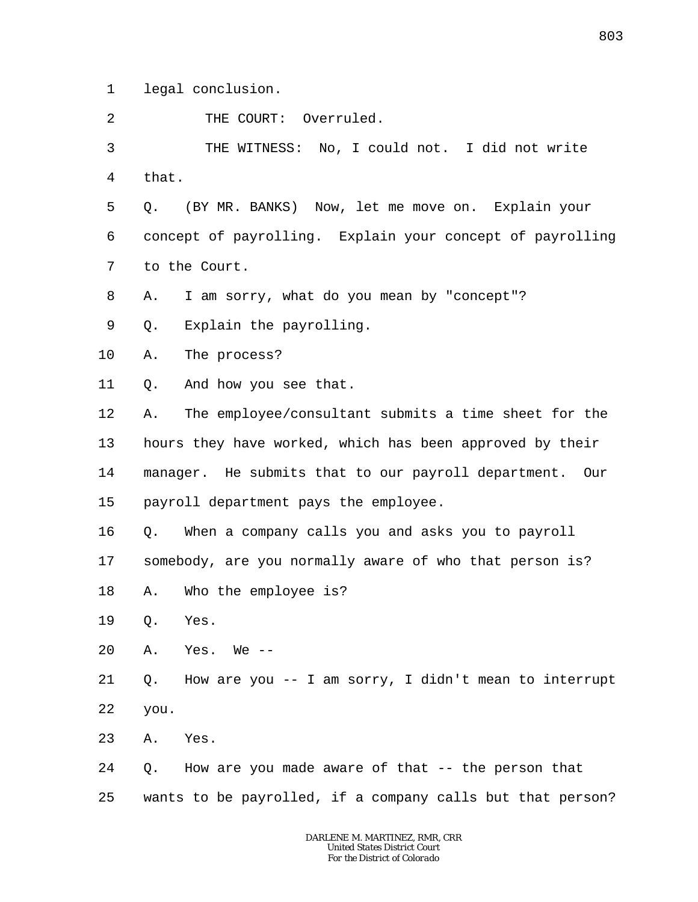1 legal conclusion.

2 THE COURT: Overruled.

3 4 THE WITNESS: No, I could not. I did not write that.

5 6 7 Q. (BY MR. BANKS) Now, let me move on. Explain your concept of payrolling. Explain your concept of payrolling to the Court.

8 A. I am sorry, what do you mean by "concept"?

9 Q. Explain the payrolling.

10 A. The process?

11 Q. And how you see that.

12 13 14 15 A. The employee/consultant submits a time sheet for the hours they have worked, which has been approved by their manager. He submits that to our payroll department. Our payroll department pays the employee.

16 Q. When a company calls you and asks you to payroll

17 somebody, are you normally aware of who that person is?

18 A. Who the employee is?

19 Q. Yes.

20  $A.$  Yes. We  $-$ 

21 22 Q. How are you -- I am sorry, I didn't mean to interrupt you.

23 A. Yes.

24 25 Q. How are you made aware of that -- the person that wants to be payrolled, if a company calls but that person?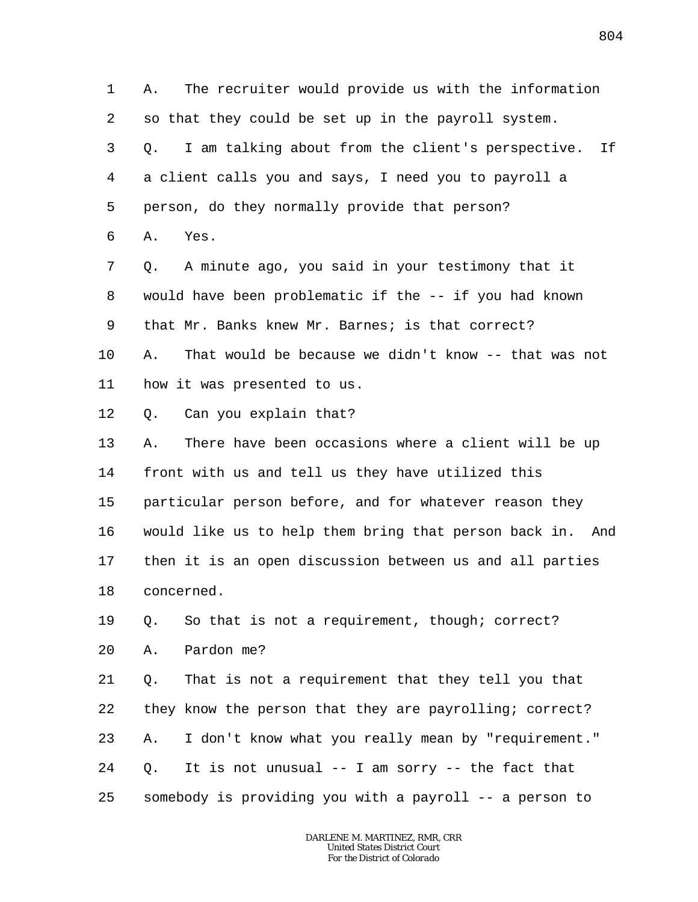1 2 3 4 5 6 7 A. The recruiter would provide us with the information so that they could be set up in the payroll system. Q. I am talking about from the client's perspective. If a client calls you and says, I need you to payroll a person, do they normally provide that person? A. Yes. Q. A minute ago, you said in your testimony that it

8 9 10 11 would have been problematic if the -- if you had known that Mr. Banks knew Mr. Barnes; is that correct? A. That would be because we didn't know -- that was not how it was presented to us.

12 Q. Can you explain that?

13 14 15 16 17 18 A. There have been occasions where a client will be up front with us and tell us they have utilized this particular person before, and for whatever reason they would like us to help them bring that person back in. And then it is an open discussion between us and all parties concerned.

19 Q. So that is not a requirement, though; correct?

20 A. Pardon me?

21 22 23 24 25 Q. That is not a requirement that they tell you that they know the person that they are payrolling; correct? A. I don't know what you really mean by "requirement." Q. It is not unusual -- I am sorry -- the fact that somebody is providing you with a payroll -- a person to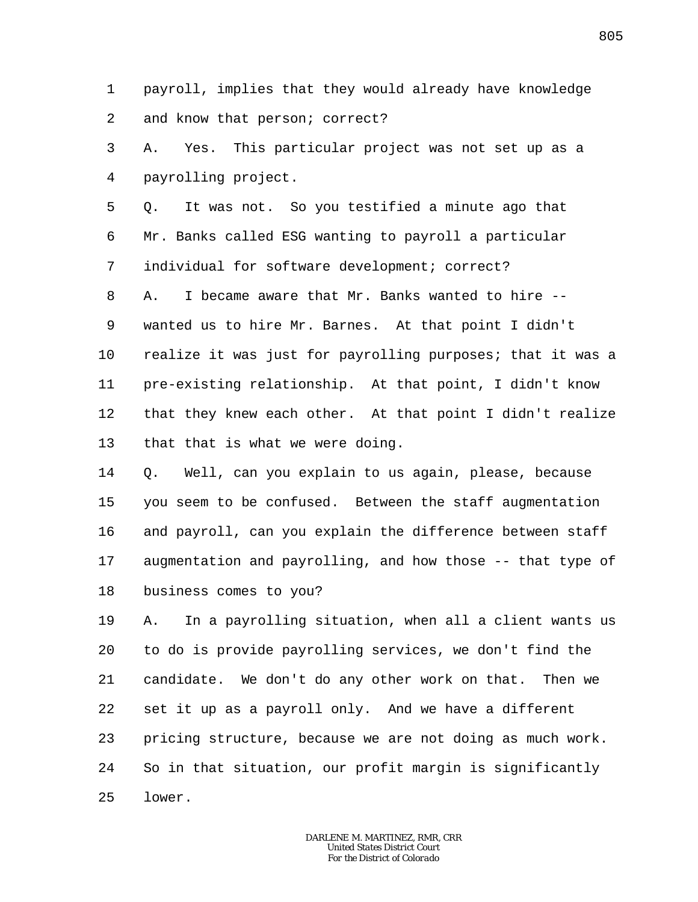1 2 payroll, implies that they would already have knowledge and know that person; correct?

3 4 A. Yes. This particular project was not set up as a payrolling project.

5 6 7 Q. It was not. So you testified a minute ago that Mr. Banks called ESG wanting to payroll a particular individual for software development; correct?

8 9 10 11 12 13 A. I became aware that Mr. Banks wanted to hire - wanted us to hire Mr. Barnes. At that point I didn't realize it was just for payrolling purposes; that it was a pre-existing relationship. At that point, I didn't know that they knew each other. At that point I didn't realize that that is what we were doing.

14 15 16 17 18 Q. Well, can you explain to us again, please, because you seem to be confused. Between the staff augmentation and payroll, can you explain the difference between staff augmentation and payrolling, and how those -- that type of business comes to you?

19 20 21 22 23 24 25 A. In a payrolling situation, when all a client wants us to do is provide payrolling services, we don't find the candidate. We don't do any other work on that. Then we set it up as a payroll only. And we have a different pricing structure, because we are not doing as much work. So in that situation, our profit margin is significantly lower.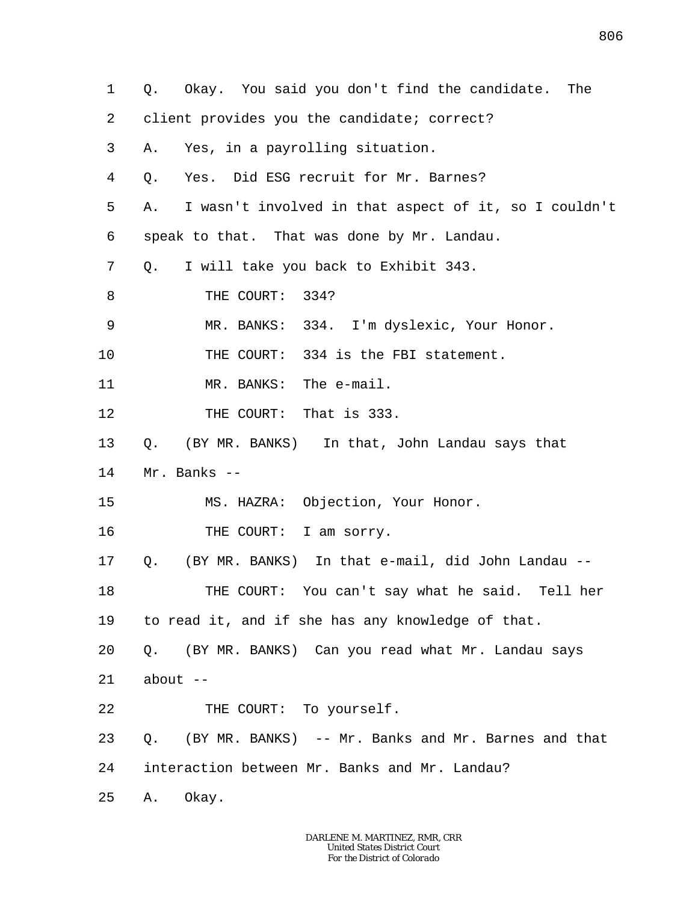1 2 3 4 5 6 7 8 9 10 11 12 13 14 15 16 17 18 19 20 21 22 23 24 25 Q. Okay. You said you don't find the candidate. The client provides you the candidate; correct? A. Yes, in a payrolling situation. Q. Yes. Did ESG recruit for Mr. Barnes? A. I wasn't involved in that aspect of it, so I couldn't speak to that. That was done by Mr. Landau. Q. I will take you back to Exhibit 343. THE COURT: 334? MR. BANKS: 334. I'm dyslexic, Your Honor. THE COURT: 334 is the FBI statement. MR. BANKS: The e-mail. THE COURT: That is 333. Q. (BY MR. BANKS) In that, John Landau says that Mr. Banks -- MS. HAZRA: Objection, Your Honor. THE COURT: I am sorry. Q. (BY MR. BANKS) In that e-mail, did John Landau -- THE COURT: You can't say what he said. Tell her to read it, and if she has any knowledge of that. Q. (BY MR. BANKS) Can you read what Mr. Landau says about  $--$ THE COURT: To yourself. Q. (BY MR. BANKS) -- Mr. Banks and Mr. Barnes and that interaction between Mr. Banks and Mr. Landau? A. Okay.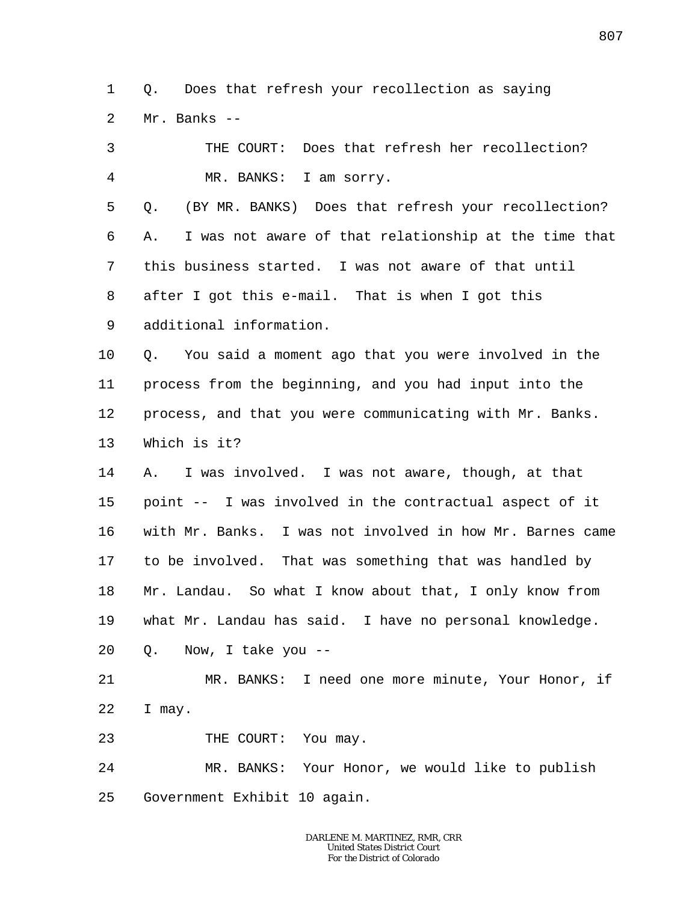1  $\overline{a}$ Q. Does that refresh your recollection as saying Mr. Banks --

3 4 5 6 7 8 9 10 11 12 13 14 15 16 17 18 19 20 THE COURT: Does that refresh her recollection? MR. BANKS: I am sorry. Q. (BY MR. BANKS) Does that refresh your recollection? A. I was not aware of that relationship at the time that this business started. I was not aware of that until after I got this e-mail. That is when I got this additional information. Q. You said a moment ago that you were involved in the process from the beginning, and you had input into the process, and that you were communicating with Mr. Banks. Which is it? A. I was involved. I was not aware, though, at that point -- I was involved in the contractual aspect of it with Mr. Banks. I was not involved in how Mr. Barnes came to be involved. That was something that was handled by Mr. Landau. So what I know about that, I only know from what Mr. Landau has said. I have no personal knowledge. Q. Now, I take you --

21 22 MR. BANKS: I need one more minute, Your Honor, if I may.

23 THE COURT: You may.

24 25 MR. BANKS: Your Honor, we would like to publish Government Exhibit 10 again.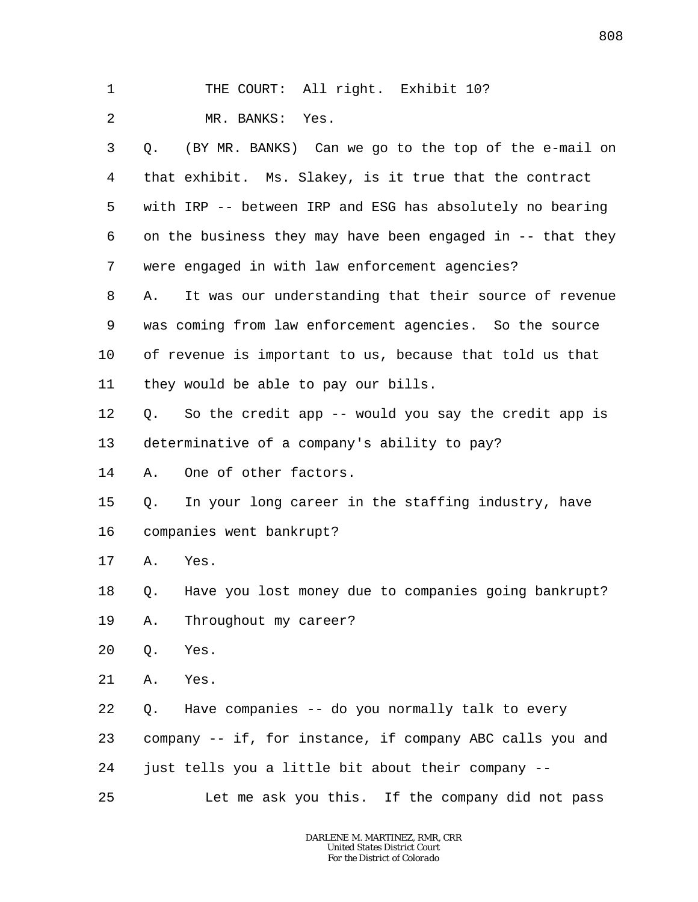| $\mathbf 1$ |    | THE COURT: All right. Exhibit 10?                           |
|-------------|----|-------------------------------------------------------------|
| 2           |    | MR. BANKS: Yes.                                             |
| 3           |    | Q. (BY MR. BANKS) Can we go to the top of the e-mail on     |
| 4           |    | that exhibit. Ms. Slakey, is it true that the contract      |
| 5           |    | with IRP -- between IRP and ESG has absolutely no bearing   |
| 6           |    | on the business they may have been engaged in $-$ that they |
| 7           |    | were engaged in with law enforcement agencies?              |
| 8           | Α. | It was our understanding that their source of revenue       |
| 9           |    | was coming from law enforcement agencies. So the source     |
| 10          |    | of revenue is important to us, because that told us that    |
| 11          |    | they would be able to pay our bills.                        |
| 12          | Q. | So the credit app -- would you say the credit app is        |
| 13          |    | determinative of a company's ability to pay?                |
| 14          | Α. | One of other factors.                                       |
| 15          | Q. | In your long career in the staffing industry, have          |
| 16          |    | companies went bankrupt?                                    |
| 17          | Α. | Yes.                                                        |
| 18          | Q. | Have you lost money due to companies going bankrupt?        |
| 19          | Α. | Throughout my career?                                       |
| 20          | Q. | Yes.                                                        |
| 21          | Α. | Yes.                                                        |
| 22          | Q. | Have companies -- do you normally talk to every             |
| 23          |    | company -- if, for instance, if company ABC calls you and   |
| 24          |    | just tells you a little bit about their company --          |
| 25          |    | Let me ask you this. If the company did not pass            |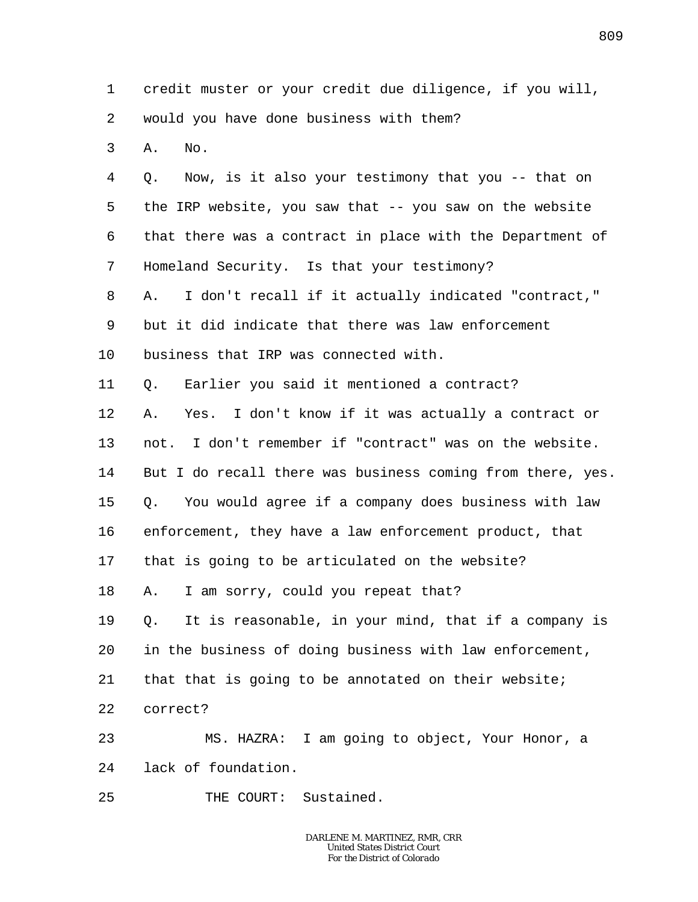1 2 3 4 5 6 7 8 9 10 11 12 13 14 15 16 17 18 19 20 21 22 23 24 25 credit muster or your credit due diligence, if you will, would you have done business with them? A. No. Q. Now, is it also your testimony that you -- that on the IRP website, you saw that -- you saw on the website that there was a contract in place with the Department of Homeland Security. Is that your testimony? A. I don't recall if it actually indicated "contract," but it did indicate that there was law enforcement business that IRP was connected with. Q. Earlier you said it mentioned a contract? A. Yes. I don't know if it was actually a contract or not. I don't remember if "contract" was on the website. But I do recall there was business coming from there, yes. Q. You would agree if a company does business with law enforcement, they have a law enforcement product, that that is going to be articulated on the website? A. I am sorry, could you repeat that? Q. It is reasonable, in your mind, that if a company is in the business of doing business with law enforcement, that that is going to be annotated on their website; correct? MS. HAZRA: I am going to object, Your Honor, a lack of foundation. THE COURT: Sustained.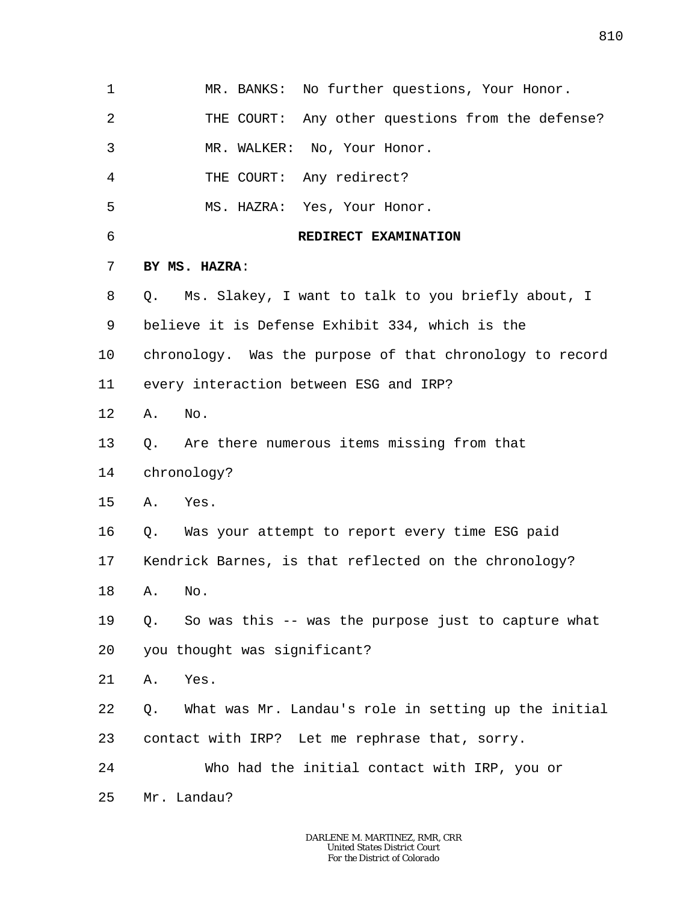| 1  | MR. BANKS: No further questions, Your Honor.               |
|----|------------------------------------------------------------|
| 2  | THE COURT: Any other questions from the defense?           |
| 3  | MR. WALKER: No, Your Honor.                                |
| 4  | THE COURT: Any redirect?                                   |
| 5  | MS. HAZRA: Yes, Your Honor.                                |
| 6  | REDIRECT EXAMINATION                                       |
| 7  | BY MS. HAZRA:                                              |
| 8  | Ms. Slakey, I want to talk to you briefly about, I<br>О.   |
| 9  | believe it is Defense Exhibit 334, which is the            |
| 10 | chronology. Was the purpose of that chronology to record   |
| 11 | every interaction between ESG and IRP?                     |
| 12 | No.<br>Α.                                                  |
| 13 | Are there numerous items missing from that<br>Q.           |
| 14 | chronology?                                                |
| 15 | A. Yes.                                                    |
| 16 | Q. Was your attempt to report every time ESG paid          |
| 17 | Kendrick Barnes, is that reflected on the chronology?      |
| 18 | No.<br>Α.                                                  |
| 19 | So was this -- was the purpose just to capture what<br>Q.  |
| 20 | you thought was significant?                               |
| 21 | Yes.<br>Α.                                                 |
| 22 | What was Mr. Landau's role in setting up the initial<br>Q. |
| 23 | contact with IRP? Let me rephrase that, sorry.             |
| 24 | Who had the initial contact with IRP, you or               |
| 25 | Mr. Landau?                                                |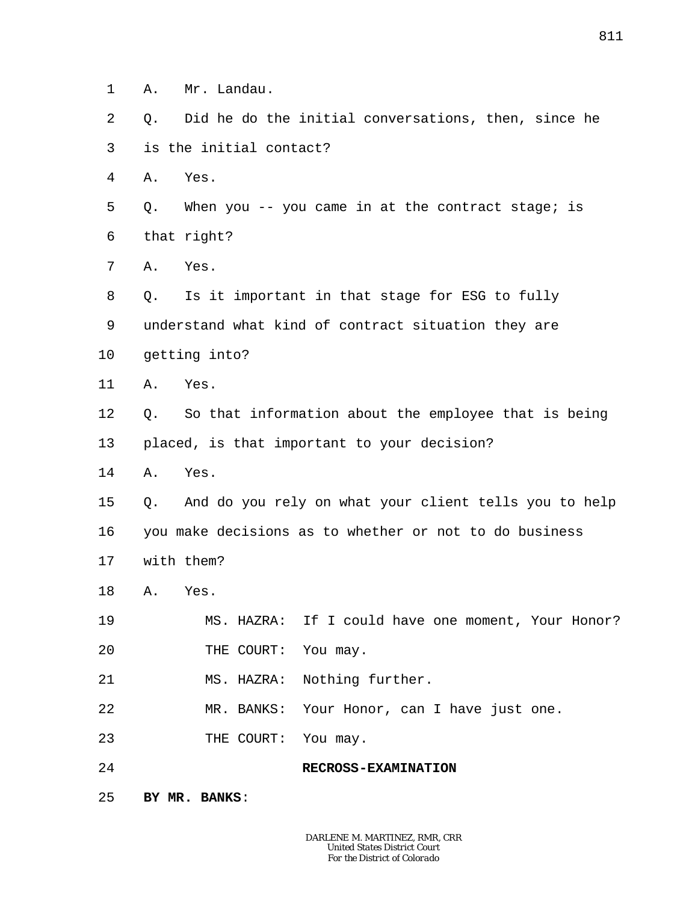- 1 A. Mr. Landau.
- $\overline{a}$ 3 Q. Did he do the initial conversations, then, since he is the initial contact?
- 4 A. Yes.
- 5 6 Q. When you -- you came in at the contract stage; is that right?
- 7 A. Yes.
- 8 9 10 Q. Is it important in that stage for ESG to fully understand what kind of contract situation they are getting into?
- 11 A. Yes.
- 12 13 Q. So that information about the employee that is being placed, is that important to your decision?
- 14 A. Yes.
- 15 16 17 Q. And do you rely on what your client tells you to help you make decisions as to whether or not to do business with them?
- 18 A. Yes.
- 19 20 MS. HAZRA: If I could have one moment, Your Honor? THE COURT: You may.
- 21 MS. HAZRA: Nothing further.
- 22 MR. BANKS: Your Honor, can I have just one.
- 23 THE COURT: You may.
- 24 **RECROSS-EXAMINATION**
- 25 **BY MR. BANKS**: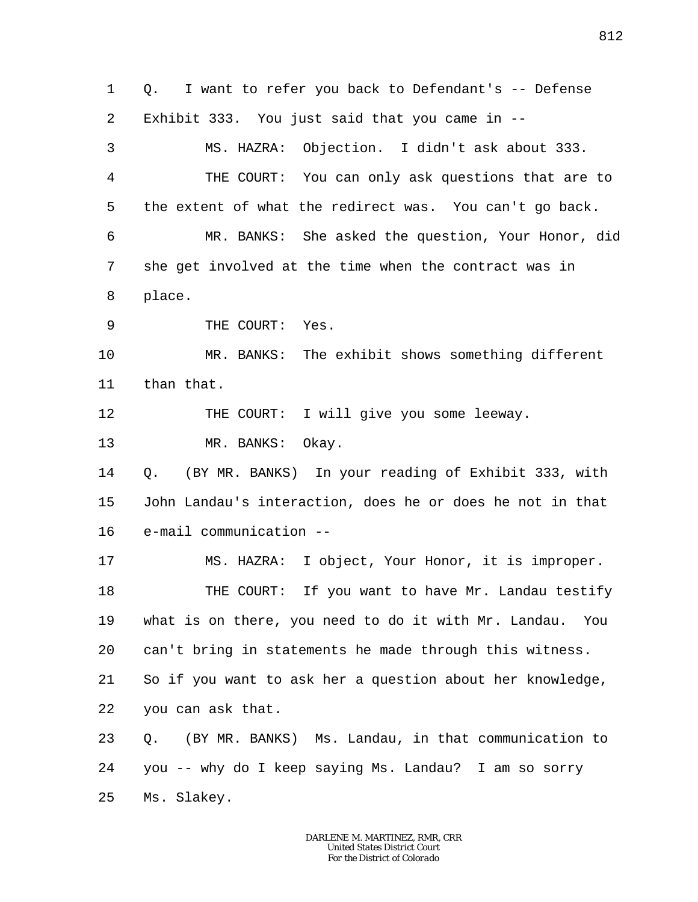1 2 3 4 5 6 7 8 9 10 11 12 13 14 15 16 17 18 19 20 21 22 23 24 25 Q. I want to refer you back to Defendant's -- Defense Exhibit 333. You just said that you came in -- MS. HAZRA: Objection. I didn't ask about 333. THE COURT: You can only ask questions that are to the extent of what the redirect was. You can't go back. MR. BANKS: She asked the question, Your Honor, did she get involved at the time when the contract was in place. THE COURT: Yes. MR. BANKS: The exhibit shows something different than that. THE COURT: I will give you some leeway. MR. BANKS: Okay. Q. (BY MR. BANKS) In your reading of Exhibit 333, with John Landau's interaction, does he or does he not in that e-mail communication -- MS. HAZRA: I object, Your Honor, it is improper. THE COURT: If you want to have Mr. Landau testify what is on there, you need to do it with Mr. Landau. You can't bring in statements he made through this witness. So if you want to ask her a question about her knowledge, you can ask that. Q. (BY MR. BANKS) Ms. Landau, in that communication to you -- why do I keep saying Ms. Landau? I am so sorry Ms. Slakey.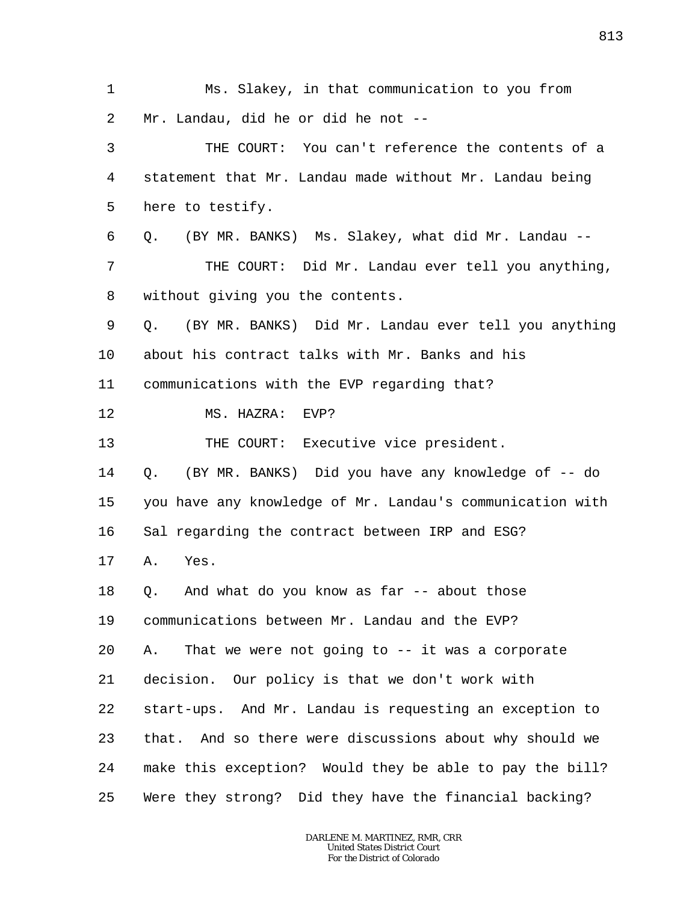1 2 3 4 5 6 7 8 9 10 11 12 13 14 15 16 17 18 19 20 21 22 23 24 25 Ms. Slakey, in that communication to you from Mr. Landau, did he or did he not -- THE COURT: You can't reference the contents of a statement that Mr. Landau made without Mr. Landau being here to testify. Q. (BY MR. BANKS) Ms. Slakey, what did Mr. Landau -- THE COURT: Did Mr. Landau ever tell you anything, without giving you the contents. Q. (BY MR. BANKS) Did Mr. Landau ever tell you anything about his contract talks with Mr. Banks and his communications with the EVP regarding that? MS. HAZRA: EVP? THE COURT: Executive vice president. Q. (BY MR. BANKS) Did you have any knowledge of -- do you have any knowledge of Mr. Landau's communication with Sal regarding the contract between IRP and ESG? A. Yes. Q. And what do you know as far -- about those communications between Mr. Landau and the EVP? A. That we were not going to -- it was a corporate decision. Our policy is that we don't work with start-ups. And Mr. Landau is requesting an exception to that. And so there were discussions about why should we make this exception? Would they be able to pay the bill? Were they strong? Did they have the financial backing?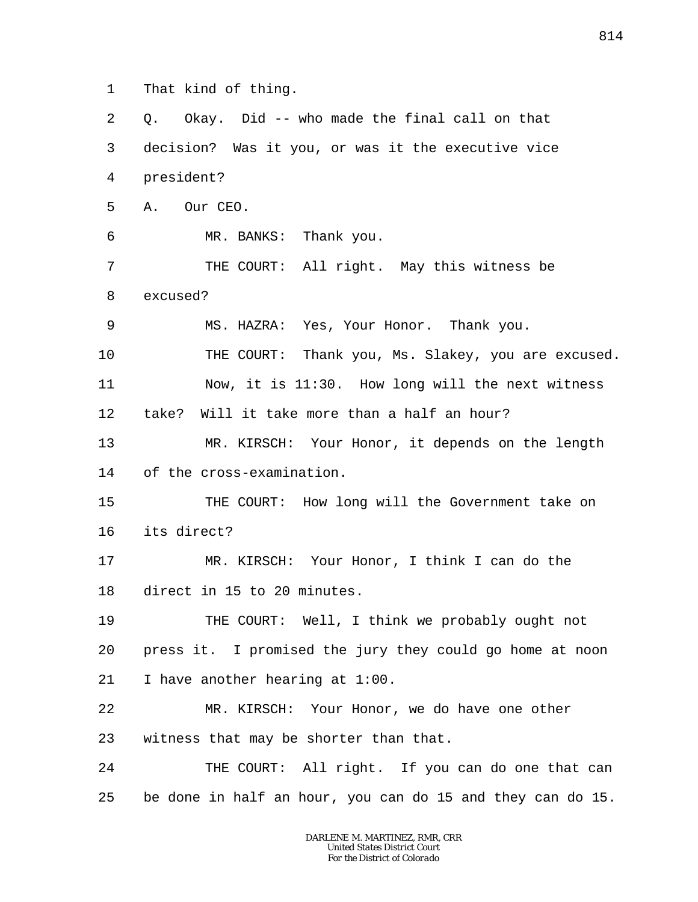1 That kind of thing.

2 3 4 5 6 7 8 9 10 11 12 13 14 15 16 17 18 19 20 21 22 23 24 25 Q. Okay. Did -- who made the final call on that decision? Was it you, or was it the executive vice president? A. Our CEO. MR. BANKS: Thank you. THE COURT: All right. May this witness be excused? MS. HAZRA: Yes, Your Honor. Thank you. THE COURT: Thank you, Ms. Slakey, you are excused. Now, it is 11:30. How long will the next witness take? Will it take more than a half an hour? MR. KIRSCH: Your Honor, it depends on the length of the cross-examination. THE COURT: How long will the Government take on its direct? MR. KIRSCH: Your Honor, I think I can do the direct in 15 to 20 minutes. THE COURT: Well, I think we probably ought not press it. I promised the jury they could go home at noon I have another hearing at 1:00. MR. KIRSCH: Your Honor, we do have one other witness that may be shorter than that. THE COURT: All right. If you can do one that can be done in half an hour, you can do 15 and they can do 15.